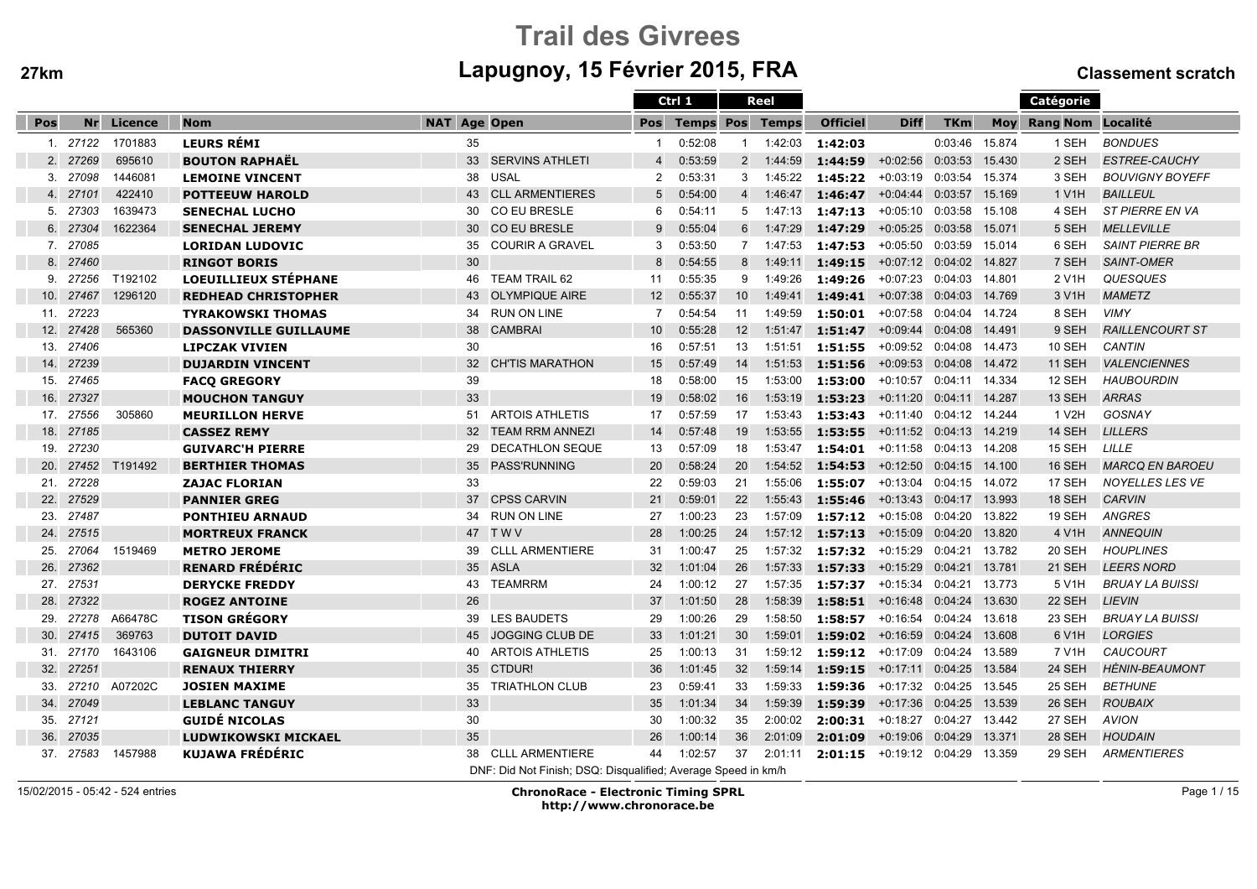# Trail des Givreesm Lapugnoy, 15 Février 2015, FRA Classement scratch

|     |           |         |                              |                     |                                                               |                 | Ctrl 1                 |                 | Reel      |                 |                             |                |            | Catégorie          |                        |
|-----|-----------|---------|------------------------------|---------------------|---------------------------------------------------------------|-----------------|------------------------|-----------------|-----------|-----------------|-----------------------------|----------------|------------|--------------------|------------------------|
| Pos | Nr        | Licence | <b>Nom</b>                   | <b>NAT Age Open</b> |                                                               | Pos             | <b>Temps Pos Temps</b> |                 |           | <b>Officiel</b> | <b>Diff</b>                 | <b>TKm</b>     | <b>Moy</b> | Rang Nom Localité  |                        |
|     | 1. 27122  | 1701883 | <b>LEURS RÉMI</b>            | 35                  |                                                               |                 | 0:52:08                | -1              | 1:42:03   | 1:42:03         |                             | 0:03:46        | 15.874     | 1 SEH              | <b>BONDUES</b>         |
|     | 2. 27269  | 695610  | <b>BOUTON RAPHAËL</b>        |                     | 33 SERVINS ATHLETI                                            | $\overline{4}$  | 0:53:59                |                 | 2 1:44:59 | 1:44:59         | $+0:02:56$                  | 0:03:53 15.430 |            | 2 SEH              | <b>ESTREE-CAUCHY</b>   |
|     | 3. 27098  | 1446081 | <b>LEMOINE VINCENT</b>       | 38                  | USAL                                                          | $\overline{2}$  | 0:53:31                | 3               | 1:45:22   | 1:45:22         | $+0:03:19$                  | 0:03:54 15.374 |            | 3 SEH              | <b>BOUVIGNY BOYEFF</b> |
|     | 4. 27101  | 422410  | <b>POTTEEUW HAROLD</b>       | 43                  | <b>CLL ARMENTIERES</b>                                        | 5               | 0:54:00                |                 | 4 1:46:47 | 1:46:47         | +0:04:44 0:03:57 15.169     |                |            | 1 V1H              | <b>BAILLEUL</b>        |
|     | 5. 27303  | 1639473 | <b>SENECHAL LUCHO</b>        | 30                  | CO EU BRESLE                                                  | 6               | 0:54:11                | 5               | 1:47:13   | 1:47:13         | +0:05:10 0:03:58 15.108     |                |            | 4 SEH              | ST PIERRE EN VA        |
| 6.  | 27304     | 1622364 | <b>SENECHAL JEREMY</b>       | 30                  | <b>CO EU BRESLE</b>                                           | 9               | 0:55:04                |                 | 6 1:47:29 | 1:47:29         | +0:05:25 0:03:58 15.071     |                |            | 5 SEH              | <b>MELLEVILLE</b>      |
| 7.  | 27085     |         | <b>LORIDAN LUDOVIC</b>       | 35                  | <b>COURIR A GRAVEL</b>                                        | 3               | 0:53:50                |                 | 7 1:47:53 | 1:47:53         | $+0:05:50$                  | 0:03:59 15.014 |            | 6 SEH              | <b>SAINT PIERRE BR</b> |
|     | 8. 27460  |         | <b>RINGOT BORIS</b>          | 30                  |                                                               | 8               | 0:54:55                | 8               | 1:49:11   | 1:49:15         | +0:07:12 0:04:02 14.827     |                |            | 7 SEH              | <b>SAINT-OMER</b>      |
| 9.  | 27256     | T192102 | <b>LOEUILLIEUX STÉPHANE</b>  | 46                  | <b>TEAM TRAIL 62</b>                                          | 11              | 0:55:35                | 9               | 1:49:26   | 1:49:26         | +0:07:23 0:04:03 14.801     |                |            | 2 V <sub>1</sub> H | <b>QUESQUES</b>        |
| 10. | 27467     | 1296120 | <b>REDHEAD CHRISTOPHER</b>   | 43                  | <b>OLYMPIQUE AIRE</b>                                         | 12              | 0:55:37                | 10 <sup>°</sup> | 1:49:41   | 1:49:41         | $+0:07:38$                  | 0:04:03 14.769 |            | 3 V <sub>1</sub> H | <b>MAMETZ</b>          |
| 11. | 27223     |         | <b>TYRAKOWSKI THOMAS</b>     | 34                  | RUN ON LINE                                                   | $\overline{7}$  | 0:54:54                | 11              | 1:49:59   | 1:50:01         | $+0:07:58$                  | 0:04:04 14.724 |            | 8 SEH              | <b>VIMY</b>            |
| 12. | 27428     | 565360  | <b>DASSONVILLE GUILLAUME</b> | 38                  | <b>CAMBRAI</b>                                                | 10 <sup>°</sup> | 0:55:28                | 12              | 1:51:47   | 1:51:47         | +0:09:44  0:04:08  14.491   |                |            | 9 SEH              | <b>RAILLENCOURT ST</b> |
| 13. | 27406     |         | <b>LIPCZAK VIVIEN</b>        | 30                  |                                                               | 16              | 0:57:51                | 13              | 1:51:51   | 1:51:55         | +0:09:52 0:04:08 14.473     |                |            | <b>10 SEH</b>      | <b>CANTIN</b>          |
| 14. | 27239     |         | <b>DUJARDIN VINCENT</b>      | 32                  | <b>CH'TIS MARATHON</b>                                        | 15              | 0:57:49                | 14              | 1:51:53   | 1:51:56         | $+0:09:53$                  | 0:04:08        | 14.472     | 11 SEH             | <b>VALENCIENNES</b>    |
| 15. | 27465     |         | <b>FACQ GREGORY</b>          | 39                  |                                                               | 18              | 0:58:00                | 15              | 1:53:00   | 1:53:00         | $+0:10:57$                  | 0:04:11 14.334 |            | 12 SEH             | <b>HAUBOURDIN</b>      |
| 16. | 27327     |         | <b>MOUCHON TANGUY</b>        | 33                  |                                                               | 19              | 0:58:02                | 16              | 1:53:19   | 1:53:23         | +0:11:20  0:04:11  14.287   |                |            | 13 SEH             | <b>ARRAS</b>           |
| 17. | 27556     | 305860  | <b>MEURILLON HERVE</b>       | 51                  | <b>ARTOIS ATHLETIS</b>                                        | 17              | 0:57:59                | 17              | 1:53:43   | 1:53:43         | +0:11:40  0:04:12  14.244   |                |            | 1 V2H              | GOSNAY                 |
| 18. | 27185     |         | <b>CASSEZ REMY</b>           | 32                  | <b>TEAM RRM ANNEZI</b>                                        | 14              | 0:57:48                | 19              | 1:53:55   | 1:53:55         | +0:11:52  0:04:13  14.219   |                |            | 14 SEH             | <b>LILLERS</b>         |
| 19. | 27230     |         | <b>GUIVARC'H PIERRE</b>      | 29                  | DECATHLON SEQUE                                               | 13              | 0:57:09                | 18              | 1:53:47   | 1:54:01         | +0:11:58 0:04:13 14.208     |                |            | 15 SEH             | LILLE                  |
| 20. | 27452     | T191492 | <b>BERTHIER THOMAS</b>       | 35                  | <b>PASS'RUNNING</b>                                           | 20              | 0:58:24                | 20              | 1:54:52   | 1:54:53         | $+0:12:50$ $0:04:15$ 14.100 |                |            | <b>16 SEH</b>      | <b>MARCQ EN BAROEU</b> |
| 21. | 27228     |         | <b>ZAJAC FLORIAN</b>         | 33                  |                                                               | 22              | 0:59:03                | 21              | 1:55:06   | 1:55:07         | $+0:13:04$                  | 0:04:15 14.072 |            | 17 SEH             | NOYELLES LES VE        |
| 22. | 27529     |         | <b>PANNIER GREG</b>          | 37                  | <b>CPSS CARVIN</b>                                            | 21              | 0:59:01                | 22              | 1:55:43   | 1:55:46         | +0:13:43 0:04:17 13.993     |                |            | 18 SEH             | <b>CARVIN</b>          |
| 23. | 27487     |         | <b>PONTHIEU ARNAUD</b>       | 34                  | <b>RUN ON LINE</b>                                            | 27              | 1:00:23                | 23              | 1:57:09   | 1:57:12         | +0:15:08                    | 0:04:20 13.822 |            | 19 SEH             | <b>ANGRES</b>          |
| 24. | 27515     |         | <b>MORTREUX FRANCK</b>       | 47                  | <b>TWV</b>                                                    | 28              | 1:00:25                | 24              | 1:57:12   | 1:57:13         | +0:15:09  0:04:20  13.820   |                |            | 4 V1H              | <b>ANNEQUIN</b>        |
| 25. | 27064     | 1519469 | <b>METRO JEROME</b>          | 39                  | <b>CLLL ARMENTIERE</b>                                        | 31              | 1:00:47                | 25              | 1:57:32   | 1:57:32         | $+0:15:29$                  | 0:04:21 13.782 |            | 20 SEH             | <b>HOUPLINES</b>       |
| 26. | 27362     |         | <b>RENARD FRÉDÉRIC</b>       | 35                  | <b>ASLA</b>                                                   | 32              | 1:01:04                | 26              | 1:57:33   | 1:57:33         | +0:15:29 0:04:21 13.781     |                |            | 21 SEH             | <b>LEERS NORD</b>      |
| 27. | 27531     |         | <b>DERYCKE FREDDY</b>        | 43                  | <b>TEAMRRM</b>                                                | 24              | 1:00:12                | 27              | 1:57:35   | 1:57:37         | $+0:15:34$                  | 0:04:21        | 13.773     | 5 V1H              | <b>BRUAY LA BUISSI</b> |
| 28. | 27322     |         | <b>ROGEZ ANTOINE</b>         | 26                  |                                                               | 37              | 1:01:50                | 28              | 1:58:39   | 1:58:51         | $+0:16:48$                  | 0:04:24        | 13.630     | 22 SEH             | <b>LIEVIN</b>          |
| 29. | 27278     | A66478C | <b>TISON GRÉGORY</b>         | 39                  | <b>LES BAUDETS</b>                                            | 29              | 1:00:26                | 29              | 1:58:50   | 1:58:57         | +0:16:54 0:04:24 13.618     |                |            | 23 SEH             | <b>BRUAY LA BUISSI</b> |
| 30. | 27415     | 369763  | <b>DUTOIT DAVID</b>          | 45                  | JOGGING CLUB DE                                               | 33              | 1:01:21                | 30              | 1:59:01   | 1:59:02         | +0:16:59 0:04:24 13.608     |                |            | 6 V1H              | <b>LORGIES</b>         |
| 31. | 27170     | 1643106 | <b>GAIGNEUR DIMITRI</b>      | 40                  | <b>ARTOIS ATHLETIS</b>                                        | 25              | 1:00:13                | 31              | 1:59:12   | 1:59:12         | +0:17:09 0:04:24 13.589     |                |            | 7 V1H              | CAUCOURT               |
| 32. | 27251     |         | <b>RENAUX THIERRY</b>        | 35                  | CTDUR!                                                        | 36              | 1:01:45                | 32              | 1:59:14   | 1:59:15         | +0:17:11 0:04:25 13.584     |                |            | 24 SEH             | <b>HÉNIN-BEAUMONT</b>  |
| 33. | 27210     | A07202C | <b>JOSIEN MAXIME</b>         | 35                  | <b>TRIATHLON CLUB</b>                                         | 23              | 0:59:41                | 33              | 1:59:33   | 1:59:36         | +0:17:32  0:04:25  13.545   |                |            | 25 SEH             | <b>BETHUNE</b>         |
| 34. | 27049     |         | <b>LEBLANC TANGUY</b>        | 33                  |                                                               | 35              | 1:01:34                | 34              | 1:59:39   | 1:59:39         | $+0:17:36$ 0:04:25          |                | 13.539     | 26 SEH             | <b>ROUBAIX</b>         |
| 35. | 27121     |         | <b>GUIDÉ NICOLAS</b>         | 30                  |                                                               | 30              | 1:00:32                | 35              | 2:00:02   | 2:00:31         | $+0:18:27$                  | 0:04:27 13.442 |            | 27 SEH             | <b>AVION</b>           |
| 36. | 27035     |         | <b>LUDWIKOWSKI MICKAEL</b>   | 35                  |                                                               | 26              | 1:00:14                | 36              | 2:01:09   | 2:01:09         | $+0:19:06$                  | 0:04:29        | 13.371     | 28 SEH             | <b>HOUDAIN</b>         |
|     | 37. 27583 | 1457988 | KUJAWA FRÉDÉRIC              | 38                  | <b>CLLL ARMENTIERE</b>                                        | 44              | 1:02:57                | 37              | 2:01:11   | 2:01:15         | +0:19:12 0:04:29 13.359     |                |            | 29 SEH             | <b>ARMENTIERES</b>     |
|     |           |         |                              |                     | DNF: Did Not Finish; DSQ: Disqualified; Average Speed in km/h |                 |                        |                 |           |                 |                             |                |            |                    |                        |

15/02/2015 - 05:42 - 524 entries

 ChronoRace - Electronic Timing SPRLhttp://www.chronorace.be

Page 1 / 15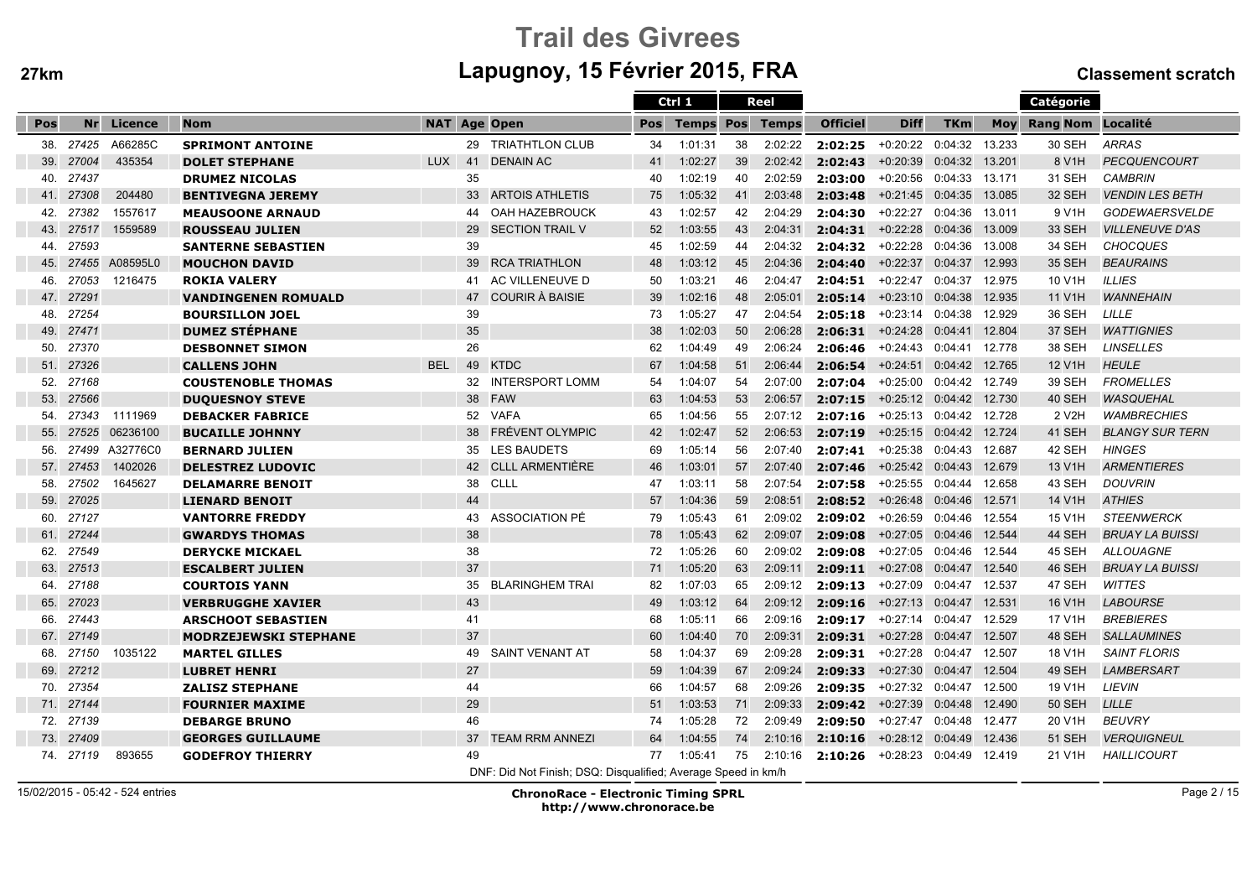# Trail des Givreesm Lapugnoy, 15 Février 2015, FRA Classement scratch

|     |           |                |                              |                     |    |                                                               |     | Ctrl 1           |    | Reel         |                 |                           |                |        | Catégorie                |                           |
|-----|-----------|----------------|------------------------------|---------------------|----|---------------------------------------------------------------|-----|------------------|----|--------------|-----------------|---------------------------|----------------|--------|--------------------------|---------------------------|
| Pos | <b>Nr</b> | Licence        | <b>Nom</b>                   | <b>NAT Age Open</b> |    |                                                               | Pos | <b>Temps Pos</b> |    | <b>Temps</b> | <b>Officiel</b> | <b>Diff</b>               | <b>TKm</b>     | Mov    | <b>Rang Nom Localité</b> |                           |
| 38. | 27425     | A66285C        | <b>SPRIMONT ANTOINE</b>      |                     |    | 29 TRIATHTLON CLUB                                            | 34  | 1:01:31          | 38 | 2:02:22      | 2:02:25         | +0:20:22                  | 0:04:32        | 13.233 | 30 SEH                   | ARRAS                     |
| 39. | 27004     | 435354         | <b>DOLET STEPHANE</b>        | <b>LUX</b>          | 41 | <b>DENAIN AC</b>                                              | 41  | 1:02:27          | 39 | 2:02:42      | 2:02:43         | $+0:20:39$                | 0:04:32        | 13.201 | 8 V <sub>1</sub> H       | <b>PECQUENCOURT</b>       |
| 40. | 27437     |                | <b>DRUMEZ NICOLAS</b>        |                     | 35 |                                                               | 40  | 1:02:19          | 40 | 2:02:59      | 2:03:00         | +0:20:56 0:04:33 13.171   |                |        | 31 SEH                   | <b>CAMBRIN</b>            |
| 41. | 27308     | 204480         | <b>BENTIVEGNA JEREMY</b>     |                     |    | 33 ARTOIS ATHLETIS                                            | 75  | 1:05:32          | 41 | 2:03:48      | 2:03:48         | +0:21:45 0:04:35 13.085   |                |        | 32 SEH                   | <b>VENDIN LES BETH</b>    |
| 42. | 27382     | 1557617        | <b>MEAUSOONE ARNAUD</b>      |                     | 44 | OAH HAZEBROUCK                                                | 43  | 1:02:57          | 42 | 2:04:29      | 2:04:30         | +0:22:27                  | 0:04:36 13.011 |        | 9 V <sub>1</sub> H       | <b>GODEWAERSVELDE</b>     |
| 43. | 27517     | 1559589        | <b>ROUSSEAU JULIEN</b>       |                     | 29 | <b>SECTION TRAIL V</b>                                        | 52  | 1:03:55          | 43 | 2:04:31      | 2:04:31         | +0:22:28 0:04:36 13.009   |                |        | <b>33 SEH</b>            | <b>VILLENEUVE D'AS</b>    |
| 44. | 27593     |                | <b>SANTERNE SEBASTIEN</b>    |                     | 39 |                                                               | 45  | 1:02:59          | 44 | 2:04:32      | 2:04:32         | +0:22:28                  | 0:04:36        | 13.008 | 34 SEH                   | <b>CHOCQUES</b>           |
| 45. | 27455     | A08595L0       | <b>MOUCHON DAVID</b>         |                     | 39 | <b>RCA TRIATHLON</b>                                          | 48  | 1:03:12          | 45 | 2:04:36      | 2:04:40         | $+0:22:37$                | 0:04:37        | 12.993 | 35 SEH                   | <b>BEAURAINS</b>          |
| 46. | 27053     | 1216475        | <b>ROKIA VALERY</b>          |                     | 41 | AC VILLENEUVE D                                               | 50  | 1:03:21          | 46 | 2:04:47      | 2:04:51         | $+0:22:47$                | 0:04:37        | 12.975 | 10 V1H                   | <b>ILLIES</b>             |
| 47. | 27291     |                | <b>VANDINGENEN ROMUALD</b>   |                     | 47 | COURIR À BAISIE                                               | 39  | 1:02:16          | 48 | 2:05:01      | 2:05:14         | +0:23:10 0:04:38 12.935   |                |        | 11 V <sub>1</sub> H      | <b>WANNEHAIN</b>          |
| 48. | 27254     |                | <b>BOURSILLON JOEL</b>       |                     | 39 |                                                               | 73  | 1:05:27          | 47 | 2:04:54      | 2:05:18         | +0:23:14 0:04:38 12.929   |                |        | 36 SEH                   | LILLE                     |
| 49. | 27471     |                | <b>DUMEZ STÉPHANE</b>        |                     | 35 |                                                               | 38  | 1:02:03          | 50 | 2:06:28      | 2:06:31         | +0:24:28  0:04:41  12.804 |                |        | 37 SEH                   | <b>WATTIGNIES</b>         |
| 50. | 27370     |                | <b>DESBONNET SIMON</b>       |                     | 26 |                                                               | 62  | 1:04:49          | 49 | 2:06:24      | 2:06:46         | $+0.24:43$ 0:04:41        |                | 12.778 | 38 SEH                   | <b>LINSELLES</b>          |
| 51. | 27326     |                | <b>CALLENS JOHN</b>          | <b>BEL</b>          | 49 | <b>KTDC</b>                                                   | 67  | 1:04:58          | 51 | 2:06:44      | 2:06:54         | $+0:24:51$                | 0:04:42        | 12.765 | 12 V <sub>1</sub> H      | <b>HEULE</b>              |
| 52. | 27168     |                | <b>COUSTENOBLE THOMAS</b>    |                     | 32 | <b>INTERSPORT LOMM</b>                                        | 54  | 1:04:07          | 54 | 2:07:00      | 2:07:04         | $+0:25:00$                | 0:04:42 12.749 |        | 39 SEH                   | <b>FROMELLES</b>          |
| 53. | 27566     |                | <b>DUQUESNOY STEVE</b>       |                     |    | 38 FAW                                                        | 63  | 1:04:53          | 53 | 2:06:57      | 2:07:15         | +0:25:12 0:04:42 12.730   |                |        | 40 SEH                   | <b>WASQUEHAL</b>          |
| 54. | 27343     | 1111969        | <b>DEBACKER FABRICE</b>      |                     |    | 52 VAFA                                                       | 65  | 1:04:56          | 55 | 2:07:12      | 2:07:16         | +0:25:13 0:04:42 12.728   |                |        | 2 V <sub>2</sub> H       | <b><i>WAMBRECHIES</i></b> |
| 55. | 27525     | 06236100       | <b>BUCAILLE JOHNNY</b>       |                     | 38 | <b>FRÉVENT OLYMPIC</b>                                        | 42  | 1:02:47          | 52 | 2:06:53      | 2:07:19         | +0:25:15 0:04:42 12.724   |                |        | 41 SEH                   | <b>BLANGY SUR TERN</b>    |
| 56. |           | 27499 A32776C0 | <b>BERNARD JULIEN</b>        |                     | 35 | <b>LES BAUDETS</b>                                            | 69  | 1:05:14          | 56 | 2:07:40      | 2:07:41         | +0:25:38 0:04:43 12.687   |                |        | 42 SEH                   | <b>HINGES</b>             |
| 57. | 27453     | 1402026        | <b>DELESTREZ LUDOVIC</b>     |                     | 42 | <b>CLLL ARMENTIÈRE</b>                                        | 46  | 1:03:01          | 57 | 2:07:40      | 2:07:46         | +0:25:42 0:04:43 12.679   |                |        | 13 V1H                   | <b>ARMENTIERES</b>        |
| 58. | 27502     | 1645627        | <b>DELAMARRE BENOIT</b>      |                     | 38 | CLLL                                                          | 47  | 1:03:11          | 58 | 2:07:54      | 2:07:58         | +0:25:55                  | 0:04:44 12.658 |        | 43 SEH                   | <b>DOUVRIN</b>            |
| 59. | 27025     |                | <b>LIENARD BENOIT</b>        |                     | 44 |                                                               | 57  | 1:04:36          | 59 | 2:08:51      | 2:08:52         | $+0.26:48$ 0:04:46        |                | 12.571 | 14 V1H                   | <b>ATHIES</b>             |
| 60. | 27127     |                | <b>VANTORRE FREDDY</b>       |                     | 43 | ASSOCIATION PÉ                                                | 79  | 1:05:43          | 61 | 2:09:02      | 2:09:02         | +0:26:59 0:04:46 12.554   |                |        | 15 V1H                   | <b>STEENWERCK</b>         |
| 61. | 27244     |                | <b>GWARDYS THOMAS</b>        |                     | 38 |                                                               | 78  | 1:05:43          | 62 | 2:09:07      | 2:09:08         | +0:27:05 0:04:46 12.544   |                |        | 44 SEH                   | <b>BRUAY LA BUISSI</b>    |
| 62. | 27549     |                | <b>DERYCKE MICKAEL</b>       |                     | 38 |                                                               | 72  | 1:05:26          | 60 | 2:09:02      | 2:09:08         | +0:27:05                  | 0:04:46 12.544 |        | 45 SEH                   | <b>ALLOUAGNE</b>          |
| 63. | 27513     |                | <b>ESCALBERT JULIEN</b>      |                     | 37 |                                                               | 71  | 1:05:20          | 63 | 2:09:11      | 2:09:11         | +0:27:08 0:04:47 12.540   |                |        | 46 SEH                   | <b>BRUAY LA BUISSI</b>    |
| 64. | 27188     |                | <b>COURTOIS YANN</b>         |                     | 35 | <b>BLARINGHEM TRAI</b>                                        | 82  | 1:07:03          | 65 | 2:09:12      | 2:09:13         | $+0:27:09$                | 0:04:47 12.537 |        | 47 SEH                   | <b>WITTES</b>             |
| 65. | 27023     |                | <b>VERBRUGGHE XAVIER</b>     |                     | 43 |                                                               | 49  | 1:03:12          | 64 | 2:09:12      | 2:09:16         | $+0:27:13$                | 0:04:47 12.531 |        | 16 V <sub>1</sub> H      | <b>LABOURSE</b>           |
| 66. | 27443     |                | <b>ARSCHOOT SEBASTIEN</b>    |                     | 41 |                                                               | 68  | 1:05:11          | 66 | 2:09:16      | 2:09:17         | +0:27:14 0:04:47          |                | 12.529 | 17 V1H                   | <b>BREBIERES</b>          |
| 67. | 27149     |                | <b>MODRZEJEWSKI STEPHANE</b> |                     | 37 |                                                               | 60  | 1:04:40          | 70 | 2:09:31      | 2:09:31         | +0:27:28 0:04:47 12.507   |                |        | 48 SEH                   | <b>SALLAUMINES</b>        |
| 68. | 27150     | 1035122        | <b>MARTEL GILLES</b>         |                     | 49 | SAINT VENANT AT                                               | 58  | 1:04:37          | 69 | 2:09:28      | 2:09:31         | +0:27:28 0:04:47 12.507   |                |        | 18 V1H                   | <b>SAINT FLORIS</b>       |
| 69. | 27212     |                | <b>LUBRET HENRI</b>          |                     | 27 |                                                               | 59  | 1:04:39          | 67 | 2:09:24      | 2:09:33         | $+0:27:30$                | 0:04:47 12.504 |        | 49 SEH                   | <b>LAMBERSART</b>         |
| 70. | 27354     |                | <b>ZALISZ STEPHANE</b>       |                     | 44 |                                                               | 66  | 1:04:57          | 68 | 2:09:26      | 2:09:35         | +0:27:32 0:04:47 12.500   |                |        | 19 V1H                   | <b>LIEVIN</b>             |
| 71. | 27144     |                | <b>FOURNIER MAXIME</b>       |                     | 29 |                                                               | 51  | 1:03:53          | 71 | 2:09:33      | 2:09:42         | $+0:27:39$                | 0:04:48        | 12.490 | <b>50 SEH</b>            | LILLE                     |
| 72. | 27139     |                | <b>DEBARGE BRUNO</b>         |                     | 46 |                                                               | 74  | 1:05:28          | 72 | 2:09:49      | 2:09:50         | +0:27:47                  | 0:04:48        | 12.477 | 20 V <sub>1</sub> H      | <b>BEUVRY</b>             |
| 73. | 27409     |                | <b>GEORGES GUILLAUME</b>     |                     | 37 | <b>TEAM RRM ANNEZI</b>                                        | 64  | 1:04:55          | 74 | 2:10:16      | 2:10:16         | +0:28:12 0:04:49 12.436   |                |        | <b>51 SEH</b>            | <b>VERQUIGNEUL</b>        |
|     | 74. 27119 | 893655         | <b>GODEFROY THIERRY</b>      |                     | 49 |                                                               | 77  | 1:05:41          | 75 | 2:10:16      | 2:10:26         | +0:28:23 0:04:49 12.419   |                |        | 21 V1H                   | <b>HAILLICOURT</b>        |
|     |           |                |                              |                     |    | DNF: Did Not Finish; DSQ: Disqualified; Average Speed in km/h |     |                  |    |              |                 |                           |                |        |                          |                           |

15/02/2015 - 05:42 - 524 entries

ChronoRace - Electronic Timing SPRL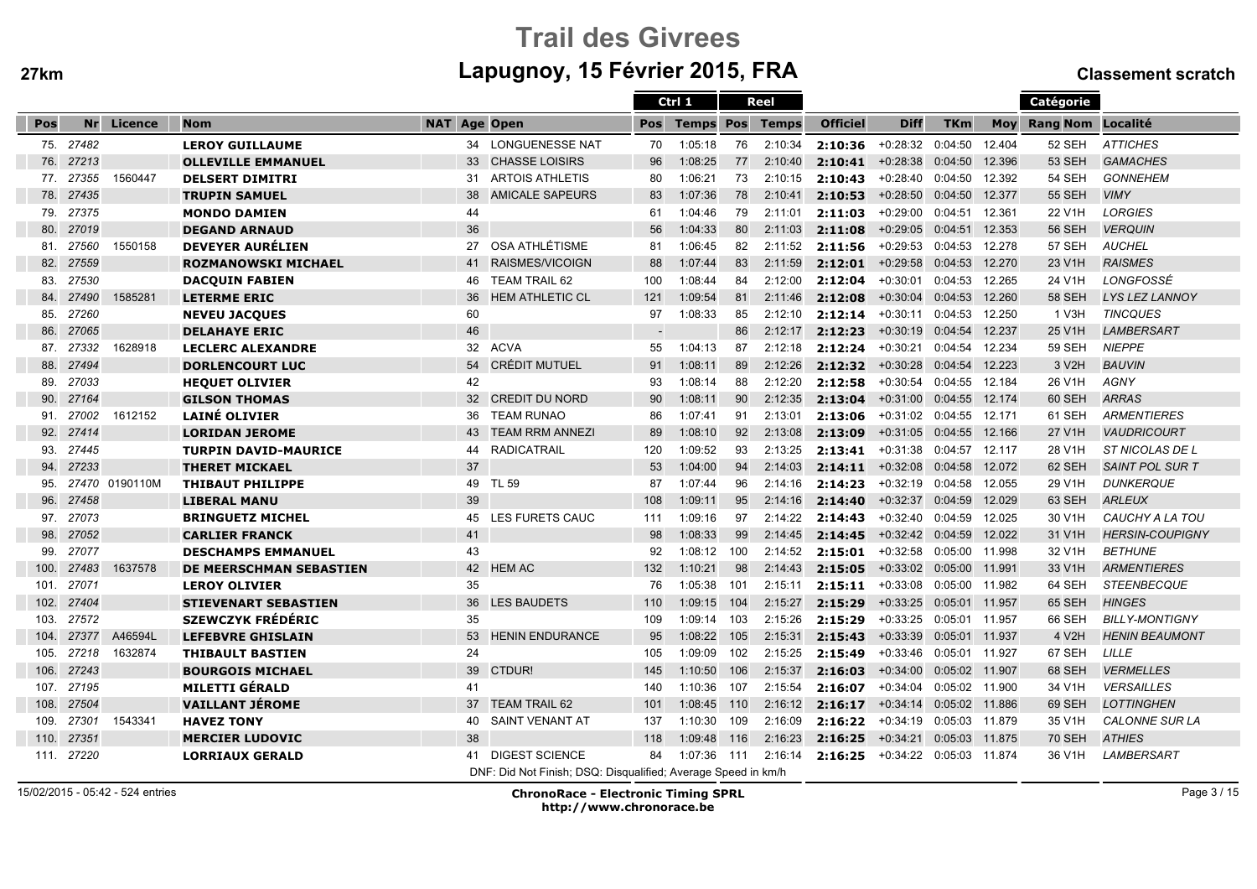# Trail des Givreesm Lapugnoy, 15 Février 2015, FRA Classement scratch

|      |           |                |                                |                     |                                                               |     | Ctrl 1                 |     | Reel    |                 |                           |                |        | Catégorie           |                        |
|------|-----------|----------------|--------------------------------|---------------------|---------------------------------------------------------------|-----|------------------------|-----|---------|-----------------|---------------------------|----------------|--------|---------------------|------------------------|
| Pos  | <b>Nr</b> | Licence        | <b>Nom</b>                     | <b>NAT Age Open</b> |                                                               | Pos | <b>Temps Pos Temps</b> |     |         | <b>Officiel</b> | <b>Diff</b>               | <b>TKm</b>     | Mov    | Rang Nom Localité   |                        |
|      | 75. 27482 |                | <b>LEROY GUILLAUME</b>         |                     | 34 LONGUENESSE NAT                                            | 70  | 1:05:18                | 76  | 2:10:34 | 2:10:36         | $+0:28:32$                | 0:04:50        | 12.404 | 52 SEH              | <b>ATTICHES</b>        |
| 76.  | 27213     |                | <b>OLLEVILLE EMMANUEL</b>      | 33                  | <b>CHASSE LOISIRS</b>                                         | 96  | 1:08:25                | 77  | 2:10:40 | 2:10:41         | $+0:28:38$                | 0:04:50        | 12.396 | <b>53 SEH</b>       | <b>GAMACHES</b>        |
|      | 77. 27355 | 1560447        | <b>DELSERT DIMITRI</b>         | 31                  | <b>ARTOIS ATHLETIS</b>                                        | 80  | 1:06:21                | 73  | 2:10:15 | 2:10:43         | $+0:28:40$                | 0:04:50        | 12.392 | 54 SEH              | <b>GONNEHEM</b>        |
| 78.  | 27435     |                | <b>TRUPIN SAMUEL</b>           | 38                  | <b>AMICALE SAPEURS</b>                                        | 83  | 1:07:36                | 78  | 2:10:41 | 2:10:53         | $+0:28:50$                | 0:04:50        | 12,377 | <b>55 SEH</b>       | <b>VIMY</b>            |
| 79.  | 27375     |                | <b>MONDO DAMIEN</b>            | 44                  |                                                               | 61  | 1:04:46                | 79  | 2:11:01 | 2:11:03         | $+0:29:00$                | 0:04:51        | 12.361 | 22 V1H              | <b>LORGIES</b>         |
| 80.  | 27019     |                | <b>DEGAND ARNAUD</b>           | 36                  |                                                               | 56  | 1:04:33                | 80  | 2:11:03 | 2:11:08         | $+0:29:05$                | 0:04:51        | 12.353 | <b>56 SEH</b>       | <b>VERQUIN</b>         |
| 81.  | 27560     | 1550158        | <b>DEVEYER AURÉLIEN</b>        | 27                  | OSA ATHLÉTISME                                                | 81  | 1:06:45                | 82  | 2:11:52 | 2:11:56         | $+0:29:53$                | 0:04:53 12.278 |        | 57 SEH              | <b>AUCHEL</b>          |
| 82.  | 27559     |                | <b>ROZMANOWSKI MICHAEL</b>     | 41                  | RAISMES/VICOIGN                                               | 88  | 1:07:44                | 83  | 2:11:59 | 2:12:01         | $+0.29:58$                | 0:04:53        | 12.270 | 23 V1H              | <b>RAISMES</b>         |
| 83.  | 27530     |                | <b>DACQUIN FABIEN</b>          | 46                  | <b>TEAM TRAIL 62</b>                                          | 100 | 1:08:44                | 84  | 2:12:00 | 2:12:04         | $+0:30:01$                | 0:04:53        | 12.265 | 24 V1H              | LONGFOSSÉ              |
| 84.  | 27490     | 1585281        | <b>LETERME ERIC</b>            | 36                  | <b>HEM ATHLETIC CL</b>                                        | 121 | 1:09:54                | 81  | 2:11:46 | 2:12:08         | $+0:30:04$                | 0:04:53        | 12.260 | 58 SEH              | <b>LYS LEZ LANNOY</b>  |
| 85.  | 27260     |                | <b>NEVEU JACQUES</b>           | 60                  |                                                               | 97  | 1:08:33                | 85  | 2:12:10 | 2:12:14         | $+0:30:11$                | 0:04:53        | 12.250 | 1 V3H               | <b>TINCQUES</b>        |
| 86.  | 27065     |                | <b>DELAHAYE ERIC</b>           | 46                  |                                                               |     |                        | 86  | 2:12:17 | 2:12:23         | $+0:30:19$ 0:04:54        |                | 12.237 | 25 V1H              | <b>LAMBERSART</b>      |
| 87.  | 27332     | 1628918        | <b>LECLERC ALEXANDRE</b>       | 32                  | <b>ACVA</b>                                                   | 55  | 1:04:13                | 87  | 2:12:18 | 2:12:24         | $+0:30:21$                | 0:04:54        | 12.234 | <b>59 SEH</b>       | <b>NIEPPE</b>          |
| 88.  | 27494     |                | <b>DORLENCOURT LUC</b>         | 54                  | <b>CRÉDIT MUTUEL</b>                                          | 91  | 1:08:11                | 89  | 2:12:26 | 2:12:32         | $+0:30:28$                | 0:04:54        | 12.223 | 3 V2H               | <b>BAUVIN</b>          |
| 89.  | 27033     |                | <b>HEQUET OLIVIER</b>          | 42                  |                                                               | 93  | 1:08:14                | 88  | 2:12:20 | 2:12:58         | $+0:30:54$                | 0:04:55        | 12.184 | 26 V1H              | <b>AGNY</b>            |
| 90.  | 27164     |                | <b>GILSON THOMAS</b>           |                     | 32 CREDIT DU NORD                                             | 90  | 1:08:11                | 90  | 2:12:35 | 2:13:04         | +0:31:00 0:04:55 12.174   |                |        | 60 SEH              | <b>ARRAS</b>           |
| 91.  | 27002     | 1612152        | <b>LAINÉ OLIVIER</b>           | 36                  | <b>TEAM RUNAO</b>                                             | 86  | 1:07:41                | 91  | 2:13:01 | 2:13:06         | +0:31:02 0:04:55 12.171   |                |        | 61 SEH              | <b>ARMENTIERES</b>     |
| 92.  | 27414     |                | <b>LORIDAN JEROME</b>          | 43                  | <b>TEAM RRM ANNEZI</b>                                        | 89  | 1:08:10                | 92  | 2:13:08 | 2:13:09         | $+0:31:05$                | 0:04:55        | 12.166 | 27 V1H              | <b>VAUDRICOURT</b>     |
| 93.  | 27445     |                | <b>TURPIN DAVID-MAURICE</b>    | 44                  | <b>RADICATRAIL</b>                                            | 120 | 1:09:52                | 93  | 2:13:25 | 2:13:41         | $+0:31:38$                | 0:04:57 12.117 |        | 28 V <sub>1</sub> H | ST NICOLAS DE L        |
| 94.  | 27233     |                | <b>THERET MICKAEL</b>          | 37                  |                                                               | 53  | 1:04:00                | 94  | 2:14:03 | 2:14:11         | $+0:32:08$                | 0:04:58        | 12.072 | 62 SEH              | <b>SAINT POL SUR T</b> |
| 95.  |           | 27470 0190110M | <b>THIBAUT PHILIPPE</b>        | 49                  | <b>TL 59</b>                                                  | 87  | 1:07:44                | 96  | 2:14:16 | 2:14:23         | $+0:32:19$                | 0:04:58        | 12.055 | 29 V1H              | <b>DUNKERQUE</b>       |
| 96.  | 27458     |                | <b>LIBERAL MANU</b>            | 39                  |                                                               | 108 | 1:09:11                | 95  | 2:14:16 | 2:14:40         | $+0:32:37$                | 0:04:59        | 12.029 | 63 SEH              | <b>ARLEUX</b>          |
| 97.  | 27073     |                | <b>BRINGUETZ MICHEL</b>        | 45                  | LES FURETS CAUC                                               | 111 | 1:09:16                | 97  | 2:14:22 | 2:14:43         | $+0:32:40$                | 0:04:59 12.025 |        | 30 V1H              | CAUCHY A LA TOU        |
| 98.  | 27052     |                | <b>CARLIER FRANCK</b>          | 41                  |                                                               | 98  | 1:08:33                | 99  | 2:14:45 | 2:14:45         | $+0.32:42$ 0:04:59        |                | 12.022 | 31 V1H              | <b>HERSIN-COUPIGNY</b> |
| 99.  | 27077     |                | <b>DESCHAMPS EMMANUEL</b>      | 43                  |                                                               | 92  | 1:08:12                | 100 | 2:14:52 | 2:15:01         | $+0:32:58$                | 0:05:00 11.998 |        | 32 V1H              | <b>BETHUNE</b>         |
| 100. | 27483     | 1637578        | <b>DE MEERSCHMAN SEBASTIEN</b> | 42                  | <b>HEM AC</b>                                                 | 132 | 1:10:21                | 98  | 2:14:43 | 2:15:05         | $+0:33:02$                | 0:05:00        | 11.991 | 33 V <sub>1</sub> H | <b>ARMENTIERES</b>     |
| 101. | 27071     |                | <b>LEROY OLIVIER</b>           | 35                  |                                                               | 76  | 1:05:38                | 101 | 2:15:11 | 2:15:11         | $+0:33:08$                | 0:05:00        | 11.982 | 64 SEH              | <b>STEENBECQUE</b>     |
| 102. | 27404     |                | <b>STIEVENART SEBASTIEN</b>    | 36                  | <b>LES BAUDETS</b>                                            | 110 | 1:09:15                | 104 | 2:15:27 | 2:15:29         | +0:33:25  0:05:01  11.957 |                |        | 65 SEH              | <b>HINGES</b>          |
| 103. | 27572     |                | <b>SZEWCZYK FRÉDÉRIC</b>       | 35                  |                                                               | 109 | 1:09:14                | 103 | 2:15:26 | 2:15:29         | $+0:33:25$                | 0:05:01 11.957 |        | 66 SEH              | <b>BILLY-MONTIGNY</b>  |
| 104. | 27377     | A46594L        | <b>LEFEBVRE GHISLAIN</b>       | 53                  | <b>HENIN ENDURANCE</b>                                        | 95  | 1:08:22                | 105 | 2:15:31 | 2:15:43         | $+0:33:39$                | 0:05:01 11.937 |        | 4 V2H               | <b>HENIN BEAUMONT</b>  |
| 105. | 27218     | 1632874        | <b>THIBAULT BASTIEN</b>        | 24                  |                                                               | 105 | 1:09:09                | 102 | 2:15:25 | 2:15:49         | $+0:33:46$                | 0:05:01 11.927 |        | 67 SEH              | LILLE                  |
| 106. | 27243     |                | <b>BOURGOIS MICHAEL</b>        | 39                  | CTDUR!                                                        | 145 | 1:10:50                | 106 | 2:15:37 | 2:16:03         | $+0:34:00$                | 0:05:02 11.907 |        | 68 SEH              | <b>VERMELLES</b>       |
| 107. | 27195     |                | <b>MILETTI GÉRALD</b>          | 41                  |                                                               | 140 | 1:10:36                | 107 | 2:15:54 | 2:16:07         | $+0:34:04$                | 0:05:02 11.900 |        | 34 V1H              | <b>VERSAILLES</b>      |
| 108. | 27504     |                | <b>VAILLANT JÉROME</b>         | 37                  | <b>TEAM TRAIL 62</b>                                          | 101 | 1:08:45                | 110 | 2:16:12 | 2:16:17         | $+0:34:14$                | 0:05:02 11.886 |        | 69 SEH              | <b>LOTTINGHEN</b>      |
| 109. | 27301     | 1543341        | <b>HAVEZ TONY</b>              | 40                  | <b>SAINT VENANT AT</b>                                        | 137 | 1:10:30                | 109 | 2:16:09 | 2:16:22         | $+0:34:19$                | 0:05:03 11.879 |        | 35 V1H              | <b>CALONNE SUR LA</b>  |
| 110. | 27351     |                | <b>MERCIER LUDOVIC</b>         | 38                  |                                                               | 118 | 1:09:48                | 116 | 2:16:23 | 2:16:25         | $+0:34:21$                | 0:05:03        | 11.875 | <b>70 SEH</b>       | <b>ATHIES</b>          |
| 111. | 27220     |                | <b>LORRIAUX GERALD</b>         | 41                  | <b>DIGEST SCIENCE</b>                                         | 84  | 1:07:36                | 111 | 2:16:14 | 2:16:25         | $+0:34:22$                | 0:05:03        | 11.874 | 36 V1H              | LAMBERSART             |
|      |           |                |                                |                     | DNF: Did Not Finish; DSQ: Disqualified; Average Speed in km/h |     |                        |     |         |                 |                           |                |        |                     |                        |

15/02/2015 - 05:42 - 524 entries

ChronoRace - Electronic Timing SPRL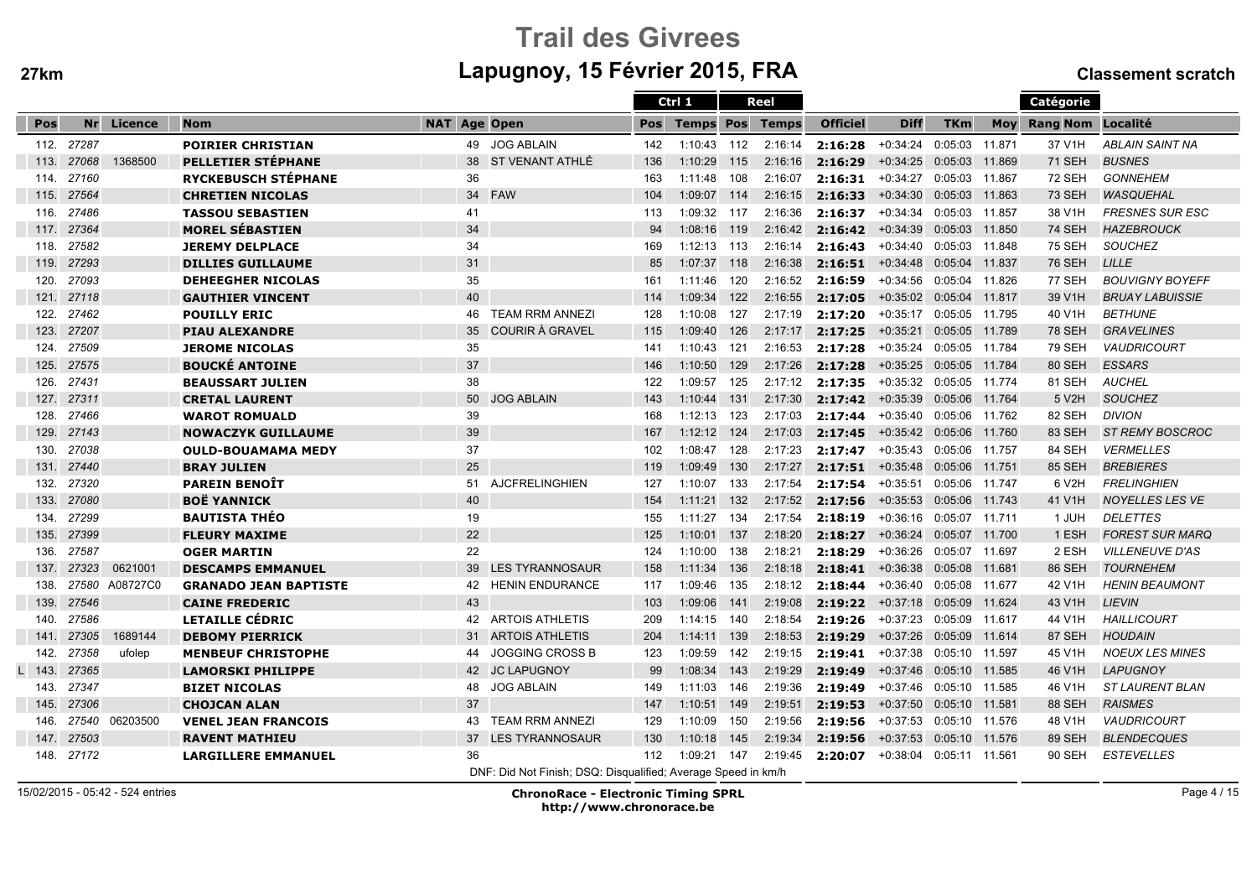# Trail des Givreesm Lapugnoy, 15 Février 2015, FRA Classement scratch

|      |            |                |                              |                     |                                                               |     | Ctrl 1           |     | Reel         |                 |                           |                |        | Catégorie         |                        |
|------|------------|----------------|------------------------------|---------------------|---------------------------------------------------------------|-----|------------------|-----|--------------|-----------------|---------------------------|----------------|--------|-------------------|------------------------|
| Pos  | Nr         | Licence        | <b>Nom</b>                   | <b>NAT Age Open</b> |                                                               | Pos | <b>Temps Pos</b> |     | <b>Temps</b> | <b>Officiel</b> | <b>Diff</b>               | <b>TKm</b>     | Mov    | Rang Nom Localité |                        |
|      | 112. 27287 |                | <b>POIRIER CHRISTIAN</b>     | 49                  | <b>JOG ABLAIN</b>                                             | 142 | 1:10:43          | 112 | 2:16:14      | 2:16:28         | $+0:34:24$                | 0:05:03        | 11.871 | 37 V1H            | <b>ABLAIN SAINT NA</b> |
| 113. | 27068      | 1368500        | PELLETIER STÉPHANE           | 38                  | ST VENANT ATHLÉ                                               | 136 | 1:10:29          | 115 | 2:16:16      | 2:16:29         | $+0:34:25$                | 0:05:03        | 11.869 | <b>71 SEH</b>     | <b>BUSNES</b>          |
| 114. | 27160      |                | <b>RYCKEBUSCH STÉPHANE</b>   | 36                  |                                                               | 163 | 1:11:48          | 108 | 2:16:07      | 2:16:31         | $+0:34:27$                | 0:05:03 11.867 |        | <b>72 SEH</b>     | <b>GONNEHEM</b>        |
| 115. | 27564      |                | <b>CHRETIEN NICOLAS</b>      | 34                  | <b>FAW</b>                                                    | 104 | 1:09:07          | 114 | 2:16:15      | 2:16:33         | $+0:34:30$                | 0:05:03 11.863 |        | <b>73 SEH</b>     | <b>WASQUEHAL</b>       |
| 116. | 27486      |                | <b>TASSOU SEBASTIEN</b>      | 41                  |                                                               | 113 | 1:09:32 117      |     | 2:16:36      | 2:16:37         | $+0:34:34$                | 0:05:03 11.857 |        | 38 V1H            | FRESNES SUR ESC        |
| 117. | 27364      |                | <b>MOREL SÉBASTIEN</b>       | 34                  |                                                               | 94  | 1:08:16 119      |     | 2:16:42      | 2:16:42         | +0:34:39 0:05:03 11.850   |                |        | 74 SEH            | <b>HAZEBROUCK</b>      |
| 118. | 27582      |                | <b>JEREMY DELPLACE</b>       | 34                  |                                                               | 169 | 1:12:13          | 113 | 2:16:14      | 2:16:43         | $+0:34:40$                | 0:05:03 11.848 |        | <b>75 SEH</b>     | <b>SOUCHEZ</b>         |
| 119. | 27293      |                | <b>DILLIES GUILLAUME</b>     | 31                  |                                                               | 85  | 1:07:37          | 118 | 2:16:38      | 2:16:51         | $+0:34:48$                | 0:05:04 11.837 |        | <b>76 SEH</b>     | LILLE                  |
| 120. | 27093      |                | <b>DEHEEGHER NICOLAS</b>     | 35                  |                                                               | 161 | 1:11:46          | 120 | 2:16:52      | 2:16:59         | $+0:34:56$                | 0:05:04 11.826 |        | 77 SEH            | <b>BOUVIGNY BOYEFF</b> |
| 121. | 27118      |                | <b>GAUTHIER VINCENT</b>      | 40                  |                                                               | 114 | 1:09:34          | 122 | 2:16:55      | 2:17:05         | +0:35:02  0:05:04  11.817 |                |        | 39 V1H            | <b>BRUAY LABUISSIE</b> |
| 122. | 27462      |                | <b>POUILLY ERIC</b>          | 46                  | <b>TEAM RRM ANNEZI</b>                                        | 128 | 1:10:08          | 127 | 2:17:19      | 2:17:20         | +0:35:17                  | 0:05:05 11.795 |        | 40 V1H            | <b>BETHUNE</b>         |
| 123. | 27207      |                | <b>PIAU ALEXANDRE</b>        | 35                  | COURIR À GRAVEL                                               | 115 | 1:09:40          | 126 | 2:17:17      | 2:17:25         | $+0:35:21$                | 0:05:05 11.789 |        | <b>78 SEH</b>     | <b>GRAVELINES</b>      |
| 124. | 27509      |                | <b>JEROME NICOLAS</b>        | 35                  |                                                               | 141 | 1:10:43          | 121 | 2:16:53      | 2:17:28         | +0:35:24                  | 0:05:05 11.784 |        | 79 SEH            | <b>VAUDRICOURT</b>     |
| 125. | 27575      |                | <b>BOUCKÉ ANTOINE</b>        | 37                  |                                                               | 146 | 1:10:50          | 129 | 2:17:26      | 2:17:28         | $+0:35:25$                | 0:05:05 11.784 |        | 80 SEH            | <b>ESSARS</b>          |
| 126. | 27431      |                | <b>BEAUSSART JULIEN</b>      | 38                  |                                                               | 122 | 1:09:57          | 125 | 2:17:12      | 2:17:35         | $+0:35:32$                | 0:05:05 11.774 |        | 81 SEH            | <b>AUCHEL</b>          |
|      | 127. 27311 |                | <b>CRETAL LAURENT</b>        | 50                  | <b>JOG ABLAIN</b>                                             | 143 | 1:10:44          | 131 | 2:17:30      | 2:17:42         | +0:35:39  0:05:06  11.764 |                |        | 5 V2H             | <b>SOUCHEZ</b>         |
| 128. | 27466      |                | <b>WAROT ROMUALD</b>         | 39                  |                                                               | 168 | 1:12:13          | 123 | 2:17:03      | 2:17:44         | +0:35:40 0:05:06 11.762   |                |        | 82 SEH            | <b>DIVION</b>          |
| 129. | 27143      |                | <b>NOWACZYK GUILLAUME</b>    | 39                  |                                                               | 167 | $1:12:12$ 124    |     | 2:17:03      | 2:17:45         | +0:35:42 0:05:06 11.760   |                |        | 83 SEH            | <b>ST REMY BOSCROC</b> |
| 130. | 27038      |                | <b>OULD-BOUAMAMA MEDY</b>    | 37                  |                                                               | 102 | 1:08:47          | 128 | 2:17:23      | 2:17:47         | $+0:35:43$                | 0:05:06 11.757 |        | 84 SEH            | <b>VERMELLES</b>       |
| 131. | 27440      |                | <b>BRAY JULIEN</b>           | 25                  |                                                               | 119 | 1:09:49          | 130 | 2:17:27      | 2:17:51         | $+0:35:48$                | 0:05:06 11.751 |        | 85 SEH            | <b>BREBIERES</b>       |
| 132. | 27320      |                | <b>PAREIN BENOIT</b>         | 51                  | <b>AJCFRELINGHIEN</b>                                         | 127 | 1:10:07          | 133 | 2:17:54      | 2:17:54         | $+0:35:51$                | 0:05:06 11.747 |        | 6 V2H             | <b>FRELINGHIEN</b>     |
| 133. | 27080      |                | <b>BOË YANNICK</b>           | 40                  |                                                               | 154 | 1:11:21          | 132 | 2:17:52      | 2:17:56         | $+0:35:53$                | 0:05:06 11.743 |        | 41 V1H            | <b>NOYELLES LES VE</b> |
| 134. | 27299      |                | <b>BAUTISTA THÉO</b>         | 19                  |                                                               | 155 | 1:11:27          | 134 | 2:17:54      | 2:18:19         | $+0:36:16$                | 0:05:07 11.711 |        | 1 JUH             | <b>DELETTES</b>        |
| 135. | 27399      |                | <b>FLEURY MAXIME</b>         | 22                  |                                                               | 125 | 1:10:01          | 137 | 2:18:20      | 2:18:27         | $+0:36:24$                | 0:05:07 11.700 |        | 1 ESH             | <b>FOREST SUR MARQ</b> |
| 136. | 27587      |                | <b>OGER MARTIN</b>           | 22                  |                                                               | 124 | 1:10:00          | 138 | 2:18:21      | 2:18:29         | $+0:36:26$                | 0:05:07 11.697 |        | 2 ESH             | <b>VILLENEUVE D'AS</b> |
| 137. | 27323      | 0621001        | <b>DESCAMPS EMMANUEL</b>     | 39                  | <b>LES TYRANNOSAUR</b>                                        | 158 | 1:11:34          | 136 | 2:18:18      | 2:18:41         | $+0:36:38$                | 0:05:08 11.681 |        | <b>86 SEH</b>     | <b>TOURNEHEM</b>       |
| 138. |            | 27580 A08727C0 | <b>GRANADO JEAN BAPTISTE</b> | 42                  | <b>HENIN ENDURANCE</b>                                        | 117 | 1:09:46          | 135 | 2:18:12      | 2:18:44         | $+0:36:40$                | 0:05:08 11.677 |        | 42 V1H            | <b>HENIN BEAUMONT</b>  |
| 139. | 27546      |                | <b>CAINE FREDERIC</b>        | 43                  |                                                               | 103 | 1:09:06          | 141 | 2:19:08      | 2:19:22         | $+0:37:18$                | 0:05:09        | 11.624 | 43 V1H            | <b>LIEVIN</b>          |
| 140. | 27586      |                | LETAILLE CÉDRIC              | 42                  | <b>ARTOIS ATHLETIS</b>                                        | 209 | 1:14:15          | 140 | 2:18:54      | 2:19:26         | +0:37:23 0:05:09 11.617   |                |        | 44 V1H            | <b>HAILLICOURT</b>     |
| 141. | 27305      | 1689144        | <b>DEBOMY PIERRICK</b>       | 31                  | <b>ARTOIS ATHLETIS</b>                                        | 204 | 1:14:11          | 139 | 2:18:53      | 2:19:29         | $+0:37:26$                | 0:05:09 11.614 |        | 87 SEH            | <b>HOUDAIN</b>         |
| 142. | 27358      | ufolep         | <b>MENBEUF CHRISTOPHE</b>    | 44                  | <b>JOGGING CROSS B</b>                                        | 123 | 1:09:59          | 142 | 2:19:15      | 2:19:41         | +0:37:38                  | 0:05:10 11.597 |        | 45 V1H            | <b>NOEUX LES MINES</b> |
| 143. | 27365      |                | <b>LAMORSKI PHILIPPE</b>     | 42                  | <b>JC LAPUGNOY</b>                                            | 99  | 1:08:34          | 143 | 2:19:29      | 2:19:49         | +0:37:46 0:05:10 11.585   |                |        | 46 V1H            | <b>LAPUGNOY</b>        |
| 143. | 27347      |                | <b>BIZET NICOLAS</b>         | 48                  | <b>JOG ABLAIN</b>                                             | 149 | 1:11:03          | 146 | 2:19:36      | 2:19:49         | $+0:37:46$                | 0:05:10 11.585 |        | 46 V1H            | <b>ST LAURENT BLAN</b> |
| 145. | 27306      |                | <b>CHOJCAN ALAN</b>          | 37                  |                                                               | 147 | 1:10:51          | 149 | 2:19:51      | 2:19:53         | $+0:37:50$                | 0:05:10 11.581 |        | <b>88 SEH</b>     | <b>RAISMES</b>         |
| 146. | 27540      | 06203500       | <b>VENEL JEAN FRANCOIS</b>   | 43                  | <b>TEAM RRM ANNEZI</b>                                        | 129 | 1:10:09          | 150 | 2:19:56      | 2:19:56         | $+0:37:53$                | 0:05:10 11.576 |        | 48 V1H            | <b>VAUDRICOURT</b>     |
| 147. | 27503      |                | <b>RAVENT MATHIEU</b>        | 37                  | <b>LES TYRANNOSAUR</b>                                        | 130 | 1:10:18          | 145 | 2:19:34      | 2:19:56         | $+0:37:53$                | 0:05:10 11.576 |        | 89 SEH            | <b>BLENDECQUES</b>     |
|      | 148. 27172 |                | <b>LARGILLERE EMMANUEL</b>   | 36                  |                                                               | 112 | 1:09:21          | 147 | 2:19:45      | 2:20:07         | +0:38:04                  | 0:05:11 11.561 |        | 90 SEH            | <b>ESTEVELLES</b>      |
|      |            |                |                              |                     | DNF: Did Not Finish: DSQ: Disqualified: Average Speed in km/h |     |                  |     |              |                 |                           |                |        |                   |                        |

15/02/2015 - 05:42 - 524 entries

ChronoRace - Electronic Timing SPRL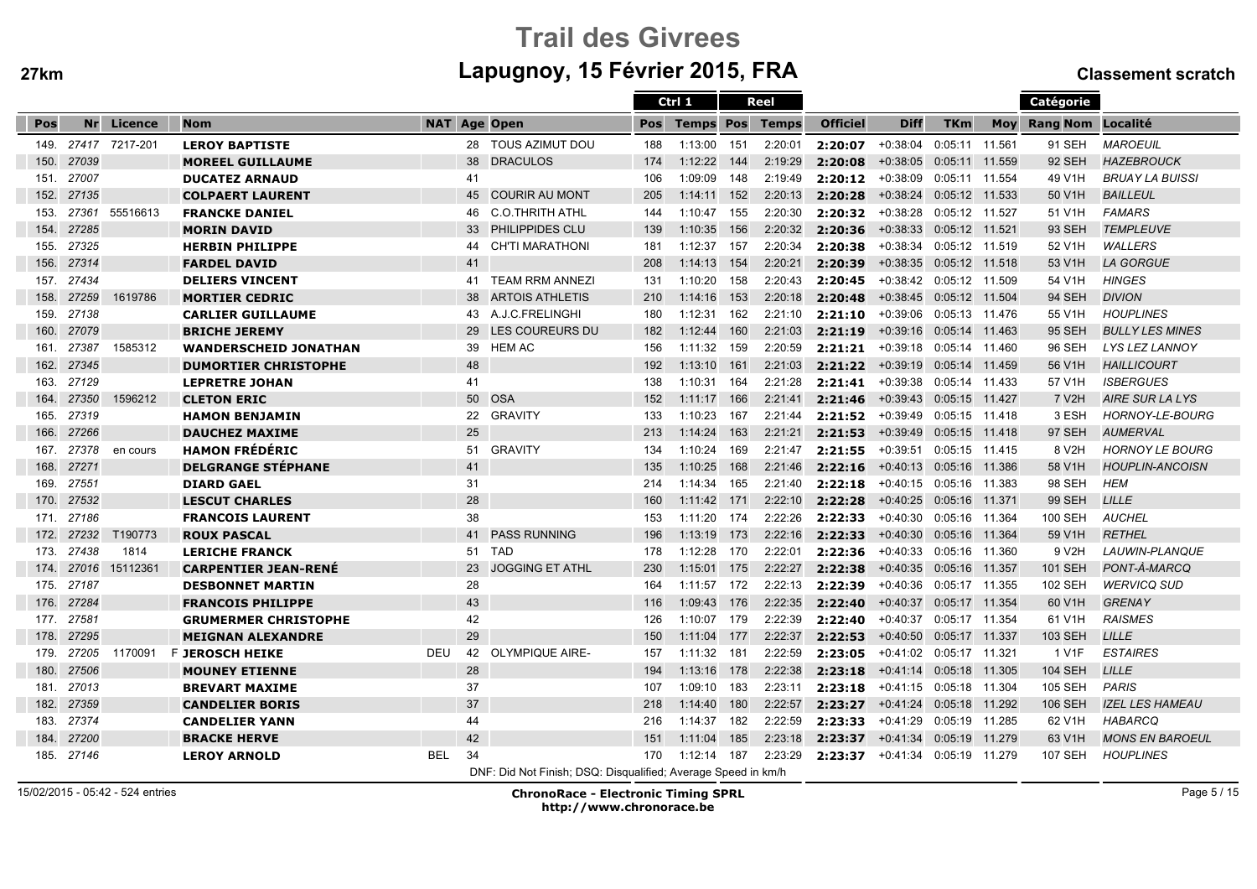# Trail des Givreesm Lapugnoy, 15 Février 2015, FRA Classement scratch

|      |            |                |                              |            |    |                                                               |     | Ctrl 1                 |       | Reel    |                 |                           |                |     | Catégorie                |                        |
|------|------------|----------------|------------------------------|------------|----|---------------------------------------------------------------|-----|------------------------|-------|---------|-----------------|---------------------------|----------------|-----|--------------------------|------------------------|
| Pos  |            | Nr Licence     | <b>Nom</b>                   |            |    | <b>NAT Age Open</b>                                           | Pos | <b>Temps Pos Temps</b> |       |         | <b>Officiel</b> | <b>Diff</b>               | <b>TKm</b>     | Moy | <b>Rang Nom Localité</b> |                        |
| 149. |            | 27417 7217-201 | <b>LEROY BAPTISTE</b>        |            |    | 28 TOUS AZIMUT DOU                                            | 188 | 1:13:00                | 151   | 2:20:01 | 2:20:07         | $+0:38:04$                | 0:05:11 11.561 |     | 91 SEH                   | <b>MAROEUIL</b>        |
| 150. | 27039      |                | <b>MOREEL GUILLAUME</b>      |            | 38 | <b>DRACULOS</b>                                               | 174 | 1:12:22                | 144   | 2:19:29 | 2:20:08         | $+0:38:05$                | 0:05:11 11.559 |     | 92 SEH                   | <b>HAZEBROUCK</b>      |
| 151. | 27007      |                | <b>DUCATEZ ARNAUD</b>        |            | 41 |                                                               | 106 | 1:09:09                | 148   | 2:19:49 | 2:20:12         | $+0:38:09$                | 0:05:11 11.554 |     | 49 V1H                   | <b>BRUAY LA BUISSI</b> |
| 152. | 27135      |                | <b>COLPAERT LAURENT</b>      |            |    | 45 COURIR AU MONT                                             | 205 | 1:14:11                | 152   | 2:20:13 | 2:20:28         | +0:38:24 0:05:12 11.533   |                |     | 50 V1H                   | <b>BAILLEUL</b>        |
| 153. | 27361      | 55516613       | <b>FRANCKE DANIEL</b>        |            | 46 | <b>C.O.THRITH ATHL</b>                                        | 144 | 1:10:47                | 155   | 2:20:30 | 2:20:32         | +0:38:28  0:05:12  11.527 |                |     | 51 V1H                   | <b>FAMARS</b>          |
| 154. | 27285      |                | <b>MORIN DAVID</b>           |            | 33 | PHILIPPIDES CLU                                               | 139 | 1:10:35                | 156   | 2:20:32 | 2:20:36         | +0:38:33 0:05:12 11.521   |                |     | 93 SEH                   | <b>TEMPLEUVE</b>       |
| 155. | 27325      |                | <b>HERBIN PHILIPPE</b>       |            | 44 | <b>CH'TI MARATHONI</b>                                        | 181 | 1:12:37                | 157   | 2:20:34 | 2:20:38         | +0:38:34  0:05:12  11.519 |                |     | 52 V1H                   | <b>WALLERS</b>         |
| 156. | 27314      |                | <b>FARDEL DAVID</b>          |            | 41 |                                                               | 208 | 1:14:13                | 154   | 2:20:21 | 2:20:39         | $+0:38:35$                | 0:05:12 11.518 |     | 53 V1H                   | <b>LA GORGUE</b>       |
| 157. | 27434      |                | <b>DELIERS VINCENT</b>       |            | 41 | <b>TEAM RRM ANNEZI</b>                                        | 131 | 1:10:20                | 158   | 2:20:43 | 2:20:45         | $+0:38:42$                | 0:05:12 11.509 |     | 54 V1H                   | <b>HINGES</b>          |
| 158. | 27259      | 1619786        | <b>MORTIER CEDRIC</b>        |            | 38 | <b>ARTOIS ATHLETIS</b>                                        | 210 | 1:14:16                | 153   | 2:20:18 | 2:20:48         | +0:38:45  0:05:12  11.504 |                |     | 94 SEH                   | <b>DIVION</b>          |
| 159. | 27138      |                | <b>CARLIER GUILLAUME</b>     |            | 43 | A.J.C.FRELINGHI                                               | 180 | 1:12:31                | 162   | 2:21:10 | 2:21:10         | $+0:39:06$                | 0:05:13 11.476 |     | 55 V1H                   | <b>HOUPLINES</b>       |
| 160. | 27079      |                | <b>BRICHE JEREMY</b>         |            | 29 | LES COUREURS DU                                               | 182 | 1:12:44                | 160   | 2:21:03 | 2:21:19         | +0:39:16  0:05:14  11.463 |                |     | 95 SEH                   | <b>BULLY LES MINES</b> |
| 161. | 27387      | 1585312        | <b>WANDERSCHEID JONATHAN</b> |            | 39 | <b>HEM AC</b>                                                 | 156 | 1:11:32                | 159   | 2:20:59 | 2:21:21         | $+0:39:18$                | 0:05:14 11.460 |     | 96 SEH                   | LYS LEZ LANNOY         |
| 162. | 27345      |                | <b>DUMORTIER CHRISTOPHE</b>  |            | 48 |                                                               | 192 | 1:13:10                | 161   | 2:21:03 | 2:21:22         | +0:39:19 0:05:14 11.459   |                |     | 56 V1H                   | <b>HAILLICOURT</b>     |
| 163. | 27129      |                | <b>LEPRETRE JOHAN</b>        |            | 41 |                                                               | 138 | 1:10:31                | 164   | 2:21:28 | 2:21:41         | $+0.39.38$                | 0:05:14 11.433 |     | 57 V1H                   | <b>ISBERGUES</b>       |
| 164. | 27350      | 1596212        | <b>CLETON ERIC</b>           |            |    | 50 OSA                                                        | 152 | 1:11:17                | 166   | 2:21:41 | 2:21:46         | +0:39:43  0:05:15  11.427 |                |     | 7 V2H                    | AIRE SUR LA LYS        |
| 165. | 27319      |                | <b>HAMON BENJAMIN</b>        |            | 22 | <b>GRAVITY</b>                                                | 133 | 1:10:23                | 167   | 2:21:44 | 2:21:52         | +0:39:49 0:05:15 11.418   |                |     | 3 ESH                    | HORNOY-LE-BOURG        |
| 166. | 27266      |                | <b>DAUCHEZ MAXIME</b>        |            | 25 |                                                               | 213 | 1:14:24                | 163   | 2:21:21 | 2:21:53         | +0:39:49  0:05:15  11.418 |                |     | 97 SEH                   | <b>AUMERVAL</b>        |
| 167. | 27378      | en cours       | <b>HAMON FRÉDÉRIC</b>        |            | 51 | <b>GRAVITY</b>                                                | 134 | 1:10:24                | 169   | 2:21:47 | 2:21:55         | +0:39:51 0:05:15 11.415   |                |     | 8 V2H                    | <b>HORNOY LE BOURG</b> |
| 168. | 27271      |                | <b>DELGRANGE STEPHANE</b>    |            | 41 |                                                               | 135 | 1:10:25                | 168   | 2:21:46 | 2:22:16         | +0:40:13 0:05:16 11.386   |                |     | 58 V1H                   | <b>HOUPLIN-ANCOISN</b> |
| 169. | 27551      |                | <b>DIARD GAEL</b>            |            | 31 |                                                               | 214 | 1:14:34                | 165   | 2:21:40 | 2:22:18         | +0:40:15 0:05:16 11.383   |                |     | 98 SEH                   | <b>HEM</b>             |
| 170. | 27532      |                | <b>LESCUT CHARLES</b>        |            | 28 |                                                               | 160 | 1:11:42                | 171   | 2:22:10 | 2:22:28         | $+0:40:25$                | 0:05:16 11.371 |     | <b>99 SEH</b>            | <b>LILLE</b>           |
| 171. | 27186      |                | <b>FRANCOIS LAURENT</b>      |            | 38 |                                                               | 153 | 1:11:20                | 174   | 2:22:26 | 2:22:33         | $+0:40:30$                | 0:05:16 11.364 |     | 100 SEH                  | <b>AUCHEL</b>          |
| 172. | 27232      | T190773        | <b>ROUX PASCAL</b>           |            | 41 | <b>PASS RUNNING</b>                                           | 196 | 1:13:19                | 173   | 2:22:16 | 2:22:33         | +0:40:30 0:05:16 11.364   |                |     | 59 V1H                   | <b>RETHEL</b>          |
| 173. | 27438      | 1814           | <b>LERICHE FRANCK</b>        |            | 51 | TAD                                                           | 178 | 1:12:28                | 170   | 2:22:01 | 2:22:36         | $+0:40:33$                | 0:05:16 11.360 |     | 9 V2H                    | LAUWIN-PLANQUE         |
| 174. | 27016      | 15112361       | <b>CARPENTIER JEAN-RENÉ</b>  |            | 23 | <b>JOGGING ET ATHL</b>                                        | 230 | 1:15:01                | 175   | 2:22:27 | 2:22:38         | +0:40:35 0:05:16 11.357   |                |     | <b>101 SEH</b>           | PONT-À-MARCQ           |
| 175. | 27187      |                | <b>DESBONNET MARTIN</b>      |            | 28 |                                                               | 164 | 1:11:57                | 172   | 2:22:13 | 2:22:39         | $+0:40:36$                | 0:05:17 11.355 |     | <b>102 SEH</b>           | <b>WERVICQ SUD</b>     |
| 176. | 27284      |                | <b>FRANCOIS PHILIPPE</b>     |            | 43 |                                                               | 116 | 1:09:43                | 176   | 2:22:35 | 2:22:40         | $+0:40:37$                | 0:05:17 11.354 |     | 60 V1H                   | <b>GRENAY</b>          |
| 177. | 27581      |                | <b>GRUMERMER CHRISTOPHE</b>  |            | 42 |                                                               | 126 | 1:10:07                | 179   | 2:22:39 | 2:22:40         | $+0:40:37$                | 0:05:17 11.354 |     | 61 V1H                   | <b>RAISMES</b>         |
| 178. | 27295      |                | <b>MEIGNAN ALEXANDRE</b>     |            | 29 |                                                               | 150 | 1:11:04 177            |       | 2:22:37 | 2:22:53         | +0:40:50  0:05:17  11.337 |                |     | 103 SEH                  | <b>LILLE</b>           |
| 179. | 27205      | 1170091        | F <b>JEROSCH HEIKE</b>       | <b>DEU</b> |    | 42 OLYMPIQUE AIRE-                                            | 157 | 1:11:32                | - 181 | 2:22:59 | 2:23:05         | +0:41:02 0:05:17 11.321   |                |     | 1 V1F                    | <b>ESTAIRES</b>        |
| 180. | 27506      |                | <b>MOUNEY ETIENNE</b>        |            | 28 |                                                               | 194 | 1:13:16                | 178   | 2:22:38 | 2:23:18         | +0:41:14 0:05:18 11.305   |                |     | <b>104 SEH</b>           | <b>LILLE</b>           |
| 181. | 27013      |                | <b>BREVART MAXIME</b>        |            | 37 |                                                               | 107 | 1:09:10                | 183   | 2:23:11 | 2:23:18         | +0:41:15 0:05:18 11.304   |                |     | 105 SEH                  | <b>PARIS</b>           |
| 182. | 27359      |                | <b>CANDELIER BORIS</b>       |            | 37 |                                                               | 218 | 1:14:40                | 180   | 2:22:57 | 2:23:27         | +0:41:24 0:05:18 11.292   |                |     | <b>106 SEH</b>           | <b>IZEL LES HAMEAU</b> |
| 183. | 27374      |                | <b>CANDELIER YANN</b>        |            | 44 |                                                               | 216 | 1:14:37                | 182   | 2:22:59 | 2:23:33         | +0:41:29                  | 0:05:19 11.285 |     | 62 V1H                   | HABARCQ                |
| 184. | 27200      |                | <b>BRACKE HERVE</b>          |            | 42 |                                                               | 151 | 1:11:04                | 185   | 2:23:18 | 2:23:37         | +0:41:34 0:05:19 11.279   |                |     | 63 V1H                   | <b>MONS EN BAROEUL</b> |
|      | 185. 27146 |                | <b>LEROY ARNOLD</b>          | <b>BEL</b> | 34 |                                                               | 170 | 1:12:14                | 187   | 2:23:29 | 2:23:37         | +0:41:34 0:05:19 11.279   |                |     | <b>107 SEH</b>           | <b>HOUPLINES</b>       |
|      |            |                |                              |            |    | DNF: Did Not Finish; DSQ: Disqualified; Average Speed in km/h |     |                        |       |         |                 |                           |                |     |                          |                        |

15/02/2015 - 05:42 - 524 entries

ChronoRace - Electronic Timing SPRL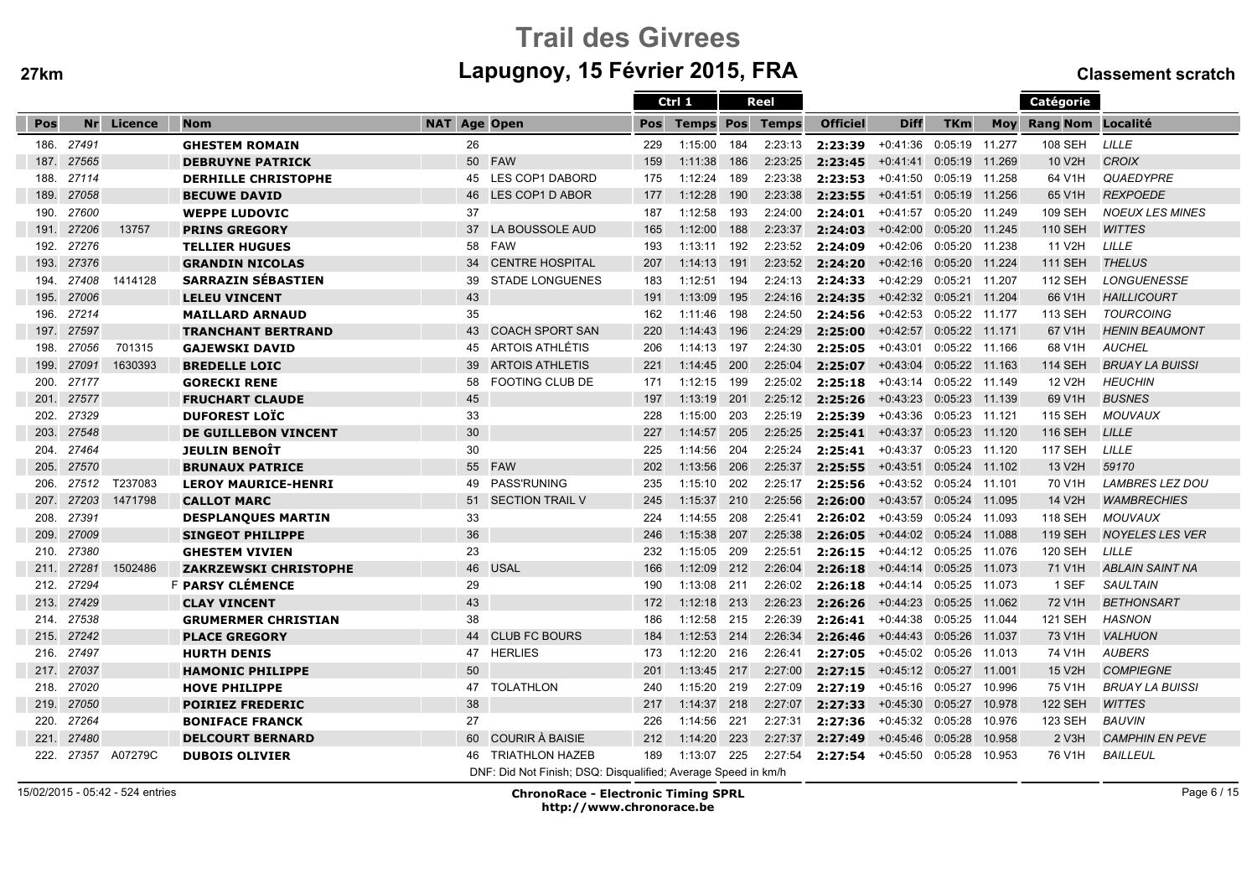# Trail des Givreesm Lapugnoy, 15 Février 2015, FRA Classement scratch

|      |       |         |                              |                     |                                                               |     | Ctrl 1                 |     | Reel    |                 |                           |                |            | Catégorie           |                        |
|------|-------|---------|------------------------------|---------------------|---------------------------------------------------------------|-----|------------------------|-----|---------|-----------------|---------------------------|----------------|------------|---------------------|------------------------|
| Pos  | Nr    | Licence | <b>Nom</b>                   | <b>NAT Age Open</b> |                                                               | Pos | <b>Temps Pos Temps</b> |     |         | <b>Officiel</b> | <b>Diff</b>               | <b>TKm</b>     | <b>Mov</b> | Rang Nom Localité   |                        |
| 186. | 27491 |         | <b>GHESTEM ROMAIN</b>        | 26                  |                                                               | 229 | 1:15:00                | 184 | 2:23:13 | 2:23:39         | +0:41:36                  | 0:05:19 11.277 |            | 108 SEH             | LILLE                  |
| 187. | 27565 |         | <b>DEBRUYNE PATRICK</b>      | 50                  | <b>FAW</b>                                                    | 159 | 1:11:38                | 186 | 2:23:25 | 2:23:45         | +0:41:41                  | 0:05:19 11.269 |            | 10 V2H              | <b>CROIX</b>           |
| 188. | 27114 |         | <b>DERHILLE CHRISTOPHE</b>   | 45                  | LES COP1 DABORD                                               | 175 | 1:12:24                | 189 | 2:23:38 | 2:23:53         | +0:41:50                  | 0:05:19 11.258 |            | 64 V1H              | <b>QUAEDYPRE</b>       |
| 189. | 27058 |         | <b>BECUWE DAVID</b>          | 46                  | LES COP1 D ABOR                                               | 177 | 1:12:28                | 190 | 2:23:38 | 2:23:55         | +0:41:51  0:05:19  11.256 |                |            | 65 V1H              | <b>REXPOEDE</b>        |
| 190. | 27600 |         | <b>WEPPE LUDOVIC</b>         | 37                  |                                                               | 187 | 1:12:58                | 193 | 2:24:00 | 2:24:01         | +0:41:57  0:05:20  11.249 |                |            | 109 SEH             | <b>NOEUX LES MINES</b> |
| 191. | 27206 | 13757   | <b>PRINS GREGORY</b>         | 37                  | LA BOUSSOLE AUD                                               | 165 | 1:12:00                | 188 | 2:23:37 | 2:24:03         | +0:42:00 0:05:20 11.245   |                |            | <b>110 SEH</b>      | <b>WITTES</b>          |
| 192. | 27276 |         | <b>TELLIER HUGUES</b>        | 58                  | <b>FAW</b>                                                    | 193 | 1:13:11                | 192 | 2:23:52 | 2:24:09         | $+0:42:06$                | 0:05:20 11.238 |            | 11 V2H              | LILLE                  |
| 193. | 27376 |         | <b>GRANDIN NICOLAS</b>       | 34                  | <b>CENTRE HOSPITAL</b>                                        | 207 | 1:14:13                | 191 | 2:23:52 | 2:24:20         | +0:42:16 0:05:20 11.224   |                |            | <b>111 SEH</b>      | <b>THELUS</b>          |
| 194. | 27408 | 1414128 | <b>SARRAZIN SÉBASTIEN</b>    | 39                  | <b>STADE LONGUENES</b>                                        | 183 | 1:12:51                | 194 | 2:24:13 | 2:24:33         | $+0:42:29$                | 0:05:21 11.207 |            | <b>112 SEH</b>      | <b>LONGUENESSE</b>     |
| 195. | 27006 |         | <b>LELEU VINCENT</b>         | 43                  |                                                               | 191 | 1:13:09                | 195 | 2:24:16 | 2:24:35         | +0:42:32 0:05:21 11.204   |                |            | 66 V1H              | <b>HAILLICOURT</b>     |
| 196. | 27214 |         | <b>MAILLARD ARNAUD</b>       | 35                  |                                                               | 162 | 1:11:46                | 198 | 2:24:50 | 2:24:56         | +0:42:53 0:05:22 11.177   |                |            | 113 SEH             | <b>TOURCOING</b>       |
| 197. | 27597 |         | <b>TRANCHANT BERTRAND</b>    | 43                  | <b>COACH SPORT SAN</b>                                        | 220 | 1:14:43                | 196 | 2:24:29 | 2:25:00         | +0:42:57 0:05:22 11.171   |                |            | 67 V1H              | <b>HENIN BEAUMONT</b>  |
| 198. | 27056 | 701315  | <b>GAJEWSKI DAVID</b>        | 45                  | ARTOIS ATHLÉTIS                                               | 206 | 1:14:13                | 197 | 2:24:30 | 2:25:05         | +0:43:01 0:05:22 11.166   |                |            | 68 V1H              | <b>AUCHEL</b>          |
| 199. | 27091 | 1630393 | <b>BREDELLE LOIC</b>         | 39                  | <b>ARTOIS ATHLETIS</b>                                        | 221 | 1:14:45                | 200 | 2:25:04 | 2:25:07         | $+0:43:04$                | 0:05:22 11.163 |            | <b>114 SEH</b>      | <b>BRUAY LA BUISSI</b> |
| 200. | 27177 |         | <b>GORECKI RENE</b>          | 58                  | <b>FOOTING CLUB DE</b>                                        | 171 | 1:12:15                | 199 | 2:25:02 | 2:25:18         | $+0:43:14$                | 0:05:22 11.149 |            | 12 V2H              | <b>HEUCHIN</b>         |
| 201. | 27577 |         | <b>FRUCHART CLAUDE</b>       | 45                  |                                                               | 197 | 1:13:19 201            |     | 2:25:12 | 2:25:26         | +0:43:23 0:05:23 11.139   |                |            | 69 V1H              | <b>BUSNES</b>          |
| 202. | 27329 |         | <b>DUFOREST LOTC</b>         | 33                  |                                                               | 228 | 1:15:00                | 203 | 2:25:19 | 2:25:39         | +0:43:36 0:05:23 11.121   |                |            | <b>115 SEH</b>      | <b>MOUVAUX</b>         |
| 203. | 27548 |         | <b>DE GUILLEBON VINCENT</b>  | 30                  |                                                               | 227 | 1:14:57                | 205 | 2:25:25 | 2:25:41         | +0:43:37 0:05:23 11.120   |                |            | <b>116 SEH</b>      | LILLE                  |
| 204. | 27464 |         | <b>JEULIN BENOÎT</b>         | 30                  |                                                               | 225 | 1:14:56                | 204 | 2:25:24 | 2:25:41         | $+0:43:37$                | 0:05:23 11.120 |            | <b>117 SEH</b>      | LILLE                  |
| 205. | 27570 |         | <b>BRUNAUX PATRICE</b>       | 55                  | <b>FAW</b>                                                    | 202 | 1:13:56                | 206 | 2:25:37 | 2:25:55         | $+0:43:51$                | 0:05:24 11.102 |            | 13 V2H              | 59170                  |
| 206. | 27512 | T237083 | <b>LEROY MAURICE-HENRI</b>   | 49                  | <b>PASS'RUNING</b>                                            | 235 | 1:15:10                | 202 | 2:25:17 | 2:25:56         | +0:43:52                  | 0:05:24 11.101 |            | 70 V1H              | <b>LAMBRES LEZ DOU</b> |
| 207. | 27203 | 1471798 | <b>CALLOT MARC</b>           | 51                  | <b>SECTION TRAIL V</b>                                        | 245 | 1:15:37                | 210 | 2:25:56 | 2:26:00         | +0:43:57  0:05:24  11.095 |                |            | 14 V2H              | <b>WAMBRECHIES</b>     |
| 208. | 27391 |         | <b>DESPLANQUES MARTIN</b>    | 33                  |                                                               | 224 | 1:14:55                | 208 | 2:25:41 | 2:26:02         | +0:43:59 0:05:24 11.093   |                |            | 118 SEH             | <b>MOUVAUX</b>         |
| 209. | 27009 |         | <b>SINGEOT PHILIPPE</b>      | 36                  |                                                               | 246 | 1:15:38                | 207 | 2:25:38 | 2:26:05         | +0:44:02 0:05:24 11.088   |                |            | <b>119 SEH</b>      | <b>NOYELES LES VER</b> |
| 210. | 27380 |         | <b>GHESTEM VIVIEN</b>        | 23                  |                                                               | 232 | 1:15:05                | 209 | 2:25:51 | 2:26:15         | +0:44:12 0:05:25 11.076   |                |            | <b>120 SEH</b>      | LILLE                  |
| 211. | 27281 | 1502486 | <b>ZAKRZEWSKI CHRISTOPHE</b> | 46                  | <b>USAL</b>                                                   | 166 | 1:12:09 212            |     | 2:26:04 | 2:26:18         | +0:44:14 0:05:25 11.073   |                |            | 71 V1H              | <b>ABLAIN SAINT NA</b> |
| 212. | 27294 |         | F PARSY CLÉMENCE             | 29                  |                                                               | 190 | 1:13:08                | 211 | 2:26:02 | 2:26:18         | +0:44:14                  | 0:05:25 11.073 |            | 1 SEF               | <b>SAULTAIN</b>        |
| 213. | 27429 |         | <b>CLAY VINCENT</b>          | 43                  |                                                               | 172 | 1:12:18                | 213 | 2:26:23 | 2:26:26         | $+0:44:23$                | 0:05:25 11.062 |            | 72 V1H              | <b>BETHONSART</b>      |
| 214. | 27538 |         | <b>GRUMERMER CHRISTIAN</b>   | 38                  |                                                               | 186 | 1:12:58 215            |     | 2:26:39 | 2:26:41         | +0:44:38                  | 0:05:25 11.044 |            | 121 SEH             | <b>HASNON</b>          |
| 215. | 27242 |         | <b>PLACE GREGORY</b>         | 44                  | <b>CLUB FC BOURS</b>                                          | 184 | $1:12:53$ 214          |     | 2:26:34 | 2:26:46         | +0:44:43  0:05:26  11.037 |                |            | 73 V <sub>1</sub> H | <b>VALHUON</b>         |
| 216. | 27497 |         | <b>HURTH DENIS</b>           | 47                  | <b>HERLIES</b>                                                | 173 | 1:12:20                | 216 | 2:26:41 | 2:27:05         | +0:45:02 0:05:26 11.013   |                |            | 74 V1H              | <b>AUBERS</b>          |
| 217. | 27037 |         | <b>HAMONIC PHILIPPE</b>      | 50                  |                                                               | 201 | 1:13:45                | 217 | 2:27:00 | 2:27:15         | +0:45:12 0:05:27 11.001   |                |            | 15 V2H              | <b>COMPIEGNE</b>       |
| 218. | 27020 |         | <b>HOVE PHILIPPE</b>         | 47                  | <b>TOLATHLON</b>                                              | 240 | 1:15:20                | 219 | 2:27:09 | 2:27:19         | +0:45:16 0:05:27 10.996   |                |            | 75 V1H              | <b>BRUAY LA BUISSI</b> |
| 219. | 27050 |         | <b>POIRIEZ FREDERIC</b>      | 38                  |                                                               | 217 | 1:14:37                | 218 | 2:27:07 | 2:27:33         | $+0:45:30$                | 0:05:27        | 10.978     | <b>122 SEH</b>      | <b>WITTES</b>          |
| 220. | 27264 |         | <b>BONIFACE FRANCK</b>       | 27                  |                                                               | 226 | 1:14:56                | 221 | 2:27:31 | 2:27:36         | $+0:45:32$ 0:05:28        |                | 10.976     | 123 SEH             | <b>BAUVIN</b>          |
| 221. | 27480 |         | <b>DELCOURT BERNARD</b>      | 60                  | <b>COURIR À BAISIE</b>                                        | 212 | 1:14:20                | 223 | 2:27:37 | 2:27:49         | $+0:45:46$                | 0:05:28        | 10.958     | 2 V3H               | <b>CAMPHIN EN PEVE</b> |
| 222. | 27357 | A07279C | <b>DUBOIS OLIVIER</b>        | 46                  | <b>TRIATHLON HAZEB</b>                                        | 189 | 1:13:07                | 225 | 2:27:54 | 2:27:54         | +0:45:50 0:05:28 10.953   |                |            | 76 V1H              | <b>BAILLEUL</b>        |
|      |       |         |                              |                     | DNF: Did Not Finish; DSQ: Disqualified; Average Speed in km/h |     |                        |     |         |                 |                           |                |            |                     |                        |

15/02/2015 - 05:42 - 524 entries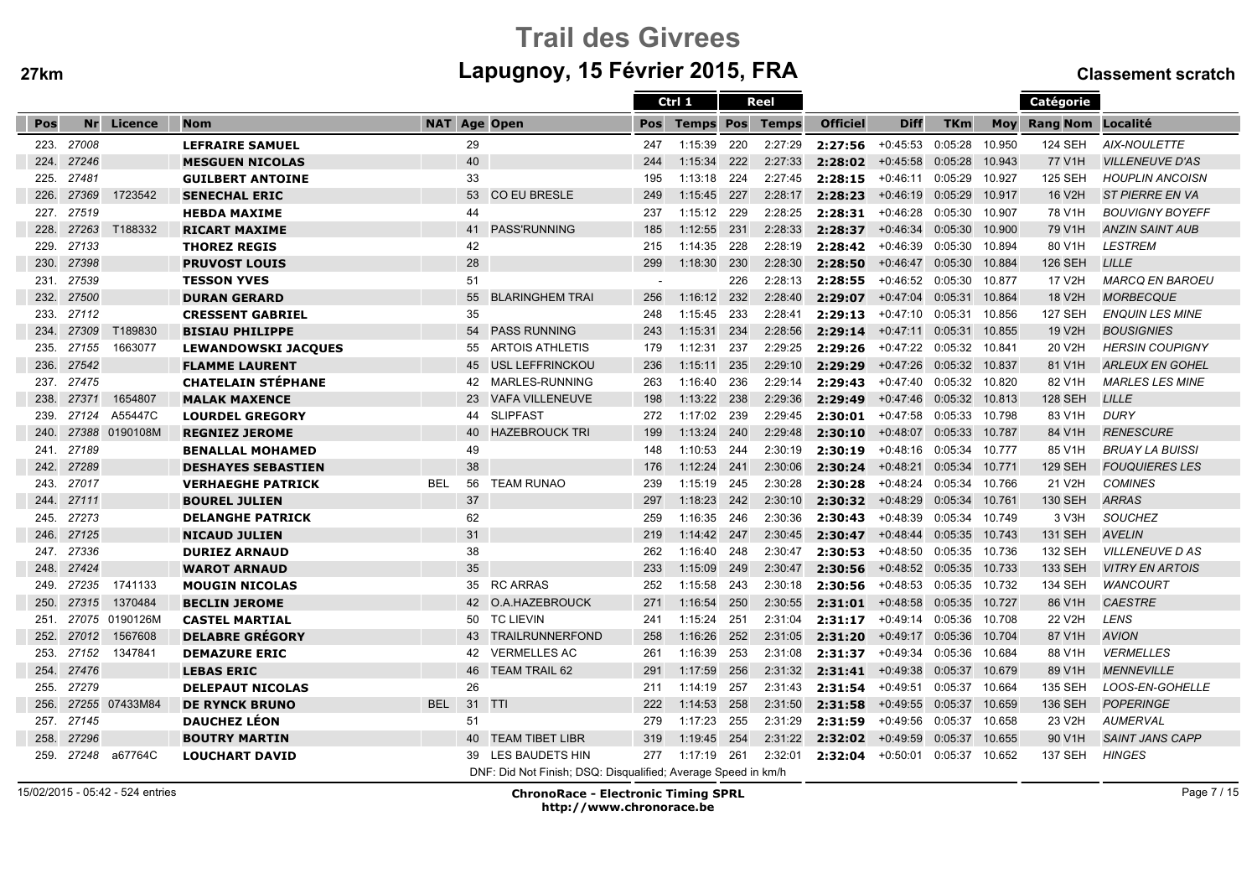# Trail des Givreesm Lapugnoy, 15 Février 2015, FRA Classement scratch

|      |       |                |                            |                     |        |                                                               |     | Ctrl 1           |       | Reel         |                 |             |                |        | Catégorie         |                        |
|------|-------|----------------|----------------------------|---------------------|--------|---------------------------------------------------------------|-----|------------------|-------|--------------|-----------------|-------------|----------------|--------|-------------------|------------------------|
| Pos  | Nr    | Licence        | <b>Nom</b>                 | <b>NAT Age Open</b> |        |                                                               | Pos | <b>Temps Pos</b> |       | <b>Temps</b> | <b>Officiel</b> | <b>Diff</b> | <b>TKm</b>     | Mov    | Rang Nom Localité |                        |
| 223. | 27008 |                | <b>LEFRAIRE SAMUEL</b>     |                     | 29     |                                                               | 247 | 1:15:39          | 220   | 2:27:29      | 2:27:56         | +0:45:53    | 0:05:28        | 10.950 | <b>124 SEH</b>    | AIX-NOULETTE           |
| 224. | 27246 |                | <b>MESGUEN NICOLAS</b>     |                     | 40     |                                                               | 244 | 1:15:34          | 222   | 2:27:33      | 2:28:02         | $+0:45:58$  | 0:05:28        | 10.943 | 77 V1H            | <b>VILLENEUVE D'AS</b> |
| 225. | 27481 |                | <b>GUILBERT ANTOINE</b>    |                     | 33     |                                                               | 195 | 1:13:18          | 224   | 2:27:45      | 2:28:15         | $+0:46:11$  | 0:05:29        | 10.927 | <b>125 SEH</b>    | <b>HOUPLIN ANCOISN</b> |
| 226. | 27369 | 1723542        | <b>SENECHAL ERIC</b>       |                     | 53     | <b>CO EU BRESLE</b>                                           | 249 | 1:15:45 227      |       | 2:28:17      | 2:28:23         | $+0:46:19$  | 0:05:29        | 10.917 | 16 V2H            | <b>ST PIERRE EN VA</b> |
| 227. | 27519 |                | <b>HEBDA MAXIME</b>        |                     | 44     |                                                               | 237 | 1:15:12 229      |       | 2:28:25      | 2:28:31         | +0:46:28    | 0:05:30        | 10.907 | 78 V1H            | <b>BOUVIGNY BOYEFF</b> |
| 228. | 27263 | T188332        | <b>RICART MAXIME</b>       |                     | 41     | <b>PASS'RUNNING</b>                                           | 185 | 1:12:55 231      |       | 2:28:33      | 2:28:37         | $+0:46:34$  | 0:05:30        | 10.900 | 79 V1H            | <b>ANZIN SAINT AUB</b> |
| 229. | 27133 |                | <b>THOREZ REGIS</b>        |                     | 42     |                                                               | 215 | 1:14:35 228      |       | 2:28:19      | 2:28:42         | $+0:46:39$  | 0:05:30        | 10.894 | 80 V1H            | <b>LESTREM</b>         |
| 230. | 27398 |                | <b>PRUVOST LOUIS</b>       |                     | 28     |                                                               | 299 | 1:18:30          | 230   | 2:28:30      | 2:28:50         | $+0:46:47$  | 0:05:30        | 10.884 | <b>126 SEH</b>    | <b>LILLE</b>           |
| 231  | 27539 |                | <b>TESSON YVES</b>         |                     | 51     |                                                               |     |                  | 226   | 2:28:13      | 2:28:55         | $+0:46:52$  | 0:05:30        | 10.877 | 17 V2H            | <b>MARCQ EN BAROEU</b> |
| 232. | 27500 |                | <b>DURAN GERARD</b>        |                     | 55     | <b>BLARINGHEM TRAI</b>                                        | 256 | $1:16:12$ 232    |       | 2:28:40      | 2:29:07         | $+0:47:04$  | 0:05:31 10.864 |        | 18 V2H            | <b>MORBECQUE</b>       |
| 233. | 27112 |                | <b>CRESSENT GABRIEL</b>    |                     | 35     |                                                               | 248 | 1:15:45          | 233   | 2:28:41      | 2:29:13         | +0:47:10    | 0:05:31 10.856 |        | <b>127 SEH</b>    | <b>ENQUIN LES MINE</b> |
| 234. | 27309 | T189830        | <b>BISIAU PHILIPPE</b>     |                     | 54     | <b>PASS RUNNING</b>                                           | 243 | 1:15:31          | 234   | 2:28:56      | 2:29:14         | $+0:47:11$  | 0:05:31 10.855 |        | 19 V2H            | <b>BOUSIGNIES</b>      |
| 235. | 27155 | 1663077        | <b>LEWANDOWSKI JACQUES</b> |                     | 55     | <b>ARTOIS ATHLETIS</b>                                        | 179 | 1:12:31          | 237   | 2:29:25      | 2:29:26         | +0:47:22    | 0:05:32 10.841 |        | 20 V2H            | <b>HERSIN COUPIGNY</b> |
| 236. | 27542 |                | <b>FLAMME LAURENT</b>      |                     | 45     | USL LEFFRINCKOU                                               | 236 | 1:15:11          | 235   | 2:29:10      | 2:29:29         | $+0:47:26$  | 0:05:32        | 10.837 | 81 V1H            | <b>ARLEUX EN GOHEL</b> |
| 237. | 27475 |                | <b>CHATELAIN STÉPHANE</b>  |                     | 42     | MARLES-RUNNING                                                | 263 | 1:16:40          | 236   | 2:29:14      | 2:29:43         | $+0:47:40$  | 0:05:32        | 10.820 | 82 V1H            | <b>MARLES LES MINE</b> |
| 238. | 27371 | 1654807        | <b>MALAK MAXENCE</b>       |                     |        | 23 VAFA VILLENEUVE                                            | 198 | 1:13:22 238      |       | 2:29:36      | 2:29:49         | $+0:47:46$  | 0:05:32        | 10.813 | <b>128 SEH</b>    | <b>LILLE</b>           |
| 239. | 27124 | A55447C        | <b>LOURDEL GREGORY</b>     |                     | 44     | <b>SLIPFAST</b>                                               | 272 | 1:17:02          | 239   | 2:29:45      | 2:30:01         | +0:47:58    | 0:05:33 10.798 |        | 83 V1H            | <b>DURY</b>            |
| 240. |       | 27388 0190108M | <b>REGNIEZ JEROME</b>      |                     | 40     | <b>HAZEBROUCK TRI</b>                                         | 199 | $1:13:24$ 240    |       | 2:29:48      | 2:30:10         | $+0:48:07$  | 0:05:33        | 10.787 | 84 V1H            | <b>RENESCURE</b>       |
| 241. | 27189 |                | <b>BENALLAL MOHAMED</b>    |                     | 49     |                                                               | 148 | 1:10:53 244      |       | 2:30:19      | 2:30:19         | $+0:48:16$  | 0:05:34 10.777 |        | 85 V1H            | <b>BRUAY LA BUISSI</b> |
| 242. | 27289 |                | <b>DESHAYES SEBASTIEN</b>  |                     | 38     |                                                               | 176 | 1:12:24 241      |       | 2:30:06      | 2:30:24         | $+0:48:21$  | 0:05:34        | 10.771 | <b>129 SEH</b>    | <b>FOUQUIERES LES</b>  |
| 243. | 27017 |                | <b>VERHAEGHE PATRICK</b>   | <b>BEL</b>          | 56     | <b>TEAM RUNAO</b>                                             | 239 | 1:15:19          | 245   | 2:30:28      | 2:30:28         | $+0:48:24$  | 0:05:34        | 10.766 | 21 V2H            | <b>COMINES</b>         |
| 244. | 27111 |                | <b>BOUREL JULIEN</b>       |                     | 37     |                                                               | 297 | $1:18:23$ 242    |       | 2:30:10      | 2:30:32         | $+0:48:29$  | 0:05:34        | 10.761 | <b>130 SEH</b>    | <b>ARRAS</b>           |
| 245. | 27273 |                | <b>DELANGHE PATRICK</b>    |                     | 62     |                                                               | 259 | 1:16:35 246      |       | 2:30:36      | 2:30:43         | +0:48:39    | 0:05:34 10.749 |        | 3 V3H             | <b>SOUCHEZ</b>         |
| 246. | 27125 |                | <b>NICAUD JULIEN</b>       |                     | 31     |                                                               | 219 | 1:14:42 247      |       | 2:30:45      | 2:30:47         | $+0:48:44$  | 0:05:35        | 10.743 | <b>131 SEH</b>    | <b>AVELIN</b>          |
| 247. | 27336 |                | <b>DURIEZ ARNAUD</b>       |                     | 38     |                                                               | 262 | $1:16:40$ 248    |       | 2:30:47      | 2:30:53         | $+0:48:50$  | 0:05:35        | 10.736 | <b>132 SEH</b>    | <b>VILLENEUVE DAS</b>  |
| 248. | 27424 |                | <b>WAROT ARNAUD</b>        |                     | 35     |                                                               | 233 | 1:15:09          | 249   | 2:30:47      | 2:30:56         | $+0:48:52$  | 0:05:35        | 10.733 | <b>133 SEH</b>    | <b>VITRY EN ARTOIS</b> |
| 249. | 27235 | 1741133        | <b>MOUGIN NICOLAS</b>      |                     | 35     | <b>RC ARRAS</b>                                               | 252 | 1:15:58          | 243   | 2:30:18      | 2:30:56         | $+0:48:53$  | 0:05:35        | 10.732 | 134 SEH           | <b>WANCOURT</b>        |
| 250. | 27315 | 1370484        | <b>BECLIN JEROME</b>       |                     |        | 42 O.A.HAZEBROUCK                                             | 271 | 1:16:54          | 250   | 2:30:55      | 2:31:01         | $+0:48:58$  | 0:05:35        | 10.727 | 86 V1H            | <b>CAESTRE</b>         |
| 251. |       | 27075 0190126M | <b>CASTEL MARTIAL</b>      |                     |        | 50 TC LIEVIN                                                  | 241 | 1:15:24          | - 251 | 2:31:04      | 2:31:17         | +0:49:14    | 0:05:36        | 10.708 | 22 V2H            | <b>LENS</b>            |
| 252. | 27012 | 1567608        | <b>DELABRE GRÉGORY</b>     |                     | 43     | TRAILRUNNERFOND                                               | 258 | 1:16:26          | 252   | 2:31:05      | 2:31:20         | $+0:49:17$  | 0:05:36        | 10.704 | 87 V1H            | <b>AVION</b>           |
| 253. | 27152 | 1347841        | <b>DEMAZURE ERIC</b>       |                     | 42     | <b>VERMELLES AC</b>                                           | 261 | 1:16:39          | 253   | 2:31:08      | 2:31:37         | +0:49:34    | 0:05:36        | 10.684 | 88 V1H            | <b>VERMELLES</b>       |
| 254. | 27476 |                | <b>LEBAS ERIC</b>          |                     | 46     | <b>TEAM TRAIL 62</b>                                          | 291 | 1:17:59 256      |       | 2:31:32      | 2:31:41         | $+0:49:38$  | 0:05:37        | 10.679 | 89 V1H            | <b>MENNEVILLE</b>      |
| 255. | 27279 |                | <b>DELEPAUT NICOLAS</b>    |                     | 26     |                                                               | 211 | 1:14:19          | 257   | 2:31:43      | 2:31:54         | $+0:49:51$  | 0:05:37        | 10.664 | 135 SEH           | LOOS-EN-GOHELLE        |
| 256. | 27255 | 07433M84       | <b>DE RYNCK BRUNO</b>      | <b>BEL</b>          | 31 TTI |                                                               | 222 | 1:14:53          | 258   | 2:31:50      | 2:31:58         | $+0:49:55$  | 0:05:37        | 10.659 | <b>136 SEH</b>    | <b>POPERINGE</b>       |
| 257. | 27145 |                | <b>DAUCHEZ LÉON</b>        |                     | 51     |                                                               | 279 | $1:17:23$ 255    |       | 2:31:29      | 2:31:59         | +0:49:56    | 0:05:37        | 10.658 | 23 V2H            | <b>AUMERVAL</b>        |
| 258. | 27296 |                | <b>BOUTRY MARTIN</b>       |                     | 40     | <b>TEAM TIBET LIBR</b>                                        | 319 | 1:19:45          | 254   | 2:31:22      | 2:32:02         | $+0:49:59$  | 0:05:37        | 10.655 | 90 V1H            | <b>SAINT JANS CAPP</b> |
| 259. | 27248 | a67764C        | <b>LOUCHART DAVID</b>      |                     | 39     | LES BAUDETS HIN                                               | 277 | 1:17:19 261      |       | 2:32:01      | 2:32:04         | $+0:50:01$  | 0:05:37        | 10.652 | 137 SEH           | <b>HINGES</b>          |
|      |       |                |                            |                     |        | DNF: Did Not Finish: DSQ: Disqualified: Average Speed in km/h |     |                  |       |              |                 |             |                |        |                   |                        |

15/02/2015 - 05:42 - 524 entries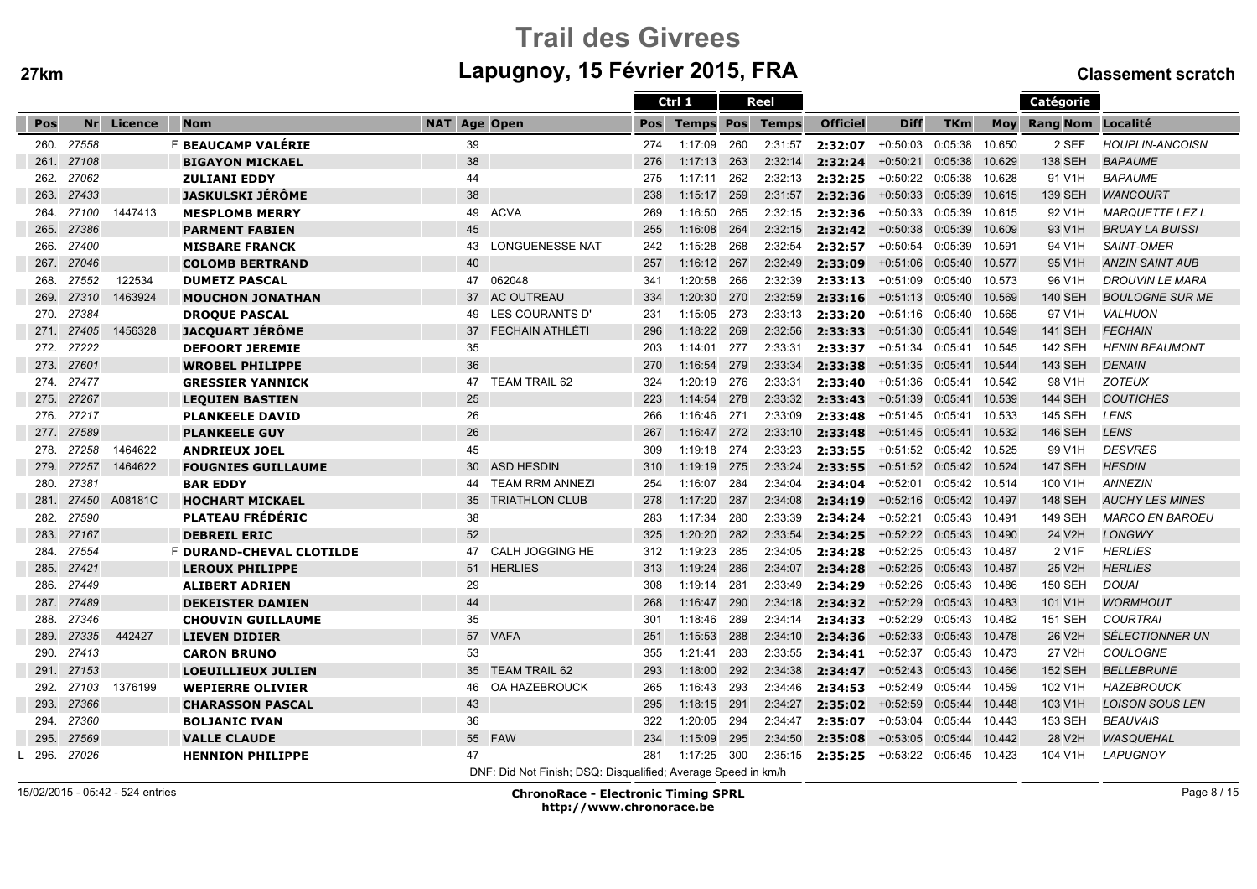ĺ

# Trail des Givreesm Lapugnoy, 15 Février 2015, FRA Classement scratch

|      |       |            |                                 |                                                               |     | Ctrl 1           |     | Reel         |                 |                           |                |            | Catégorie         |                        |
|------|-------|------------|---------------------------------|---------------------------------------------------------------|-----|------------------|-----|--------------|-----------------|---------------------------|----------------|------------|-------------------|------------------------|
| Pos  |       | Nr Licence | <b>Nom</b>                      | <b>NAT Age Open</b>                                           | Pos | <b>Temps Pos</b> |     | <b>Temps</b> | <b>Officiel</b> | <b>Diff</b>               | <b>TKm</b>     | <b>Moy</b> | Rang Nom Localité |                        |
| 260. | 27558 |            | F BEAUCAMP VALÉRIE              | 39                                                            | 274 | 1:17:09          | 260 | 2:31:57      | 2:32:07         | $+0:50:03$                | 0:05:38        | 10.650     | 2 SEF             | <b>HOUPLIN-ANCOISN</b> |
| 261. | 27108 |            | <b>BIGAYON MICKAEL</b>          | 38                                                            | 276 | 1:17:13          | 263 | 2:32:14      | 2:32:24         | $+0:50:21$                | 0:05:38        | 10.629     | <b>138 SEH</b>    | <b>BAPAUME</b>         |
| 262. | 27062 |            | <b>ZULIANI EDDY</b>             | 44                                                            | 275 | 1:17:11          | 262 | 2:32:13      | 2:32:25         | +0:50:22 0:05:38          |                | 10.628     | 91 V1H            | <b>BAPAUME</b>         |
| 263. | 27433 |            | <b>JASKULSKI JÉRÔME</b>         | 38                                                            | 238 | 1:15:17          | 259 | 2:31:57      | 2:32:36         | $+0:50:33$                | 0:05:39        | 10.615     | <b>139 SEH</b>    | <b>WANCOURT</b>        |
| 264. | 27100 | 1447413    | <b>MESPLOMB MERRY</b>           | 49<br><b>ACVA</b>                                             | 269 | 1:16:50          | 265 | 2:32:15      | 2:32:36         | +0:50:33                  | 0:05:39        | 10.615     | 92 V1H            | <b>MARQUETTE LEZ L</b> |
| 265. | 27386 |            | <b>PARMENT FABIEN</b>           | 45                                                            | 255 | 1:16:08          | 264 | 2:32:15      | 2:32:42         | $+0.50.38$ $0.05.39$      |                | 10.609     | 93 V1H            | <b>BRUAY LA BUISSI</b> |
| 266. | 27400 |            | <b>MISBARE FRANCK</b>           | <b>LONGUENESSE NAT</b><br>43                                  | 242 | 1:15:28          | 268 | 2:32:54      | 2:32:57         | $+0:50:54$                | 0:05:39        | 10.591     | 94 V1H            | <b>SAINT-OMER</b>      |
| 267. | 27046 |            | <b>COLOMB BERTRAND</b>          | 40                                                            | 257 | 1:16:12          | 267 | 2:32:49      | 2:33:09         | $+0:51:06$                | 0:05:40        | 10.577     | 95 V1H            | <b>ANZIN SAINT AUB</b> |
| 268. | 27552 | 122534     | <b>DUMETZ PASCAL</b>            | 062048<br>47                                                  | 341 | 1:20:58          | 266 | 2:32:39      | 2:33:13         | $+0:51:09$                | 0:05:40        | 10.573     | 96 V1H            | <b>DROUVIN LE MARA</b> |
| 269. | 27310 | 1463924    | <b>MOUCHON JONATHAN</b>         | <b>AC OUTREAU</b><br>37                                       | 334 | 1:20:30          | 270 | 2:32:59      | 2:33:16         | $+0.51:13$ 0:05:40        |                | 10.569     | <b>140 SEH</b>    | <b>BOULOGNE SUR ME</b> |
| 270. | 27384 |            | <b>DROQUE PASCAL</b>            | LES COURANTS D'<br>49                                         | 231 | 1:15:05          | 273 | 2:33:13      | 2:33:20         | +0:51:16                  | 0:05:40 10.565 |            | 97 V1H            | <b>VALHUON</b>         |
| 271. | 27405 | 1456328    | <b>JACQUART JÉRÔME</b>          | <b>FECHAIN ATHLÉTI</b><br>37                                  | 296 | 1:18:22          | 269 | 2:32:56      | 2:33:33         | $+0:51:30$                | 0:05:41 10.549 |            | <b>141 SEH</b>    | <b>FECHAIN</b>         |
| 272. | 27222 |            | <b>DEFOORT JEREMIE</b>          | 35                                                            | 203 | 1:14:01          | 277 | 2:33:31      | 2:33:37         | +0:51:34                  | 0:05:41        | 10.545     | <b>142 SEH</b>    | <b>HENIN BEAUMONT</b>  |
| 273. | 27601 |            | <b>WROBEL PHILIPPE</b>          | 36                                                            | 270 | 1:16:54          | 279 | 2:33:34      | 2:33:38         | $+0:51:35$                | 0:05:41        | 10.544     | <b>143 SEH</b>    | <b>DENAIN</b>          |
| 274. | 27477 |            | <b>GRESSIER YANNICK</b>         | <b>TEAM TRAIL 62</b><br>47                                    | 324 | 1:20:19          | 276 | 2:33:31      | 2:33:40         | $+0:51:36$                | 0:05:41        | 10.542     | 98 V1H            | <b>ZOTEUX</b>          |
| 275. | 27267 |            | <b>LEQUIEN BASTIEN</b>          | 25                                                            | 223 | 1:14:54          | 278 | 2:33:32      | 2:33:43         | +0:51:39 0:05:41 10.539   |                |            | <b>144 SEH</b>    | <b>COUTICHES</b>       |
| 276. | 27217 |            | <b>PLANKEELE DAVID</b>          | 26                                                            | 266 | 1:16:46          | 271 | 2:33:09      | 2:33:48         | +0:51:45 0:05:41 10.533   |                |            | <b>145 SEH</b>    | <b>LENS</b>            |
| 277. | 27589 |            | <b>PLANKEELE GUY</b>            | 26                                                            | 267 | 1:16:47 272      |     | 2:33:10      | 2:33:48         | +0:51:45 0:05:41 10.532   |                |            | <b>146 SEH</b>    | <b>LENS</b>            |
| 278. | 27258 | 1464622    | <b>ANDRIEUX JOEL</b>            | 45                                                            | 309 | 1:19:18          | 274 | 2:33:23      | 2:33:55         | +0:51:52 0:05:42 10.525   |                |            | 99 V1H            | <b>DESVRES</b>         |
| 279. | 27257 | 1464622    | <b>FOUGNIES GUILLAUME</b>       | <b>ASD HESDIN</b><br>30                                       | 310 | 1:19:19          | 275 | 2:33:24      | 2:33:55         | +0:51:52 0:05:42 10.524   |                |            | <b>147 SEH</b>    | <b>HESDIN</b>          |
| 280. | 27381 |            | <b>BAR EDDY</b>                 | <b>TEAM RRM ANNEZI</b><br>44                                  | 254 | 1:16:07          | 284 | 2:34:04      | 2:34:04         | $+0:52:01$                | 0:05:42 10.514 |            | 100 V1H           | <b>ANNEZIN</b>         |
| 281. | 27450 | A08181C    | <b>HOCHART MICKAEL</b>          | 35<br><b>TRIATHLON CLUB</b>                                   | 278 | 1:17:20          | 287 | 2:34:08      | 2:34:19         | $+0:52:16$                | 0:05:42 10.497 |            | <b>148 SEH</b>    | <b>AUCHY LES MINES</b> |
| 282. | 27590 |            | <b>PLATEAU FRÉDÉRIC</b>         | 38                                                            | 283 | 1:17:34          | 280 | 2:33:39      | 2:34:24         | +0:52:21                  | 0:05:43 10.491 |            | <b>149 SEH</b>    | <b>MARCQ EN BAROEU</b> |
| 283. | 27167 |            | <b>DEBREIL ERIC</b>             | 52                                                            | 325 | 1:20:20          | 282 | 2:33:54      | 2:34:25         | +0:52:22 0:05:43 10.490   |                |            | 24 V2H            | <b>LONGWY</b>          |
| 284. | 27554 |            | <b>F DURAND-CHEVAL CLOTILDE</b> | <b>CALH JOGGING HE</b><br>47                                  | 312 | 1:19:23          | 285 | 2:34:05      | 2:34:28         | +0:52:25                  | 0:05:43 10.487 |            | 2 V1F             | <b>HERLIES</b>         |
| 285. | 27421 |            | <b>LEROUX PHILIPPE</b>          | 51<br><b>HERLIES</b>                                          | 313 | 1:19:24          | 286 | 2:34:07      | 2:34:28         | +0:52:25 0:05:43 10.487   |                |            | 25 V2H            | <b>HERLIES</b>         |
| 286. | 27449 |            | <b>ALIBERT ADRIEN</b>           | 29                                                            | 308 | 1:19:14          | 281 | 2:33:49      | 2:34:29         | +0:52:26                  | 0:05:43 10.486 |            | <b>150 SEH</b>    | <b>DOUAI</b>           |
| 287. | 27489 |            | <b>DEKEISTER DAMIEN</b>         | 44                                                            | 268 | 1:16:47          | 290 | 2:34:18      | 2:34:32         | $+0:52:29$                | 0:05:43        | 10.483     | 101 V1H           | <b>WORMHOUT</b>        |
| 288. | 27346 |            | <b>CHOUVIN GUILLAUME</b>        | 35                                                            | 301 | 1:18:46          | 289 | 2:34:14      | 2:34:33         | $+0:52:29$                | 0:05:43 10.482 |            | <b>151 SEH</b>    | <b>COURTRAI</b>        |
| 289. | 27335 | 442427     | <b>LIEVEN DIDIER</b>            | 57<br><b>VAFA</b>                                             | 251 | 1:15:53          | 288 | 2:34:10      | 2:34:36         | +0:52:33 0:05:43 10.478   |                |            | 26 V2H            | <b>SÉLECTIONNER UN</b> |
| 290. | 27413 |            | <b>CARON BRUNO</b>              | 53                                                            | 355 | 1:21:41          | 283 | 2:33:55      | 2:34:41         | +0:52:37                  | 0:05:43 10.473 |            | 27 V2H            | <b>COULOGNE</b>        |
| 291. | 27153 |            | <b>LOEUILLIEUX JULIEN</b>       | 35<br><b>TEAM TRAIL 62</b>                                    | 293 | 1:18:00          | 292 | 2:34:38      | 2:34:47         | $+0.52:43$ 0:05:43        |                | 10.466     | <b>152 SEH</b>    | <b>BELLEBRUNE</b>      |
| 292. | 27103 | 1376199    | <b>WEPIERRE OLIVIER</b>         | OA HAZEBROUCK<br>46                                           | 265 | 1:16:43          | 293 | 2:34:46      | 2:34:53         | +0:52:49  0:05:44  10.459 |                |            | 102 V1H           | <b>HAZEBROUCK</b>      |
| 293. | 27366 |            | <b>CHARASSON PASCAL</b>         | 43                                                            | 295 | 1:18:15          | 291 | 2:34:27      | 2:35:02         | $+0:52:59$                | 0:05:44        | 10.448     | 103 V1H           | <b>LOISON SOUS LEN</b> |
| 294. | 27360 |            | <b>BOLJANIC IVAN</b>            | 36                                                            | 322 | 1:20:05          | 294 | 2:34:47      | 2:35:07         | $+0:53:04$                | 0:05:44 10.443 |            | 153 SEH           | <b>BEAUVAIS</b>        |
| 295. | 27569 |            | <b>VALLE CLAUDE</b>             | 55<br><b>FAW</b>                                              | 234 | 1:15:09          | 295 | 2:34:50      | 2:35:08         | $+0.53:05$                | 0:05:44        | 10.442     | 28 V2H            | <b>WASQUEHAL</b>       |
| 296. | 27026 |            | <b>HENNION PHILIPPE</b>         | 47                                                            | 281 | 1:17:25          | 300 | 2:35:15      | 2:35:25         | +0:53:22 0:05:45          |                | 10.423     | 104 V1H           | <b>LAPUGNOY</b>        |
|      |       |            |                                 | DNF: Did Not Finish: DSQ: Disqualified: Average Speed in km/h |     |                  |     |              |                 |                           |                |            |                   |                        |

15/02/2015 - 05:42 - 524 entries

ChronoRace - Electronic Timing SPRL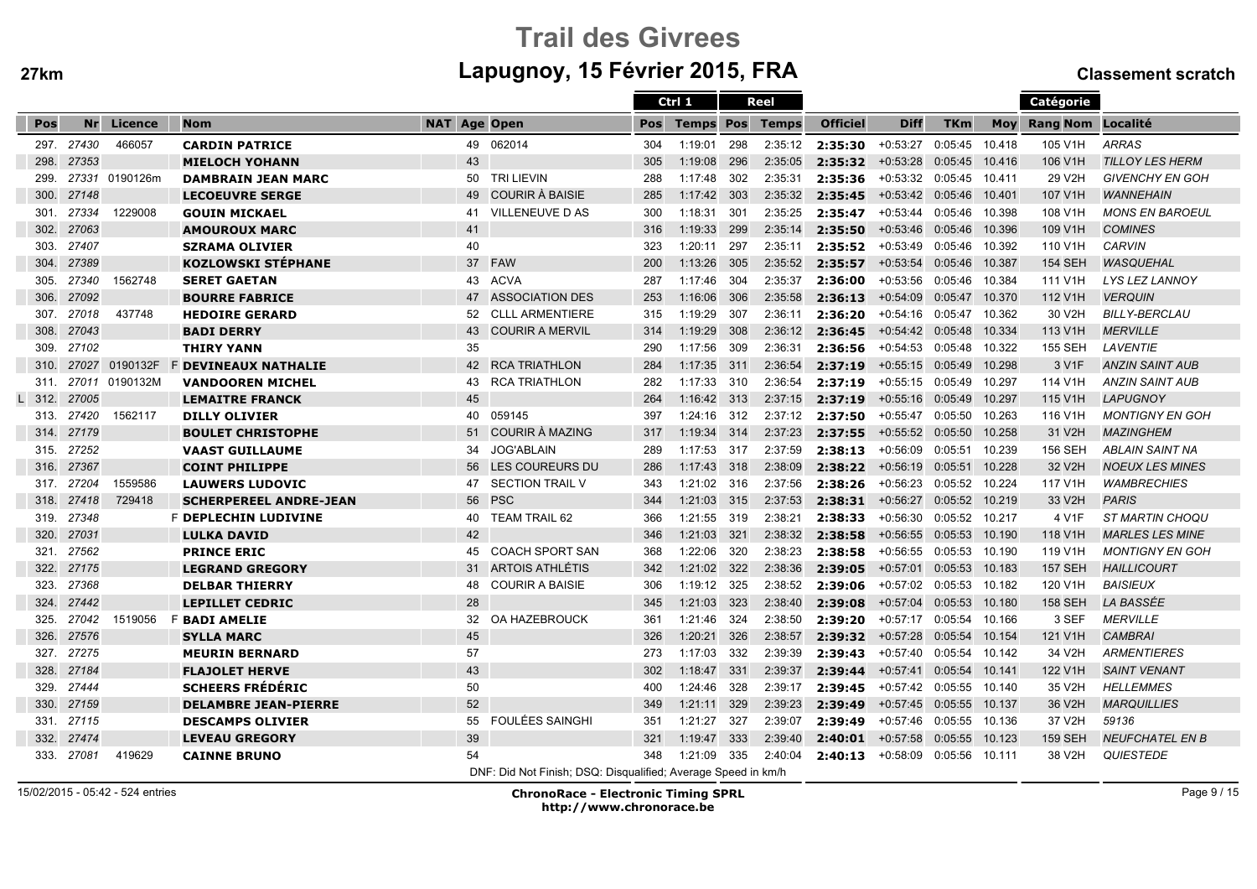# Trail des Givreesm Lapugnoy, 15 Février 2015, FRA Classement scratch

|      |            |                |                               |                     |    |                                                               |     | Ctrl 1           |      | Reel    |                 |                           |                |            | Catégorie                |                        |
|------|------------|----------------|-------------------------------|---------------------|----|---------------------------------------------------------------|-----|------------------|------|---------|-----------------|---------------------------|----------------|------------|--------------------------|------------------------|
| Pos  | Nr         | Licence        | <b>Nom</b>                    | <b>NAT Age Open</b> |    |                                                               | Pos | <b>Temps Pos</b> |      | Temps   | <b>Officiel</b> | <b>Diff</b>               | <b>TKm</b>     | <b>Mov</b> | <b>Rang Nom Localité</b> |                        |
| 297. | 27430      | 466057         | <b>CARDIN PATRICE</b>         |                     | 49 | 062014                                                        | 304 | 1:19:01          | 298  | 2:35:12 | 2:35:30         | $+0:53:27$                | 0:05:45        | 10.418     | 105 V1H                  | <b>ARRAS</b>           |
| 298. | 27353      |                | <b>MIELOCH YOHANN</b>         |                     | 43 |                                                               | 305 | 1:19:08          | 296  | 2:35:05 | 2:35:32         | $+0:53:28$                | 0:05:45        | 10.416     | 106 V1H                  | <b>TILLOY LES HERM</b> |
| 299. |            | 27331 0190126m | <b>DAMBRAIN JEAN MARC</b>     |                     | 50 | <b>TRI LIEVIN</b>                                             | 288 | 1:17:48          | 302  | 2:35:31 | 2:35:36         | $+0:53:32$ 0:05:45        |                | 10.411     | 29 V2H                   | <b>GIVENCHY EN GOH</b> |
| 300. | 27148      |                | <b>LECOEUVRE SERGE</b>        |                     | 49 | COURIR À BAISIE                                               | 285 | $1:17:42$ 303    |      | 2:35:32 | 2:35:45         | +0:53:42 0:05:46 10.401   |                |            | 107 V1H                  | <b>WANNEHAIN</b>       |
| 301. | 27334      | 1229008        | <b>GOUIN MICKAEL</b>          |                     | 41 | VILLENEUVE D AS                                               | 300 | 1:18:31          | 301  | 2:35:25 | 2:35:47         | +0:53:44 0:05:46 10.398   |                |            | 108 V1H                  | <b>MONS EN BAROEUL</b> |
| 302. | 27063      |                | <b>AMOUROUX MARC</b>          |                     | 41 |                                                               | 316 | 1:19:33          | 299  | 2:35:14 | 2:35:50         | $+0.53:46$ 0:05:46        |                | 10.396     | 109 V1H                  | <b>COMINES</b>         |
| 303. | 27407      |                | <b>SZRAMA OLIVIER</b>         |                     | 40 |                                                               | 323 | 1:20:11          | 297  | 2:35:11 | 2:35:52         | +0:53:49                  | 0:05:46        | 10.392     | 110 V1H                  | <b>CARVIN</b>          |
| 304. | 27389      |                | <b>KOZLOWSKI STEPHANE</b>     |                     | 37 | <b>FAW</b>                                                    | 200 | 1:13:26          | 305  | 2:35:52 | 2:35:57         | $+0:53:54$                | 0:05:46        | 10.387     | <b>154 SEH</b>           | <b>WASQUEHAL</b>       |
| 305. | 27340      | 1562748        | <b>SERET GAETAN</b>           |                     | 43 | <b>ACVA</b>                                                   | 287 | 1:17:46          | 304  | 2:35:37 | 2:36:00         | $+0:53:56$                | 0:05:46        | 10.384     | 111 V1H                  | LYS LEZ LANNOY         |
| 306. | 27092      |                | <b>BOURRE FABRICE</b>         |                     | 47 | <b>ASSOCIATION DES</b>                                        | 253 | 1:16:06          | 306  | 2:35:58 | 2:36:13         | +0:54:09 0:05:47 10.370   |                |            | 112 V1H                  | <b>VERQUIN</b>         |
| 307. | 27018      | 437748         | <b>HEDOIRE GERARD</b>         |                     | 52 | <b>CLLL ARMENTIERE</b>                                        | 315 | 1:19:29          | 307  | 2:36:11 | 2:36:20         | +0:54:16 0:05:47 10.362   |                |            | 30 V2H                   | <b>BILLY-BERCLAU</b>   |
| 308. | 27043      |                | <b>BADI DERRY</b>             |                     | 43 | <b>COURIR A MERVIL</b>                                        | 314 | 1:19:29          | 308  | 2:36:12 | 2:36:45         | +0:54:42 0:05:48 10.334   |                |            | 113 V1H                  | <b>MERVILLE</b>        |
| 309. | 27102      |                | <b>THIRY YANN</b>             |                     | 35 |                                                               | 290 | 1:17:56          | 309  | 2:36:31 | 2:36:56         | $+0.54:53$ 0:05:48        |                | 10.322     | <b>155 SEH</b>           | LAVENTIE               |
| 310. |            | 27027 0190132F | <b>F DEVINEAUX NATHALIE</b>   |                     | 42 | <b>RCA TRIATHLON</b>                                          | 284 | 1:17:35          | 311  | 2:36:54 | 2:37:19         | $+0:55:15$ 0:05:49        |                | 10.298     | 3 V1F                    | <b>ANZIN SAINT AUB</b> |
| 311. | 27011      | 0190132M       | <b>VANDOOREN MICHEL</b>       |                     | 43 | <b>RCA TRIATHLON</b>                                          | 282 | 1:17:33          | 310  | 2:36:54 | 2:37:19         | +0:55:15                  | 0:05:49        | 10.297     | 114 V1H                  | <b>ANZIN SAINT AUB</b> |
| 312. | 27005      |                | <b>LEMAITRE FRANCK</b>        |                     | 45 |                                                               | 264 | 1:16:42 313      |      | 2:37:15 | 2:37:19         | +0:55:16 0:05:49 10.297   |                |            | 115 V1H                  | <b>LAPUGNOY</b>        |
| 313. | 27420      | 1562117        | <b>DILLY OLIVIER</b>          |                     | 40 | 059145                                                        | 397 | $1:24:16$ 312    |      | 2:37:12 | 2:37:50         | +0:55:47 0:05:50 10.263   |                |            | 116 V1H                  | <b>MONTIGNY EN GOH</b> |
| 314. | 27179      |                | <b>BOULET CHRISTOPHE</b>      |                     | 51 | COURIR À MAZING                                               | 317 | 1:19:34          | 314  | 2:37:23 | 2:37:55         | $+0.55:52$ $0.05:50$      |                | 10.258     | 31 V2H                   | <b>MAZINGHEM</b>       |
| 315. | 27252      |                | <b>VAAST GUILLAUME</b>        |                     | 34 | <b>JOG'ABLAIN</b>                                             | 289 | 1:17:53 317      |      | 2:37:59 | 2:38:13         | +0:56:09 0:05:51          |                | 10.239     | <b>156 SEH</b>           | <b>ABLAIN SAINT NA</b> |
| 316. | 27367      |                | <b>COINT PHILIPPE</b>         |                     | 56 | LES COUREURS DU                                               | 286 | 1:17:43 318      |      | 2:38:09 | 2:38:22         | $+0.56:19$ 0:05:51        |                | 10.228     | 32 V2H                   | <b>NOEUX LES MINES</b> |
| 317. | 27204      | 1559586        | <b>LAUWERS LUDOVIC</b>        |                     | 47 | <b>SECTION TRAIL V</b>                                        | 343 | 1:21:02 316      |      | 2:37:56 | 2:38:26         | $+0:56:23$                | 0:05:52        | 10.224     | 117 V1H                  | <b>WAMBRECHIES</b>     |
| 318. | 27418      | 729418         | <b>SCHERPEREEL ANDRE-JEAN</b> |                     | 56 | <b>PSC</b>                                                    | 344 | 1:21:03          | 315  | 2:37:53 | 2:38:31         | $+0:56:27$                | 0:05:52        | 10.219     | 33 V2H                   | <b>PARIS</b>           |
| 319. | 27348      |                | <b>F DEPLECHIN LUDIVINE</b>   |                     | 40 | <b>TEAM TRAIL 62</b>                                          | 366 | 1:21:55 319      |      | 2:38:21 | 2:38:33         | +0:56:30  0:05:52  10.217 |                |            | 4 V1F                    | <b>ST MARTIN CHOQU</b> |
| 320. | 27031      |                | <b>LULKA DAVID</b>            |                     | 42 |                                                               | 346 | 1:21:03          | 321  | 2:38:32 | 2:38:58         | $+0.56:55$ 0:05:53        |                | 10.190     | 118 V1H                  | <b>MARLES LES MINE</b> |
| 321. | 27562      |                | <b>PRINCE ERIC</b>            |                     | 45 | <b>COACH SPORT SAN</b>                                        | 368 | 1:22:06          | 320  | 2:38:23 | 2:38:58         | $+0:56:55$ 0:05:53        |                | 10.190     | 119 V1H                  | <b>MONTIGNY EN GOH</b> |
| 322. | 27175      |                | <b>LEGRAND GREGORY</b>        |                     | 31 | <b>ARTOIS ATHLÉTIS</b>                                        | 342 | 1:21:02          | 322  | 2:38:36 | 2:39:05         | $+0:57:01$                | 0:05:53 10.183 |            | <b>157 SEH</b>           | <b>HAILLICOURT</b>     |
| 323. | 27368      |                | <b>DELBAR THIERRY</b>         |                     | 48 | <b>COURIR A BAISIE</b>                                        | 306 | 1:19:12          | 325  | 2:38:52 | 2:39:06         | +0:57:02 0:05:53          |                | 10.182     | 120 V1H                  | <b>BAISIEUX</b>        |
| 324. | 27442      |                | <b>LEPILLET CEDRIC</b>        |                     | 28 |                                                               | 345 | 1:21:03          | 323  | 2:38:40 | 2:39:08         | $+0:57:04$                | 0:05:53        | 10.180     | <b>158 SEH</b>           | LA BASSÉE              |
| 325. | 27042      | 1519056        | <b>F BADI AMELIE</b>          |                     | 32 | OA HAZEBROUCK                                                 | 361 | 1:21:46          | -324 | 2:38:50 | 2:39:20         | +0:57:17                  | 0:05:54        | 10.166     | 3 SEF                    | <b>MERVILLE</b>        |
| 326. | 27576      |                | <b>SYLLA MARC</b>             |                     | 45 |                                                               | 326 | 1:20:21          | 326  | 2:38:57 | 2:39:32         | +0:57:28 0:05:54 10.154   |                |            | 121 V1H                  | <b>CAMBRAI</b>         |
| 327. | 27275      |                | <b>MEURIN BERNARD</b>         |                     | 57 |                                                               | 273 | 1:17:03          | 332  | 2:39:39 | 2:39:43         | +0:57:40 0:05:54 10.142   |                |            | 34 V2H                   | <b>ARMENTIERES</b>     |
| 328. | 27184      |                | <b>FLAJOLET HERVE</b>         |                     | 43 |                                                               | 302 | 1:18:47          | 331  | 2:39:37 | 2:39:44         | $+0.57:41$ 0:05:54        |                | 10.141     | 122 V1H                  | <b>SAINT VENANT</b>    |
| 329. | 27444      |                | <b>SCHEERS FRÉDÉRIC</b>       |                     | 50 |                                                               | 400 | 1:24:46          | 328  | 2:39:17 | 2:39:45         | +0:57:42 0:05:55          |                | 10.140     | 35 V2H                   | <b>HELLEMMES</b>       |
| 330. | 27159      |                | <b>DELAMBRE JEAN-PIERRE</b>   |                     | 52 |                                                               | 349 | 1:21:11          | 329  | 2:39:23 | 2:39:49         | $+0:57:45$                | 0:05:55        | 10.137     | 36 V2H                   | <b>MARQUILLIES</b>     |
| 331. | 27115      |                | <b>DESCAMPS OLIVIER</b>       |                     | 55 | <b>FOULÉES SAINGHI</b>                                        | 351 | 1:21:27          | 327  | 2:39:07 | 2:39:49         | +0:57:46                  | 0:05:55        | 10.136     | 37 V2H                   | 59136                  |
| 332. | 27474      |                | <b>LEVEAU GREGORY</b>         |                     | 39 |                                                               | 321 | 1:19:47          | 333  | 2:39:40 | 2:40:01         | $+0.57:58$ 0:05:55        |                | 10.123     | <b>159 SEH</b>           | <b>NEUFCHATEL EN B</b> |
|      | 333. 27081 | 419629         | <b>CAINNE BRUNO</b>           |                     | 54 |                                                               | 348 | 1:21:09          | 335  | 2:40:04 | 2:40:13         | +0:58:09 0:05:56 10.111   |                |            | 38 V2H                   | <b>QUIESTEDE</b>       |
|      |            |                |                               |                     |    | DNF: Did Not Finish; DSQ: Disqualified; Average Speed in km/h |     |                  |      |         |                 |                           |                |            |                          |                        |

15/02/2015 - 05:42 - 524 entries

ChronoRace - Electronic Timing SPRL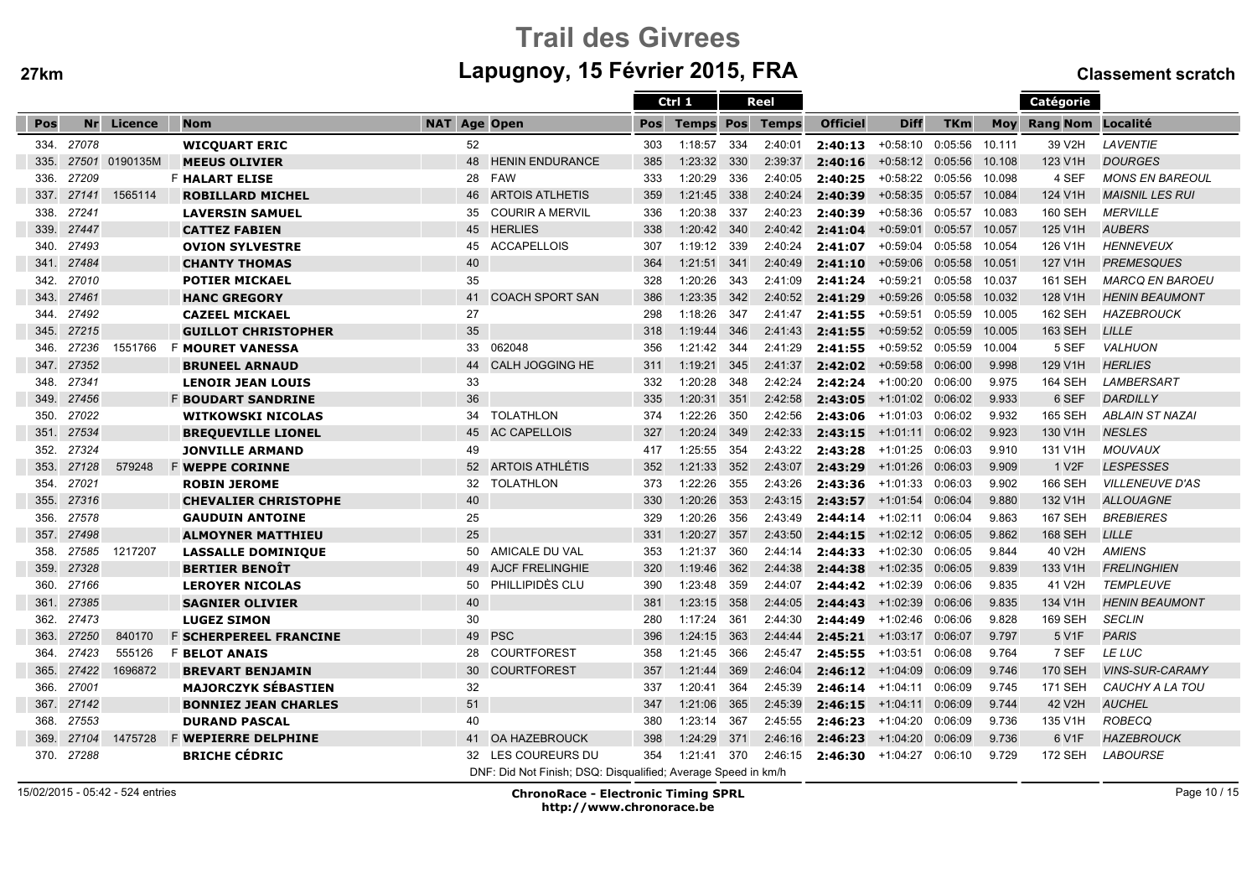# Trail des Givreesm Lapugnoy, 15 Février 2015, FRA Classement scratch

|      |       |          |                               |                                                               |     | Ctrl 1                 |     | Reel    |                      |                         |                |            | Catégorie          |                        |
|------|-------|----------|-------------------------------|---------------------------------------------------------------|-----|------------------------|-----|---------|----------------------|-------------------------|----------------|------------|--------------------|------------------------|
| Pos  | Nr    | Licence  | <b>Nom</b>                    | <b>NAT Age Open</b>                                           | Pos | <b>Temps Pos Temps</b> |     |         | <b>Officiel</b>      | <b>Diff</b>             | TKm            | <b>Mov</b> | Rang Nom Localité  |                        |
| 334. | 27078 |          | <b>WICQUART ERIC</b>          | 52                                                            | 303 | 1:18:57                | 334 | 2:40:01 | 2:40:13              | +0:58:10                | 0:05:56        | 10.111     | 39 V2H             | LAVENTIE               |
| 335. | 27501 | 0190135M | <b>MEEUS OLIVIER</b>          | 48<br><b>HENIN ENDURANCE</b>                                  | 385 | 1:23:32                | 330 | 2:39:37 | 2:40:16              | $+0:58:12$              | 0:05:56        | 10.108     | 123 V1H            | <b>DOURGES</b>         |
| 336. | 27209 |          | <b>F HALART ELISE</b>         | <b>FAW</b><br>28                                              | 333 | 1:20:29                | 336 | 2:40:05 | 2:40:25              | +0:58:22 0:05:56 10.098 |                |            | 4 SEF              | <b>MONS EN BAREOUL</b> |
| 337. | 27141 | 1565114  | <b>ROBILLARD MICHEL</b>       | <b>ARTOIS ATLHETIS</b><br>46                                  | 359 | 1:21:45                | 338 | 2:40:24 | 2:40:39              | $+0:58:35$              | 0:05:57 10.084 |            | 124 V1H            | <b>MAISNIL LES RUI</b> |
| 338. | 27241 |          | <b>LAVERSIN SAMUEL</b>        | <b>COURIR A MERVIL</b><br>35                                  | 336 | 1:20:38                | 337 | 2:40:23 | 2:40:39              | $+0:58:36$              | 0:05:57        | 10.083     | <b>160 SEH</b>     | <b>MERVILLE</b>        |
| 339. | 27447 |          | <b>CATTEZ FABIEN</b>          | <b>HERLIES</b><br>45                                          | 338 | 1:20:42 340            |     | 2:40:42 | 2:41:04              | $+0:59:01$              | 0:05:57        | 10.057     | 125 V1H            | <b>AUBERS</b>          |
| 340. | 27493 |          | <b>OVION SYLVESTRE</b>        | <b>ACCAPELLOIS</b><br>45                                      | 307 | 1:19:12                | 339 | 2:40:24 | 2:41:07              | $+0:59:04$              | 0:05:58        | 10.054     | 126 V1H            | <b>HENNEVEUX</b>       |
| 341. | 27484 |          | <b>CHANTY THOMAS</b>          | 40                                                            | 364 | 1:21:51                | 341 | 2:40:49 | 2:41:10              | $+0.59:06$              | 0:05:58        | 10.051     | 127 V1H            | <b>PREMESQUES</b>      |
| 342. | 27010 |          | <b>POTIER MICKAEL</b>         | 35                                                            | 328 | 1:20:26                | 343 | 2:41:09 | 2:41:24              | $+0:59:21$              | 0:05:58        | 10.037     | <b>161 SEH</b>     | <b>MARCQ EN BAROEU</b> |
| 343. | 27461 |          | <b>HANC GREGORY</b>           | <b>COACH SPORT SAN</b><br>41                                  | 386 | 1:23:35                | 342 | 2:40:52 | 2:41:29              | $+0:59:26$              | 0:05:58 10.032 |            | 128 V1H            | <b>HENIN BEAUMONT</b>  |
| 344. | 27492 |          | <b>CAZEEL MICKAEL</b>         | 27                                                            | 298 | 1:18:26                | 347 | 2:41:47 | 2:41:55              | $+0:59:51$              | 0:05:59 10.005 |            | 162 SEH            | <b>HAZEBROUCK</b>      |
| 345. | 27215 |          | <b>GUILLOT CHRISTOPHER</b>    | 35                                                            | 318 | 1:19:44                | 346 | 2:41:43 | 2:41:55              | +0:59:52 0:05:59        |                | 10.005     | 163 SEH            | <b>LILLE</b>           |
| 346. | 27236 | 1551766  | <b>F MOURET VANESSA</b>       | 33<br>062048                                                  | 356 | 1:21:42                | 344 | 2:41:29 | 2:41:55              | +0:59:52 0:05:59        |                | 10.004     | 5 SEF              | <b>VALHUON</b>         |
| 347. | 27352 |          | <b>BRUNEEL ARNAUD</b>         | <b>CALH JOGGING HE</b><br>44                                  | 311 | 1:19:21                | 345 | 2:41:37 | 2:42:02              | $+0:59:58$              | 0:06:00        | 9.998      | 129 V1H            | <b>HERLIES</b>         |
| 348. | 27341 |          | <b>LENOIR JEAN LOUIS</b>      | 33                                                            | 332 | 1:20:28                | 348 | 2:42:24 | 2:42:24              | +1:00:20                | 0:06:00        | 9.975      | <b>164 SEH</b>     | LAMBERSART             |
| 349. | 27456 |          | <b>F BOUDART SANDRINE</b>     | 36                                                            | 335 | 1:20:31                | 351 | 2:42:58 | 2:43:05              | +1:01:02 0:06:02        |                | 9.933      | 6 SEF              | DARDILLY               |
| 350. | 27022 |          | <b>WITKOWSKI NICOLAS</b>      | TOLATHLON<br>34                                               | 374 | 1:22:26                | 350 | 2:42:56 | 2:43:06              | +1:01:03 0:06:02        |                | 9.932      | 165 SEH            | <b>ABLAIN ST NAZAI</b> |
| 351. | 27534 |          | <b>BREQUEVILLE LIONEL</b>     | <b>AC CAPELLOIS</b><br>45                                     | 327 | 1:20:24                | 349 | 2:42:33 | 2:43:15              | +1:01:11                | 0:06:02        | 9.923      | 130 V1H            | <b>NESLES</b>          |
| 352. | 27324 |          | <b>JONVILLE ARMAND</b>        | 49                                                            | 417 | 1:25:55                | 354 | 2:43:22 | 2:43:28              | +1:01:25 0:06:03        |                | 9.910      | 131 V1H            | <b>MOUVAUX</b>         |
| 353. | 27128 | 579248   | <b>F WEPPE CORINNE</b>        | <b>ARTOIS ATHLÉTIS</b><br>52                                  | 352 | 1:21:33                | 352 | 2:43:07 | 2:43:29              | +1:01:26 0:06:03        |                | 9.909      | 1 V <sub>2</sub> F | <b>LESPESSES</b>       |
| 354. | 27021 |          | <b>ROBIN JEROME</b>           | <b>TOLATHLON</b><br>32                                        | 373 | 1:22:26                | 355 | 2:43:26 | 2:43:36              | +1:01:33                | 0:06:03        | 9.902      | 166 SEH            | <b>VILLENEUVE D'AS</b> |
| 355. | 27316 |          | <b>CHEVALIER CHRISTOPHE</b>   | 40                                                            | 330 | 1:20:26                | 353 | 2:43:15 | 2:43:57              | $+1:01:54$              | 0:06:04        | 9.880      | 132 V1H            | <b>ALLOUAGNE</b>       |
| 356. | 27578 |          | <b>GAUDUIN ANTOINE</b>        | 25                                                            | 329 | 1:20:26                | 356 | 2:43:49 | 2:44:14              | +1:02:11                | 0:06:04        | 9.863      | <b>167 SEH</b>     | <b>BREBIERES</b>       |
| 357. | 27498 |          | <b>ALMOYNER MATTHIEU</b>      | 25                                                            | 331 | 1:20:27                | 357 | 2:43:50 | 2:44:15              | +1:02:12 0:06:05        |                | 9.862      | <b>168 SEH</b>     | LILLE                  |
| 358. | 27585 | 1217207  | <b>LASSALLE DOMINIQUE</b>     | AMICALE DU VAL<br>50                                          | 353 | 1:21:37                | 360 | 2:44:14 | 2:44:33              | +1:02:30                | 0:06:05        | 9.844      | 40 V2H             | <b>AMIENS</b>          |
| 359. | 27328 |          | <b>BERTIER BENOIT</b>         | <b>AJCF FRELINGHIE</b><br>49                                  | 320 | 1:19:46                | 362 | 2:44:38 | 2:44:38              | +1:02:35 0:06:05        |                | 9.839      | 133 V1H            | <b>FRELINGHIEN</b>     |
| 360. | 27166 |          | <b>LEROYER NICOLAS</b>        | PHILLIPIDÈS CLU<br>50                                         | 390 | 1:23:48                | 359 | 2:44:07 | 2:44:42              | $+1:02:39$              | 0:06:06        | 9.835      | 41 V2H             | <b>TEMPLEUVE</b>       |
| 361. | 27385 |          | <b>SAGNIER OLIVIER</b>        | 40                                                            | 381 | 1:23:15                | 358 | 2:44:05 | 2:44:43              | +1:02:39                | 0:06:06        | 9.835      | 134 V1H            | <b>HENIN BEAUMONT</b>  |
| 362. | 27473 |          | <b>LUGEZ SIMON</b>            | 30                                                            | 280 | 1:17:24                | 361 | 2:44:30 | 2:44:49              | +1:02:46                | 0:06:06        | 9.828      | 169 SEH            | <b>SECLIN</b>          |
| 363. | 27250 | 840170   | <b>F SCHERPEREEL FRANCINE</b> | 49 PSC                                                        | 396 | 1:24:15                | 363 | 2:44:44 | 2:45:21              | +1:03:17                | 0:06:07        | 9.797      | 5 V1F              | <b>PARIS</b>           |
| 364. | 27423 | 555126   | <b>F BELOT ANAIS</b>          | COURTFOREST<br>28                                             | 358 | 1:21:45                | 366 | 2:45:47 | $2:45:55$ $+1:03:51$ |                         | 0:06:08        | 9.764      | 7 SEF              | LE LUC                 |
| 365. | 27422 | 1696872  | <b>BREVART BENJAMIN</b>       | 30<br><b>COURTFOREST</b>                                      | 357 | 1:21:44                | 369 | 2:46:04 | 2:46:12              | +1:04:09                | 0:06:09        | 9.746      | <b>170 SEH</b>     | <b>VINS-SUR-CARAMY</b> |
| 366. | 27001 |          | <b>MAJORCZYK SÉBASTIEN</b>    | 32                                                            | 337 | 1:20:41                | 364 | 2:45:39 | $2:46:14$ $+1:04:11$ |                         | 0:06:09        | 9.745      | <b>171 SEH</b>     | CAUCHY A LA TOU        |
| 367. | 27142 |          | <b>BONNIEZ JEAN CHARLES</b>   | 51                                                            | 347 | 1:21:06                | 365 | 2:45:39 | 2:46:15              | $+1:04:11$              | 0:06:09        | 9.744      | 42 V2H             | <b>AUCHEL</b>          |
| 368. | 27553 |          | <b>DURAND PASCAL</b>          | 40                                                            | 380 | 1:23:14                | 367 | 2:45:55 | 2:46:23              | +1:04:20                | 0:06:09        | 9.736      | 135 V1H            | <b>ROBECQ</b>          |
| 369. | 27104 | 1475728  | <b>F WEPIERRE DELPHINE</b>    | OA HAZEBROUCK<br>41                                           | 398 | 1:24:29                | 371 | 2:46:16 | 2:46:23              | +1:04:20 0:06:09        |                | 9.736      | 6 V1F              | <b>HAZEBROUCK</b>      |
| 370. | 27288 |          | <b>BRICHE CÉDRIC</b>          | 32 LES COUREURS DU                                            | 354 | 1:21:41                | 370 | 2:46:15 | 2:46:30              | +1:04:27 0:06:10        |                | 9.729      | <b>172 SEH</b>     | <b>LABOURSE</b>        |
|      |       |          |                               | DNF: Did Not Finish; DSQ: Disqualified; Average Speed in km/h |     |                        |     |         |                      |                         |                |            |                    |                        |

15/02/2015 - 05:42 - 524 entries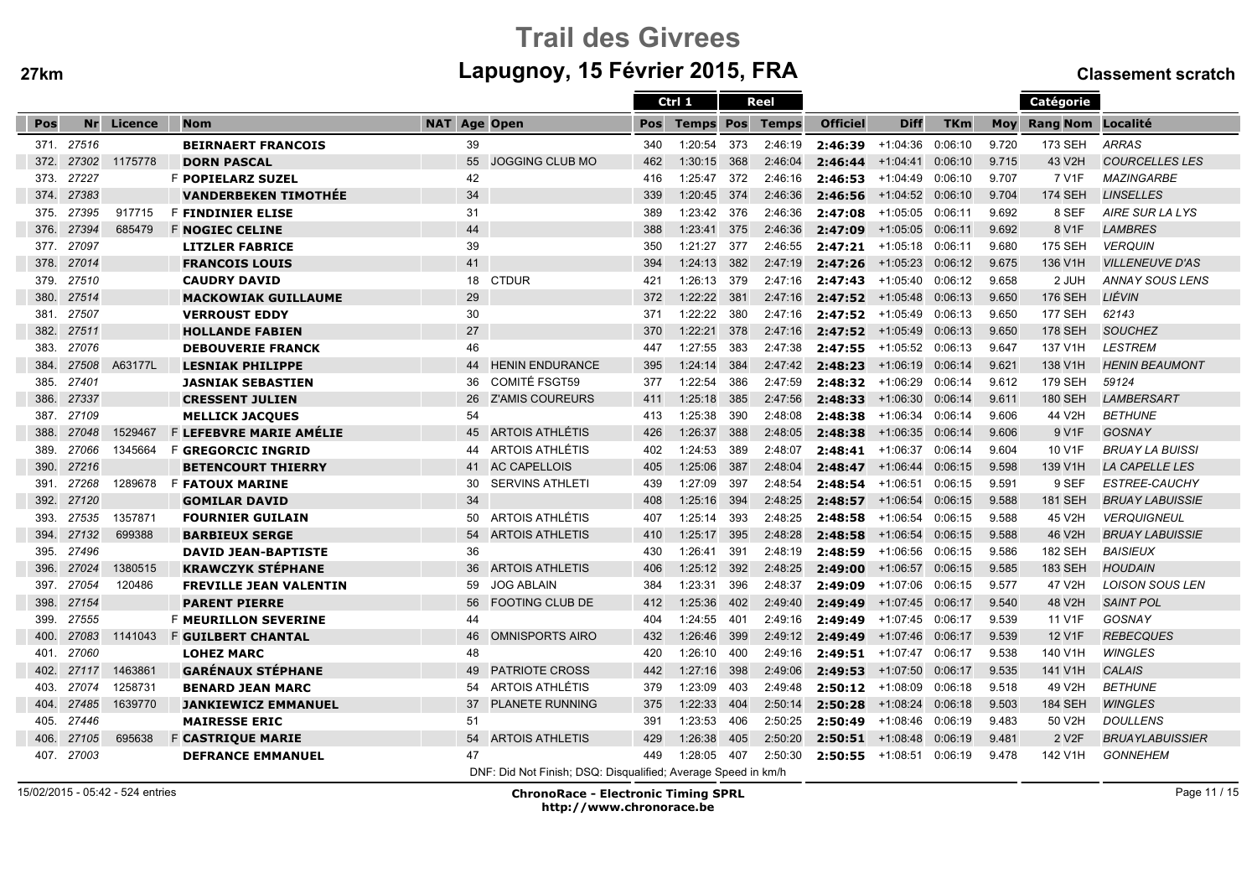# Trail des Givreesm Lapugnoy, 15 Février 2015, FRA Classement scratch

|      |            |         |                                |                              |                                                               | Ctrl 1           |     | Reel    |                            |                    |            |            | Catégorie                |                        |
|------|------------|---------|--------------------------------|------------------------------|---------------------------------------------------------------|------------------|-----|---------|----------------------------|--------------------|------------|------------|--------------------------|------------------------|
| Pos  | <b>Nr</b>  | Licence | <b>Nom</b>                     | <b>NAT Age Open</b>          | Pos                                                           | <b>Temps Pos</b> |     | Temps   | <b>Officiel</b>            | <b>Diff</b>        | <b>TKm</b> | <b>Moy</b> | <b>Rang Nom Localité</b> |                        |
| 371. | 27516      |         | <b>BEIRNAERT FRANCOIS</b>      | 39                           | 340                                                           | 1:20:54          | 373 | 2:46:19 | 2:46:39                    | +1:04:36           | 0:06:10    | 9.720      | 173 SEH                  | <b>ARRAS</b>           |
| 372. | 27302      | 1175778 | <b>DORN PASCAL</b>             | <b>JOGGING CLUB MO</b><br>55 | 462                                                           | 1:30:15          | 368 | 2:46:04 | 2:46:44                    | $+1:04:41$         | 0:06:10    | 9.715      | 43 V2H                   | <b>COURCELLES LES</b>  |
| 373. | 27227      |         | <b>F POPIELARZ SUZEL</b>       | 42                           | 416                                                           | 1:25:47          | 372 | 2:46:16 | 2:46:53                    | +1:04:49 0:06:10   |            | 9.707      | 7 V1F                    | <b>MAZINGARBE</b>      |
| 374. | 27383      |         | <b>VANDERBEKEN TIMOTHEE</b>    | 34                           | 339                                                           | 1:20:45 374      |     | 2:46:36 | 2:46:56                    | $+1:04:52$ 0:06:10 |            | 9.704      | <b>174 SEH</b>           | <b>LINSELLES</b>       |
| 375. | 27395      | 917715  | <b>F FINDINIER ELISE</b>       | 31                           | 389                                                           | 1:23:42 376      |     | 2:46:36 | 2:47:08                    | +1:05:05 0:06:11   |            | 9.692      | 8 SEF                    | AIRE SUR LA LYS        |
| 376. | 27394      | 685479  | <b>F NOGIEC CELINE</b>         | 44                           | 388                                                           | 1:23:41          | 375 | 2:46:36 | 2:47:09                    | $+1:05:05$         | 0:06:11    | 9.692      | 8 V1F                    | <b>LAMBRES</b>         |
| 377. | 27097      |         | <b>LITZLER FABRICE</b>         | 39                           | 350                                                           | 1:21:27          | 377 | 2:46:55 | 2:47:21                    | +1:05:18           | 0:06:11    | 9.680      | <b>175 SEH</b>           | <b>VERQUIN</b>         |
| 378. | 27014      |         | <b>FRANCOIS LOUIS</b>          | 41                           | 394                                                           | 1:24:13          | 382 | 2:47:19 | 2:47:26                    | +1:05:23           | 0:06:12    | 9.675      | 136 V1H                  | <b>VILLENEUVE D'AS</b> |
| 379. | 27510      |         | <b>CAUDRY DAVID</b>            | 18<br><b>CTDUR</b>           | 421                                                           | 1:26:13          | 379 | 2:47:16 | 2:47:43                    | +1:05:40           | 0:06:12    | 9.658      | 2 JUH                    | <b>ANNAY SOUS LENS</b> |
| 380. | 27514      |         | <b>MACKOWIAK GUILLAUME</b>     | 29                           | 372                                                           | 1:22:22          | 381 | 2:47:16 | $2:47:52$ +1:05:48 0:06:13 |                    |            | 9.650      | <b>176 SEH</b>           | LIÉVIN                 |
| 381. | 27507      |         | <b>VERROUST EDDY</b>           | 30                           | 371                                                           | 1:22:22          | 380 | 2:47:16 | $2:47:52$ +1:05:49 0:06:13 |                    |            | 9.650      | <b>177 SEH</b>           | 62143                  |
| 382. | 27511      |         | <b>HOLLANDE FABIEN</b>         | 27                           | 370                                                           | 1:22:21          | 378 | 2:47:16 | $2:47:52$ +1:05:49 0:06:13 |                    |            | 9.650      | <b>178 SEH</b>           | <b>SOUCHEZ</b>         |
| 383. | 27076      |         | <b>DEBOUVERIE FRANCK</b>       | 46                           | 447                                                           | 1:27:55          | 383 | 2:47:38 | $2:47:55$ +1:05:52 0:06:13 |                    |            | 9.647      | 137 V1H                  | <b>LESTREM</b>         |
| 384. | 27508      | A63177L | <b>LESNIAK PHILIPPE</b>        | <b>HENIN ENDURANCE</b><br>44 | 395                                                           | 1:24:14          | 384 | 2:47:42 | 2:48:23                    | +1:06:19 0:06:14   |            | 9.621      | 138 V1H                  | <b>HENIN BEAUMONT</b>  |
| 385. | 27401      |         | <b>JASNIAK SEBASTIEN</b>       | <b>COMITÉ FSGT59</b><br>36   | 377                                                           | 1:22:54          | 386 | 2:47:59 | 2:48:32                    | +1:06:29           | 0:06:14    | 9.612      | <b>179 SEH</b>           | 59124                  |
| 386. | 27337      |         | <b>CRESSENT JULIEN</b>         | 26<br>Z'AMIS COUREURS        | 411                                                           | 1:25:18          | 385 | 2:47:56 | 2:48:33                    | $+1:06:30$ 0:06:14 |            | 9.611      | <b>180 SEH</b>           | <b>LAMBERSART</b>      |
| 387. | 27109      |         | <b>MELLICK JACQUES</b>         | 54                           | 413                                                           | 1:25:38          | 390 | 2:48:08 | 2:48:38                    | +1:06:34           | 0:06:14    | 9.606      | 44 V2H                   | <b>BETHUNE</b>         |
| 388. | 27048      | 1529467 | <b>F LEFEBVRE MARIE AMÉLIE</b> | <b>ARTOIS ATHLÉTIS</b><br>45 | 426                                                           | 1:26:37          | 388 | 2:48:05 | 2:48:38                    | $+1:06:35$         | 0:06:14    | 9.606      | 9 V1F                    | <b>GOSNAY</b>          |
| 389. | 27066      | 1345664 | <b>F GREGORCIC INGRID</b>      | ARTOIS ATHLÉTIS<br>44        | 402                                                           | 1:24:53          | 389 | 2:48:07 | 2:48:41                    | +1:06:37           | 0:06:14    | 9.604      | 10 V1F                   | <b>BRUAY LA BUISSI</b> |
| 390. | 27216      |         | <b>BETENCOURT THIERRY</b>      | <b>AC CAPELLOIS</b><br>41    | 405                                                           | 1:25:06          | 387 | 2:48:04 | 2:48:47                    | +1:06:44           | 0:06:15    | 9.598      | 139 V1H                  | <b>LA CAPELLE LES</b>  |
| 391. | 27268      | 1289678 | <b>F FATOUX MARINE</b>         | 30<br><b>SERVINS ATHLETI</b> | 439                                                           | 1:27:09          | 397 | 2:48:54 | 2:48:54                    | +1:06:51           | 0:06:15    | 9.591      | 9 SEF                    | <b>ESTREE-CAUCHY</b>   |
| 392. | 27120      |         | <b>GOMILAR DAVID</b>           | 34                           | 408                                                           | 1:25:16          | 394 | 2:48:25 | 2:48:57                    | +1:06:54           | 0:06:15    | 9.588      | <b>181 SEH</b>           | <b>BRUAY LABUISSIE</b> |
| 393. | 27535      | 1357871 | <b>FOURNIER GUILAIN</b>        | ARTOIS ATHLÉTIS<br>50        | 407                                                           | 1:25:14          | 393 | 2:48:25 | 2:48:58                    | $+1:06:54$         | 0:06:15    | 9.588      | 45 V2H                   | <b>VERQUIGNEUL</b>     |
| 394. | 27132      | 699388  | <b>BARBIEUX SERGE</b>          | <b>ARTOIS ATHLETIS</b><br>54 | 410                                                           | 1:25:17          | 395 | 2:48:28 | 2:48:58                    | $+1:06:54$         | 0:06:15    | 9.588      | 46 V2H                   | <b>BRUAY LABUISSIE</b> |
| 395. | 27496      |         | <b>DAVID JEAN-BAPTISTE</b>     | 36                           | 430                                                           | 1:26:41          | 391 | 2:48:19 | 2:48:59                    | +1:06:56           | 0:06:15    | 9.586      | <b>182 SEH</b>           | <b>BAISIEUX</b>        |
| 396. | 27024      | 1380515 | <b>KRAWCZYK STÉPHANE</b>       | 36<br><b>ARTOIS ATHLETIS</b> | 406                                                           | 1:25:12 392      |     | 2:48:25 | 2:49:00                    | $+1:06:57$         | 0:06:15    | 9.585      | <b>183 SEH</b>           | <b>HOUDAIN</b>         |
| 397. | 27054      | 120486  | <b>FREVILLE JEAN VALENTIN</b>  | 59<br><b>JOG ABLAIN</b>      | 384                                                           | 1:23:31          | 396 | 2:48:37 | 2:49:09                    | +1:07:06           | 0:06:15    | 9.577      | 47 V2H                   | <b>LOISON SOUS LEN</b> |
| 398. | 27154      |         | <b>PARENT PIERRE</b>           | 56<br><b>FOOTING CLUB DE</b> | 412                                                           | 1:25:36          | 402 | 2:49:40 | 2:49:49                    | $+1:07:45$         | 0:06:17    | 9.540      | 48 V2H                   | <b>SAINT POL</b>       |
| 399. | 27555      |         | <b>F MEURILLON SEVERINE</b>    | 44                           | 404                                                           | 1:24:55          | 401 | 2:49:16 | 2:49:49                    | +1:07:45 0:06:17   |            | 9.539      | 11 V1F                   | <b>GOSNAY</b>          |
| 400. | 27083      | 1141043 | <b>F GUILBERT CHANTAL</b>      | <b>OMNISPORTS AIRO</b><br>46 | 432                                                           | 1:26:46          | 399 | 2:49:12 | 2:49:49                    | +1:07:46 0:06:17   |            | 9.539      | 12 V1F                   | <b>REBECQUES</b>       |
| 401. | 27060      |         | <b>LOHEZ MARC</b>              | 48                           | 420                                                           | 1:26:10          | 400 | 2:49:16 | $2:49:51$ +1:07:47 0:06:17 |                    |            | 9.538      | 140 V1H                  | <b>WINGLES</b>         |
| 402. | 27117      | 1463861 | <b>GARENAUX STEPHANE</b>       | <b>PATRIOTE CROSS</b><br>49  | 442                                                           | 1:27:16          | 398 | 2:49:06 | 2:49:53                    | +1:07:50           | 0:06:17    | 9.535      | 141 V1H                  | <b>CALAIS</b>          |
| 403. | 27074      | 1258731 | <b>BENARD JEAN MARC</b>        | <b>ARTOIS ATHLÉTIS</b><br>54 | 379                                                           | 1:23:09          | 403 | 2:49:48 | 2:50:12                    | +1:08:09           | 0:06:18    | 9.518      | 49 V2H                   | <b>BETHUNE</b>         |
| 404. | 27485      | 1639770 | <b>JANKIEWICZ EMMANUEL</b>     | <b>PLANETE RUNNING</b><br>37 | 375                                                           | 1:22:33          | 404 | 2:50:14 | 2:50:28                    | $+1:08:24$         | 0:06:18    | 9.503      | <b>184 SEH</b>           | <b>WINGLES</b>         |
| 405. | 27446      |         | <b>MAIRESSE ERIC</b>           | 51                           | 391                                                           | 1:23:53          | 406 | 2:50:25 | 2:50:49                    | +1:08:46           | 0:06:19    | 9.483      | 50 V2H                   | <b>DOULLENS</b>        |
| 406. | 27105      | 695638  | <b>F CASTRIQUE MARIE</b>       | <b>ARTOIS ATHLETIS</b><br>54 | 429                                                           | 1:26:38          | 405 | 2:50:20 | 2:50:51                    | +1:08:48 0:06:19   |            | 9.481      | 2 V <sub>2</sub> F       | <b>BRUAYLABUISSIER</b> |
|      | 407. 27003 |         | <b>DEFRANCE EMMANUEL</b>       | 47                           | 449                                                           | 1:28:05          | 407 | 2:50:30 | 2:50:55                    | +1:08:51 0:06:19   |            | 9.478      | 142 V1H                  | <b>GONNEHEM</b>        |
|      |            |         |                                |                              | DNF: Did Not Finish; DSQ: Disqualified; Average Speed in km/h |                  |     |         |                            |                    |            |            |                          |                        |

15/02/2015 - 05:42 - 524 entries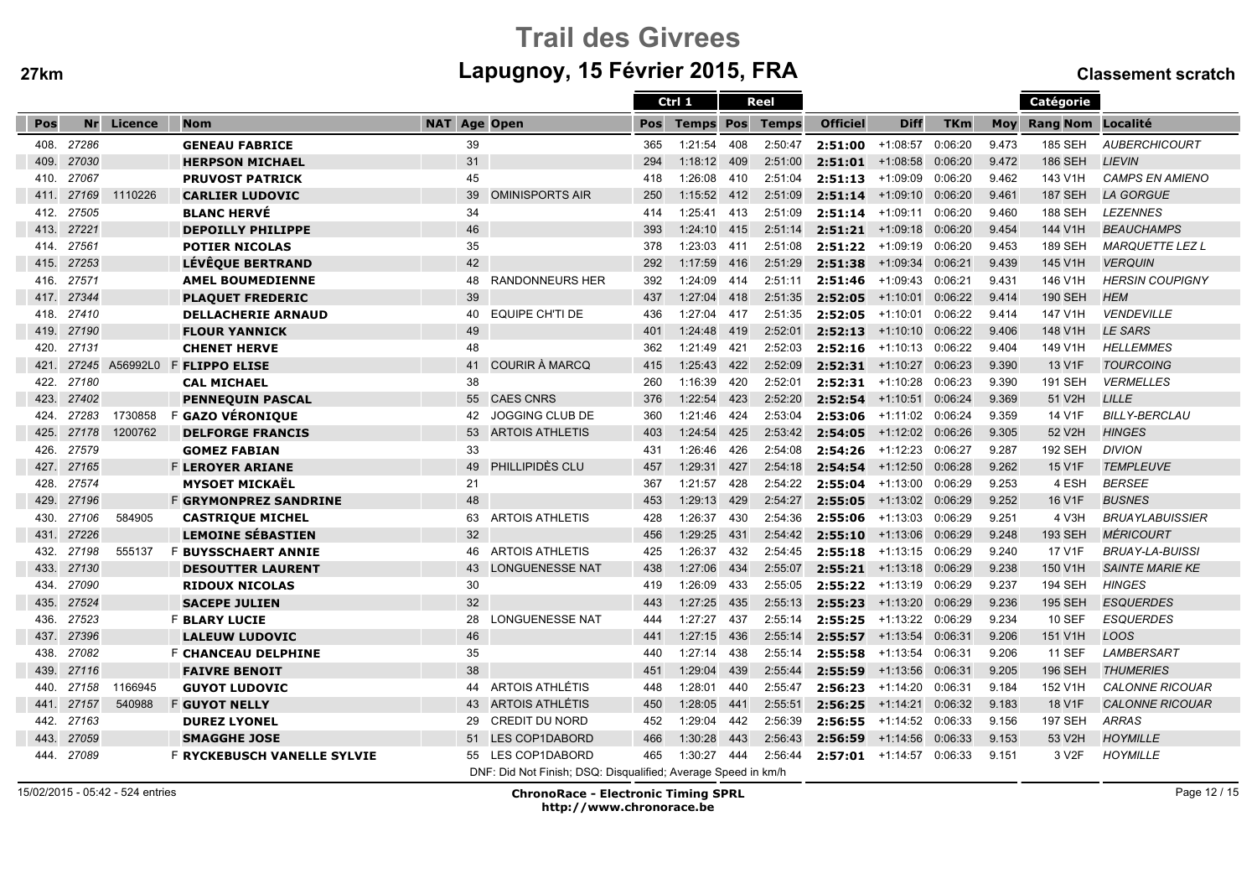# Trail des Givreesm Lapugnoy, 15 Février 2015, FRA Classement scratch

|      |           |          |                                    |                     |                                                               |     | Ctrl 1           |     | Reel         |                            |                            |            |       | Catégorie          |                        |
|------|-----------|----------|------------------------------------|---------------------|---------------------------------------------------------------|-----|------------------|-----|--------------|----------------------------|----------------------------|------------|-------|--------------------|------------------------|
| Pos  | <b>Nr</b> | Licence  | <b>Nom</b>                         | <b>NAT Age Open</b> |                                                               | Pos | <b>Temps Pos</b> |     | <b>Temps</b> | <b>Officiel</b>            | <b>Diff</b>                | <b>TKm</b> | Mov   | Rang Nom Localité  |                        |
| 408. | 27286     |          | <b>GENEAU FABRICE</b>              | 39                  |                                                               | 365 | 1:21:54          | 408 | 2:50:47      | 2:51:00                    | +1:08:57                   | 0:06:20    | 9.473 | <b>185 SEH</b>     | <b>AUBERCHICOURT</b>   |
| 409. | 27030     |          | <b>HERPSON MICHAEL</b>             | 31                  |                                                               | 294 | 1:18:12          | 409 | 2:51:00      | 2:51:01                    | $+1:08:58$                 | 0:06:20    | 9.472 | <b>186 SEH</b>     | <b>LIEVIN</b>          |
| 410. | 27067     |          | <b>PRUVOST PATRICK</b>             | 45                  |                                                               | 418 | 1:26:08          | 410 | 2:51:04      | 2:51:13                    | +1:09:09                   | 0:06:20    | 9.462 | 143 V1H            | <b>CAMPS EN AMIENO</b> |
| 411. | 27169     | 1110226  | <b>CARLIER LUDOVIC</b>             | 39                  | <b>OMINISPORTS AIR</b>                                        | 250 | $1:15:52$ 412    |     | 2:51:09      | 2:51:14                    | $+1:09:10$ 0:06:20         |            | 9.461 | <b>187 SEH</b>     | <b>LA GORGUE</b>       |
| 412. | 27505     |          | <b>BLANC HERVÉ</b>                 | 34                  |                                                               | 414 | 1:25:41          | 413 | 2:51:09      | 2:51:14                    | +1:09:11                   | 0:06:20    | 9.460 | <b>188 SEH</b>     | <b>LEZENNES</b>        |
| 413. | 27221     |          | <b>DEPOILLY PHILIPPE</b>           | 46                  |                                                               | 393 | $1:24:10$ 415    |     | 2:51:14      |                            | $2:51:21$ +1:09:18 0:06:20 |            | 9.454 | 144 V1H            | <b>BEAUCHAMPS</b>      |
| 414. | 27561     |          | <b>POTIER NICOLAS</b>              | 35                  |                                                               | 378 | 1:23:03          | 411 | 2:51:08      | $2:51:22$ +1:09:19         |                            | 0:06:20    | 9.453 | <b>189 SEH</b>     | <b>MARQUETTE LEZ L</b> |
| 415. | 27253     |          | <b>LÉVÊQUE BERTRAND</b>            | 42                  |                                                               | 292 | 1:17:59          | 416 | 2:51:29      | 2:51:38                    | +1:09:34                   | 0:06:21    | 9.439 | 145 V1H            | <b>VERQUIN</b>         |
| 416. | 27571     |          | <b>AMEL BOUMEDIENNE</b>            | 48                  | <b>RANDONNEURS HER</b>                                        | 392 | 1:24:09          | 414 | 2:51:11      | 2:51:46                    | +1:09:43                   | 0:06:21    | 9.431 | 146 V1H            | <b>HERSIN COUPIGNY</b> |
| 417. | 27344     |          | <b>PLAQUET FREDERIC</b>            | 39                  |                                                               | 437 | 1:27:04          | 418 | 2:51:35      | 2:52:05                    | $+1:10:01$                 | 0:06:22    | 9.414 | <b>190 SEH</b>     | <b>HEM</b>             |
| 418. | 27410     |          | <b>DELLACHERIE ARNAUD</b>          | 40                  | <b>EQUIPE CH'TI DE</b>                                        | 436 | 1:27:04          | 417 | 2:51:35      | 2:52:05                    | +1:10:01                   | 0:06:22    | 9.414 | 147 V1H            | <b>VENDEVILLE</b>      |
| 419. | 27190     |          | <b>FLOUR YANNICK</b>               | 49                  |                                                               | 401 | 1:24:48          | 419 | 2:52:01      |                            | $2:52:13$ +1:10:10 0:06:22 |            | 9.406 | 148 V1H            | <b>LE SARS</b>         |
| 420. | 27131     |          | <b>CHENET HERVE</b>                | 48                  |                                                               | 362 | 1:21:49          | 421 | 2:52:03      | 2:52:16                    | +1:10:13 0:06:22           |            | 9.404 | 149 V1H            | <b>HELLEMMES</b>       |
| 421. | 27245     | A56992L0 | <b>F FLIPPO ELISE</b>              | 41                  | <b>COURIR À MARCQ</b>                                         | 415 | 1:25:43          | 422 | 2:52:09      | 2:52:31                    | $+1:10:27$                 | 0:06:23    | 9.390 | 13 V1F             | <b>TOURCOING</b>       |
| 422. | 27180     |          | <b>CAL MICHAEL</b>                 | 38                  |                                                               | 260 | 1:16:39          | 420 | 2:52:01      | 2:52:31                    | $+1:10:28$                 | 0:06:23    | 9.390 | <b>191 SEH</b>     | <b>VERMELLES</b>       |
| 423. | 27402     |          | <b>PENNEQUIN PASCAL</b>            | 55                  | <b>CAES CNRS</b>                                              | 376 | 1:22:54          | 423 | 2:52:20      | 2:52:54                    | $+1:10:51$                 | 0:06:24    | 9.369 | 51 V2H             | <b>LILLE</b>           |
| 424. | 27283     | 1730858  | F GAZO VÉRONIQUE                   | 42                  | <b>JOGGING CLUB DE</b>                                        | 360 | 1:21:46          | 424 | 2:53:04      | 2:53:06                    | +1:11:02                   | 0:06:24    | 9.359 | 14 V1F             | <b>BILLY-BERCLAU</b>   |
| 425. | 27178     | 1200762  | <b>DELFORGE FRANCIS</b>            | 53                  | <b>ARTOIS ATHLETIS</b>                                        | 403 | 1:24:54          | 425 | 2:53:42      |                            | $2:54:05$ +1:12:02 0:06:26 |            | 9.305 | 52 V2H             | <b>HINGES</b>          |
| 426. | 27579     |          | <b>GOMEZ FABIAN</b>                | 33                  |                                                               | 431 | 1:26:46          | 426 | 2:54:08      | $2:54:26$ +1:12:23         |                            | 0:06:27    | 9.287 | <b>192 SEH</b>     | <b>DIVION</b>          |
| 427. | 27165     |          | <b>F LEROYER ARIANE</b>            | 49                  | PHILLIPIDÈS CLU                                               | 457 | 1:29:31          | 427 | 2:54:18      | 2:54:54                    | $+1:12:50$                 | 0:06:28    | 9.262 | 15 V1F             | <b>TEMPLEUVE</b>       |
| 428. | 27574     |          | <b>MYSOET MICKAËL</b>              | 21                  |                                                               | 367 | 1:21:57          | 428 | 2:54:22      | 2:55:04                    | $+1:13:00$                 | 0:06:29    | 9.253 | 4 ESH              | <b>BERSEE</b>          |
| 429. | 27196     |          | <b>F GRYMONPREZ SANDRINE</b>       | 48                  |                                                               | 453 | 1:29:13          | 429 | 2:54:27      | 2:55:05                    | +1:13:02 0:06:29           |            | 9.252 | 16 V1F             | <b>BUSNES</b>          |
| 430. | 27106     | 584905   | <b>CASTRIQUE MICHEL</b>            | 63                  | <b>ARTOIS ATHLETIS</b>                                        | 428 | 1:26:37          | 430 | 2:54:36      | 2:55:06                    | +1:13:03                   | 0:06:29    | 9.251 | 4 V3H              | <b>BRUAYLABUISSIER</b> |
| 431. | 27226     |          | <b>LEMOINE SÉBASTIEN</b>           | 32                  |                                                               | 456 | 1:29:25          | 431 | 2:54:42      | 2:55:10                    | +1:13:06                   | 0:06:29    | 9.248 | <b>193 SEH</b>     | <b>MÉRICOURT</b>       |
| 432. | 27198     | 555137   | <b>F BUYSSCHAERT ANNIE</b>         | 46                  | <b>ARTOIS ATHLETIS</b>                                        | 425 | 1:26:37          | 432 | 2:54:45      | 2:55:18                    | +1:13:15 0:06:29           |            | 9.240 | 17 V1F             | <b>BRUAY-LA-BUISSI</b> |
| 433. | 27130     |          | <b>DESOUTTER LAURENT</b>           | 43                  | <b>LONGUENESSE NAT</b>                                        | 438 | 1:27:06          | 434 | 2:55:07      | 2:55:21                    | +1:13:18                   | 0:06:29    | 9.238 | 150 V1H            | <b>SAINTE MARIE KE</b> |
| 434. | 27090     |          | <b>RIDOUX NICOLAS</b>              | 30                  |                                                               | 419 | 1:26:09          | 433 | 2:55:05      | 2:55:22                    | +1:13:19                   | 0:06:29    | 9.237 | <b>194 SEH</b>     | <b>HINGES</b>          |
| 435. | 27524     |          | <b>SACEPE JULIEN</b>               | 32                  |                                                               | 443 | 1:27:25          | 435 | 2:55:13      | 2:55:23                    | +1:13:20 0:06:29           |            | 9.236 | <b>195 SEH</b>     | <b>ESQUERDES</b>       |
| 436. | 27523     |          | <b>F BLARY LUCIE</b>               | 28                  | <b>LONGUENESSE NAT</b>                                        | 444 | 1:27:27          | 437 | 2:55:14      | $2:55:25$ +1:13:22 0:06:29 |                            |            | 9.234 | <b>10 SEF</b>      | <b>ESQUERDES</b>       |
| 437. | 27396     |          | <b>LALEUW LUDOVIC</b>              | 46                  |                                                               | 441 | 1:27:15          | 436 | 2:55:14      | 2:55:57 +1:13:54 0:06:31   |                            |            | 9.206 | 151 V1H            | <b>LOOS</b>            |
| 438. | 27082     |          | F CHANCEAU DELPHINE                | 35                  |                                                               | 440 | 1:27:14          | 438 | 2:55:14      | 2:55:58                    | +1:13:54                   | 0:06:31    | 9.206 | 11 SEF             | LAMBERSART             |
| 439. | 27116     |          | <b>FAIVRE BENOIT</b>               | 38                  |                                                               | 451 | 1:29:04          | 439 | 2:55:44      | 2:55:59                    | +1:13:56                   | 0:06:31    | 9.205 | <b>196 SEH</b>     | <b>THUMERIES</b>       |
| 440. | 27158     | 1166945  | <b>GUYOT LUDOVIC</b>               | 44                  | <b>ARTOIS ATHLÉTIS</b>                                        | 448 | 1:28:01          | 440 | 2:55:47      | 2:56:23                    | $+1:14:20$                 | 0:06:31    | 9.184 | 152 V1H            | <b>CALONNE RICOUAR</b> |
| 441. | 27157     | 540988   | <b>F GUYOT NELLY</b>               | 43                  | <b>ARTOIS ATHLÉTIS</b>                                        | 450 | 1:28:05          | 441 | 2:55:51      | 2:56:25                    | $+1:14:21$                 | 0:06:32    | 9.183 | 18 V1F             | <b>CALONNE RICOUAR</b> |
| 442. | 27163     |          | <b>DUREZ LYONEL</b>                | 29                  | <b>CREDIT DU NORD</b>                                         | 452 | 1:29:04          | 442 | 2:56:39      |                            | $2:56:55$ +1:14:52 0:06:33 |            | 9.156 | <b>197 SEH</b>     | <b>ARRAS</b>           |
| 443. | 27059     |          | <b>SMAGGHE JOSE</b>                | 51                  | <b>LES COP1DABORD</b>                                         | 466 | 1:30:28          | 443 | 2:56:43      | 2:56:59                    | $+1:14:56$                 | 0:06:33    | 9.153 | 53 V2H             | <b>HOYMILLE</b>        |
| 444. | 27089     |          | <b>F RYCKEBUSCH VANELLE SYLVIE</b> | 55                  | LES COP1DABORD                                                | 465 | 1:30:27          | 444 | 2:56:44      | 2:57:01                    | +1:14:57                   | 0:06:33    | 9.151 | 3 V <sub>2</sub> F | <b>HOYMILLE</b>        |
|      |           |          |                                    |                     | DNF: Did Not Finish; DSQ: Disqualified; Average Speed in km/h |     |                  |     |              |                            |                            |            |       |                    |                        |

15/02/2015 - 05:42 - 524 entries

ChronoRace - Electronic Timing SPRL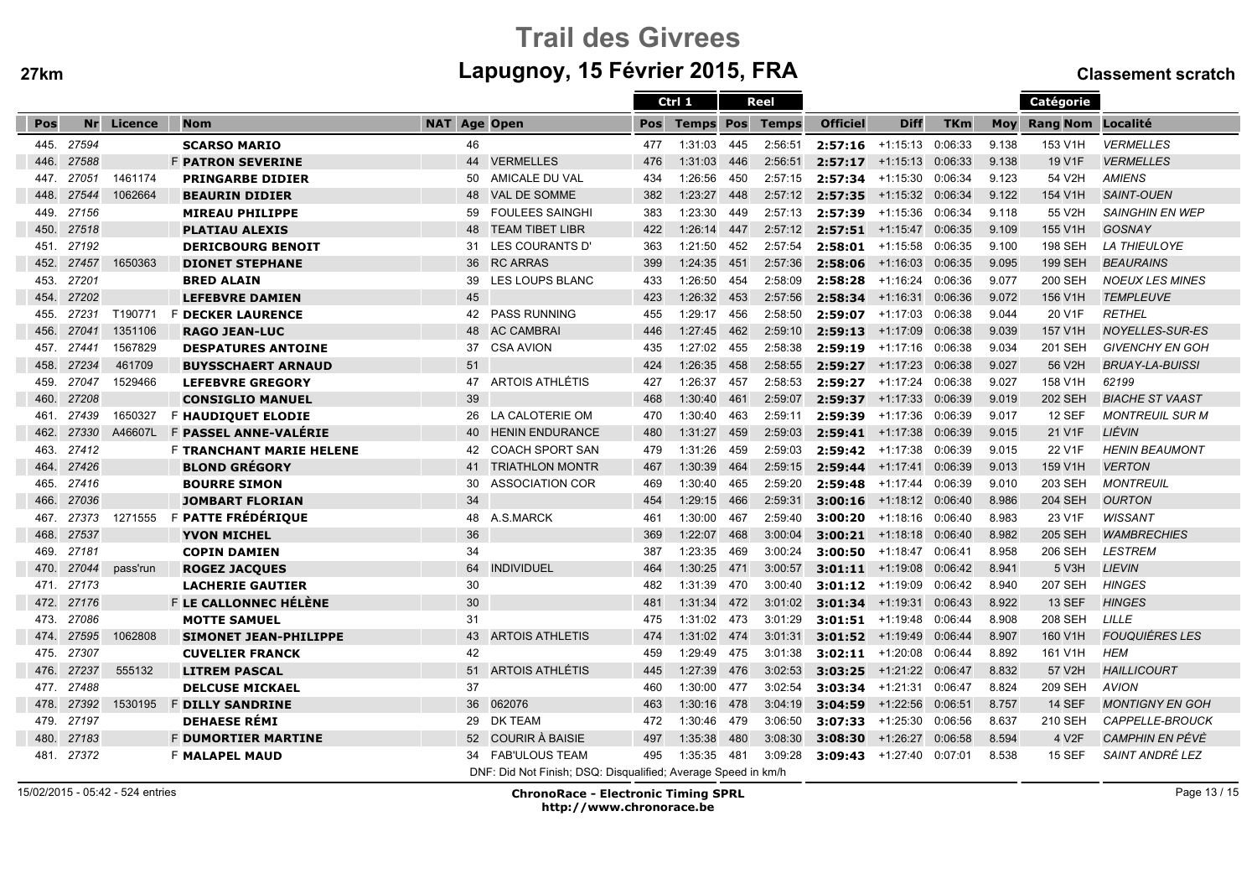# Trail des Givreesm Lapugnoy, 15 Février 2015, FRA Classement scratch

|      |            |          |                                 |                     |                                                               |     | Ctrl 1                 | Reel |         |                    |                            |            |            | <b>Catégorie</b>   |                        |
|------|------------|----------|---------------------------------|---------------------|---------------------------------------------------------------|-----|------------------------|------|---------|--------------------|----------------------------|------------|------------|--------------------|------------------------|
| Pos  | Nr         | Licence  | <b>Nom</b>                      | <b>NAT Age Open</b> |                                                               | Pos | <b>Temps Pos Temps</b> |      |         | <b>Officiel</b>    | <b>Diff</b>                | <b>TKm</b> | <b>Mov</b> | Rang Nom Localité  |                        |
| 445. | 27594      |          | <b>SCARSO MARIO</b>             | 46                  |                                                               | 477 | 1:31:03                | 445  | 2:56:51 | $2:57:16$ +1:15:13 |                            | 0:06:33    | 9.138      | 153 V1H            | <b>VERMELLES</b>       |
| 446. | 27588      |          | <b>F PATRON SEVERINE</b>        | 44                  | <b>VERMELLES</b>                                              | 476 | 1:31:03                | 446  | 2:56:51 | $2:57:17$ +1:15:13 |                            | 0:06:33    | 9.138      | 19 V1F             | <b>VERMELLES</b>       |
| 447. | 27051      | 1461174  | <b>PRINGARBE DIDIER</b>         | 50                  | AMICALE DU VAL                                                | 434 | 1:26:56                | 450  | 2:57:15 | 2:57:34            | +1:15:30 0:06:34           |            | 9.123      | 54 V2H             | <b>AMIENS</b>          |
| 448. | 27544      | 1062664  | <b>BEAURIN DIDIER</b>           | 48                  | <b>VAL DE SOMME</b>                                           | 382 | 1:23:27                | 448  | 2:57:12 | 2:57:35            | +1:15:32 0:06:34           |            | 9.122      | 154 V1H            | <b>SAINT-OUEN</b>      |
| 449. | 27156      |          | <b>MIREAU PHILIPPE</b>          | 59                  | <b>FOULEES SAINGHI</b>                                        | 383 | 1:23:30                | 449  | 2:57:13 |                    | 2:57:39 +1:15:36 0:06:34   |            | 9.118      | 55 V2H             | <b>SAINGHIN EN WEP</b> |
| 450. | 27518      |          | <b>PLATIAU ALEXIS</b>           | 48                  | <b>TEAM TIBET LIBR</b>                                        | 422 | 1:26:14 447            |      | 2:57:12 |                    | $2:57:51$ +1:15:47 0:06:35 |            | 9.109      | 155 V1H            | <b>GOSNAY</b>          |
| 451. | 27192      |          | <b>DERICBOURG BENOIT</b>        | 31                  | LES COURANTS D'                                               | 363 | 1:21:50                | 452  | 2:57:54 |                    | $2:58:01$ +1:15:58         | 0:06:35    | 9.100      | <b>198 SEH</b>     | <b>LA THIEULOYE</b>    |
| 452. | 27457      | 1650363  | <b>DIONET STEPHANE</b>          | 36                  | <b>RC ARRAS</b>                                               | 399 | 1:24:35                | 451  | 2:57:36 | 2:58:06            | $+1:16:03$                 | 0:06:35    | 9.095      | <b>199 SEH</b>     | <b>BEAURAINS</b>       |
| 453. | 27201      |          | <b>BRED ALAIN</b>               | 39                  | LES LOUPS BLANC                                               | 433 | 1:26:50                | 454  | 2:58:09 | 2:58:28            | +1:16:24                   | 0:06:36    | 9.077      | 200 SEH            | <b>NOEUX LES MINES</b> |
| 454. | 27202      |          | <b>LEFEBVRE DAMIEN</b>          | 45                  |                                                               | 423 | 1:26:32                | 453  | 2:57:56 |                    | $2:58:34$ +1:16:31         | 0:06:36    | 9.072      | 156 V1H            | <b>TEMPLEUVE</b>       |
| 455. | 27231      | T190771  | <b>F DECKER LAURENCE</b>        | 42                  | <b>PASS RUNNING</b>                                           | 455 | 1:29:17                | 456  | 2:58:50 |                    | $2:59:07$ +1:17:03 0:06:38 |            | 9.044      | 20 V1F             | <b>RETHEL</b>          |
| 456. | 27041      | 1351106  | <b>RAGO JEAN-LUC</b>            | 48                  | <b>AC CAMBRAI</b>                                             | 446 | 1:27:45                | 462  | 2:59:10 | 2:59:13            | $+1:17:09$                 | 0:06:38    | 9.039      | 157 V1H            | NOYELLES-SUR-ES        |
| 457. | 27441      | 1567829  | <b>DESPATURES ANTOINE</b>       | 37                  | <b>CSA AVION</b>                                              | 435 | 1:27:02                | 455  | 2:58:38 |                    | $2:59:19$ +1:17:16 0:06:38 |            | 9.034      | 201 SEH            | <b>GIVENCHY EN GOH</b> |
| 458. | 27234      | 461709   | <b>BUYSSCHAERT ARNAUD</b>       | 51                  |                                                               | 424 | 1:26:35                | 458  | 2:58:55 | 2:59:27            | $+1:17:23$                 | 0:06:38    | 9.027      | 56 V2H             | <b>BRUAY-LA-BUISSI</b> |
| 459. | 27047      | 1529466  | <b>LEFEBVRE GREGORY</b>         | 47                  | <b>ARTOIS ATHLÉTIS</b>                                        | 427 | 1:26:37                | 457  | 2:58:53 | 2:59:27            | +1:17:24                   | 0:06:38    | 9.027      | 158 V1H            | 62199                  |
| 460. | 27208      |          | <b>CONSIGLIO MANUEL</b>         | 39                  |                                                               | 468 | 1:30:40                | 461  | 2:59:07 | 2:59:37            | +1:17:33 0:06:39           |            | 9.019      | <b>202 SEH</b>     | <b>BIACHE ST VAAST</b> |
| 461. | 27439      | 1650327  | F HAUDIQUET ELODIE              | 26                  | LA CALOTERIE OM                                               | 470 | 1:30:40                | 463  | 2:59:11 | 2:59:39            | +1:17:36 0:06:39           |            | 9.017      | <b>12 SEF</b>      | <b>MONTREUIL SUR M</b> |
| 462. | 27330      | A46607L  | F PASSEL ANNE-VALERIE           | 40                  | <b>HENIN ENDURANCE</b>                                        | 480 | 1:31:27                | 459  | 2:59:03 |                    | $2:59:41$ +1:17:38 0:06:39 |            | 9.015      | 21 V1F             | LIÉVIN                 |
| 463. | 27412      |          | <b>F TRANCHANT MARIE HELENE</b> | 42                  | <b>COACH SPORT SAN</b>                                        | 479 | 1:31:26                | 459  | 2:59:03 |                    | 2:59:42 +1:17:38 0:06:39   |            | 9.015      | 22 V1F             | <b>HENIN BEAUMONT</b>  |
| 464. | 27426      |          | <b>BLOND GRÉGORY</b>            | 41                  | <b>TRIATHLON MONTR</b>                                        | 467 | 1:30:39                | 464  | 2:59:15 | $2:59:44$ +1:17:41 |                            | 0:06:39    | 9.013      | 159 V1H            | <b>VERTON</b>          |
| 465. | 27416      |          | <b>BOURRE SIMON</b>             | 30                  | <b>ASSOCIATION COR</b>                                        | 469 | 1:30:40                | 465  | 2:59:20 | 2:59:48            | +1:17:44                   | 0:06:39    | 9.010      | 203 SEH            | <b>MONTREUIL</b>       |
| 466. | 27036      |          | <b>JOMBART FLORIAN</b>          | 34                  |                                                               | 454 | 1:29:15                | 466  | 2:59:31 | 3:00:16            | $+1:18:12$ 0:06:40         |            | 8.986      | <b>204 SEH</b>     | <b>OURTON</b>          |
| 467. | 27373      | 1271555  | F PATTE FRÉDÉRIQUE              | 48                  | A.S.MARCK                                                     | 461 | 1:30:00                | 467  | 2:59:40 | 3:00:20            | +1:18:16 0:06:40           |            | 8.983      | 23 V1F             | <b>WISSANT</b>         |
| 468. | 27537      |          | <b>YVON MICHEL</b>              | 36                  |                                                               | 369 | 1:22:07                | 468  | 3:00:04 |                    | $3:00:21$ +1:18:18 0:06:40 |            | 8.982      | <b>205 SEH</b>     | <b>WAMBRECHIES</b>     |
| 469. | 27181      |          | <b>COPIN DAMIEN</b>             | 34                  |                                                               | 387 | 1:23:35                | 469  | 3:00:24 | 3:00:50            | +1:18:47                   | 0:06:41    | 8.958      | 206 SEH            | <b>LESTREM</b>         |
| 470. | 27044      | pass'run | <b>ROGEZ JACQUES</b>            | 64                  | <b>INDIVIDUEL</b>                                             | 464 | 1:30:25                | 471  | 3:00:57 |                    | $3:01:11$ +1:19:08 0:06:42 |            | 8.941      | 5 V3H              | <b>LIEVIN</b>          |
| 471. | 27173      |          | <b>LACHERIE GAUTIER</b>         | 30                  |                                                               | 482 | 1:31:39                | 470  | 3:00:40 | $3:01:12$ +1:19:09 |                            | 0:06:42    | 8.940      | <b>207 SEH</b>     | <b>HINGES</b>          |
| 472. | 27176      |          | F LE CALLONNEC HÉLÈNE           | 30                  |                                                               | 481 | 1:31:34                | 472  | 3:01:02 | $3:01:34$ +1:19:31 |                            | 0:06:43    | 8.922      | <b>13 SEF</b>      | <b>HINGES</b>          |
| 473. | 27086      |          | <b>MOTTE SAMUEL</b>             | 31                  |                                                               | 475 | 1:31:02                | 473  | 3:01:29 |                    | $3:01:51$ +1:19:48         | 0:06:44    | 8.908      | 208 SEH            | LILLE                  |
| 474. | 27595      | 1062808  | <b>SIMONET JEAN-PHILIPPE</b>    | 43                  | <b>ARTOIS ATHLETIS</b>                                        | 474 | 1:31:02 474            |      | 3:01:31 |                    | 3:01:52 +1:19:49 0:06:44   |            | 8.907      | 160 V1H            | <b>FOUQUIÉRES LES</b>  |
| 475. | 27307      |          | <b>CUVELIER FRANCK</b>          | 42                  |                                                               | 459 | 1:29:49                | 475  | 3:01:38 |                    | $3:02:11$ +1:20:08 0:06:44 |            | 8.892      | 161 V1H            | <b>HEM</b>             |
| 476. | 27237      | 555132   | <b>LITREM PASCAL</b>            | 51                  | <b>ARTOIS ATHLÉTIS</b>                                        | 445 | 1:27:39                | 476  | 3:02:53 | 3:03:25            | +1:21:22 0:06:47           |            | 8.832      | 57 V2H             | <b>HAILLICOURT</b>     |
| 477. | 27488      |          | <b>DELCUSE MICKAEL</b>          | 37                  |                                                               | 460 | 1:30:00                | 477  | 3:02:54 | $3:03:34$ +1:21:31 |                            | 0:06:47    | 8.824      | 209 SEH            | <b>AVION</b>           |
| 478. | 27392      | 1530195  | <b>F DILLY SANDRINE</b>         | 36                  | 062076                                                        | 463 | 1:30:16                | 478  | 3:04:19 | 3:04:59            | $+1:22:56$                 | 0:06:51    | 8.757      | <b>14 SEF</b>      | <b>MONTIGNY EN GOH</b> |
| 479. | 27197      |          | <b>DEHAESE RÉMI</b>             | 29                  | DK TEAM                                                       | 472 | 1:30:46                | 479  | 3:06:50 | 3:07:33            | +1:25:30                   | 0:06:56    | 8.637      | 210 SEH            | CAPPELLE-BROUCK        |
| 480. | 27183      |          | <b>F DUMORTIER MARTINE</b>      | 52 <sub>2</sub>     | <b>COURIR À BAISIE</b>                                        | 497 | 1:35:38                | 480  | 3:08:30 | 3:08:30            | +1:26:27                   | 0:06:58    | 8.594      | 4 V <sub>2</sub> F | <b>CAMPHIN EN PÉVÈ</b> |
|      | 481. 27372 |          | <b>F MALAPEL MAUD</b>           | 34                  | <b>FAB'ULOUS TEAM</b>                                         | 495 | 1:35:35                | 481  | 3:09:28 | 3:09:43            | +1:27:40 0:07:01           |            | 8.538      | <b>15 SEF</b>      | SAINT ANDRÉ LEZ        |
|      |            |          |                                 |                     | DNF: Did Not Finish; DSQ: Disqualified; Average Speed in km/h |     |                        |      |         |                    |                            |            |            |                    |                        |

15/02/2015 - 05:42 - 524 entries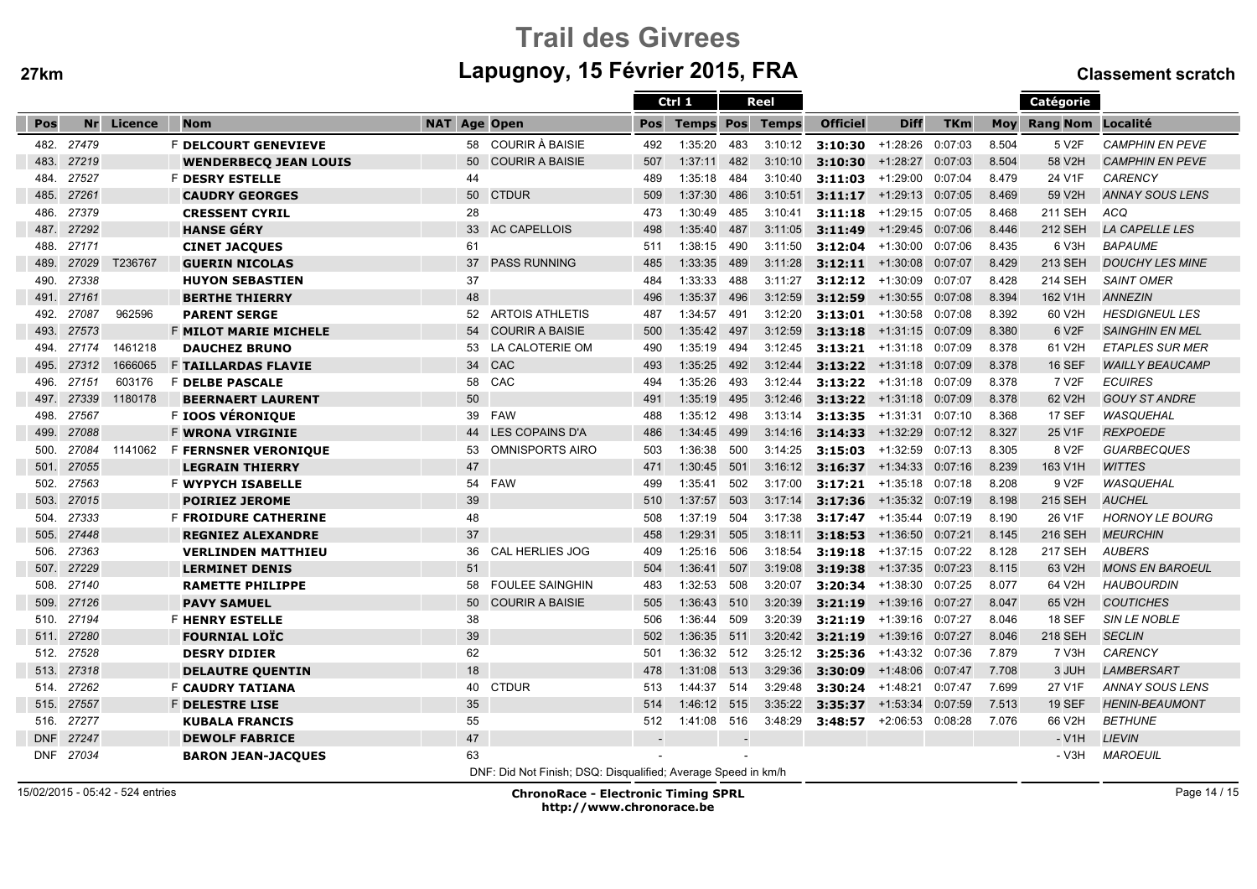# Trail des Givreesm Lapugnoy, 15 Février 2015, FRA Classement scratch

|            |       |                                                               |                              |                     |                        |     | Ctrl 1                 | Reel                     |         |                    |                                   |            |       | Catégorie          |                        |
|------------|-------|---------------------------------------------------------------|------------------------------|---------------------|------------------------|-----|------------------------|--------------------------|---------|--------------------|-----------------------------------|------------|-------|--------------------|------------------------|
| Pos        | Nr    | Licence                                                       | <b>Nom</b>                   | <b>NAT Age Open</b> |                        | Pos | <b>Temps Pos Temps</b> |                          |         | <b>Officiel</b>    | <b>Diff</b>                       | <b>TKm</b> | Mov   | Rang Nom Localité  |                        |
| 482.       | 27479 |                                                               | <b>F DELCOURT GENEVIEVE</b>  | 58                  | COURIR À BAISIE        | 492 | 1:35:20                | 483                      | 3:10:12 | 3:10:30            | +1:28:26                          | 0:07:03    | 8.504 | 5 V <sub>2</sub> F | <b>CAMPHIN EN PEVE</b> |
| 483.       | 27219 |                                                               | <b>WENDERBECQ JEAN LOUIS</b> | 50                  | <b>COURIR A BAISIE</b> | 507 | 1:37:11                | 482                      | 3:10:10 | 3:10:30            | $+1:28:27$                        | 0:07:03    | 8.504 | 58 V2H             | <b>CAMPHIN EN PEVE</b> |
| 484.       | 27527 |                                                               | <b>F DESRY ESTELLE</b>       | 44                  |                        | 489 | 1:35:18                | 484                      | 3:10:40 | 3:11:03            | +1:29:00                          | 0:07:04    | 8.479 | 24 V1F             | <b>CARENCY</b>         |
| 485.       | 27261 |                                                               | <b>CAUDRY GEORGES</b>        | 50                  | <b>CTDUR</b>           | 509 | 1:37:30                | 486                      | 3:10:51 | 3:11:17            | +1:29:13 0:07:05                  |            | 8.469 | 59 V2H             | <b>ANNAY SOUS LENS</b> |
| 486.       | 27379 |                                                               | <b>CRESSENT CYRIL</b>        | 28                  |                        | 473 | 1:30:49                | 485                      | 3:10:41 | 3:11:18            | +1:29:15 0:07:05                  |            | 8.468 | 211 SEH            | <b>ACQ</b>             |
| 487.       | 27292 |                                                               | <b>HANSE GÉRY</b>            | 33                  | <b>AC CAPELLOIS</b>    | 498 | 1:35:40                | 487                      | 3:11:05 | 3:11:49            | $+1:29:45$                        | 0:07:06    | 8.446 | 212 SEH            | <b>LA CAPELLE LES</b>  |
| 488.       | 27171 |                                                               | <b>CINET JACQUES</b>         | 61                  |                        | 511 | 1:38:15                | 490                      | 3:11:50 | 3:12:04            | $+1:30:00$                        | 0:07:06    | 8.435 | 6 V3H              | <b>BAPAUME</b>         |
| 489.       | 27029 | T236767                                                       | <b>GUERIN NICOLAS</b>        | 37                  | <b>PASS RUNNING</b>    | 485 | 1:33:35                | 489                      | 3:11:28 | 3:12:11            | $+1:30:08$                        | 0:07:07    | 8.429 | 213 SEH            | <b>DOUCHY LES MINE</b> |
| 490.       | 27338 |                                                               | <b>HUYON SEBASTIEN</b>       | 37                  |                        | 484 | 1:33:33                | 488                      | 3:11:27 | 3:12:12            | +1:30:09                          | 0:07:07    | 8.428 | 214 SEH            | <b>SAINT OMER</b>      |
| 491.       | 27161 |                                                               | <b>BERTHE THIERRY</b>        | 48                  |                        | 496 | 1:35:37                | 496                      | 3:12:59 | 3:12:59            | $+1:30:55$                        | 0:07:08    | 8.394 | 162 V1H            | <b>ANNEZIN</b>         |
| 492.       | 27087 | 962596                                                        | <b>PARENT SERGE</b>          | 52                  | <b>ARTOIS ATHLETIS</b> | 487 | 1:34:57                | 491                      | 3:12:20 | 3:13:01            | +1:30:58                          | 0:07:08    | 8.392 | 60 V2H             | <b>HESDIGNEUL LES</b>  |
| 493.       | 27573 |                                                               | <b>F MILOT MARIE MICHELE</b> | 54                  | <b>COURIR A BAISIE</b> | 500 | 1:35:42                | 497                      | 3:12:59 | 3:13:18            | $+1:31:15$                        | 0:07:09    | 8.380 | 6 V <sub>2</sub> F | <b>SAINGHIN EN MEL</b> |
| 494.       | 27174 | 1461218                                                       | <b>DAUCHEZ BRUNO</b>         | 53                  | LA CALOTERIE OM        | 490 | 1:35:19                | 494                      | 3:12:45 | 3:13:21            | +1:31:18                          | 0:07:09    | 8.378 | 61 V2H             | <b>ETAPLES SUR MER</b> |
| 495.       | 27312 | 1666065                                                       | <b>F TAILLARDAS FLAVIE</b>   | 34                  | CAC                    | 493 | 1:35:25                | 492                      | 3:12:44 | 3:13:22            | $+1:31:18$                        | 0:07:09    | 8.378 | <b>16 SEF</b>      | <b>WAILLY BEAUCAMP</b> |
| 496.       | 27151 | 603176                                                        | F DELBE PASCALE              | 58                  | CAC                    | 494 | 1:35:26                | 493                      | 3:12:44 | 3:13:22            | +1:31:18                          | 0:07:09    | 8.378 | 7 V2F              | <b>ECUIRES</b>         |
| 497.       | 27339 | 1180178                                                       | <b>BEERNAERT LAURENT</b>     | 50                  |                        | 491 | 1:35:19                | 495                      | 3:12:46 |                    | <b>3:13:22</b> $+1:31:18$ 0:07:09 |            | 8.378 | 62 V2H             | <b>GOUY ST ANDRE</b>   |
| 498.       | 27567 |                                                               | F IOOS VÉRONIQUE             |                     | 39 FAW                 | 488 | 1:35:12                | 498                      | 3:13:14 | $3:13:35 +1:31:31$ |                                   | 0:07:10    | 8.368 | 17 SEF             | <b>WASQUEHAL</b>       |
| 499.       | 27088 |                                                               | <b>F WRONA VIRGINIE</b>      | 44                  | LES COPAINS D'A        | 486 | 1:34:45                | 499                      | 3:14:16 | 3:14:33            | +1:32:29                          | 0:07:12    | 8.327 | 25 V1F             | <b>REXPOEDE</b>        |
| 500.       | 27084 | 1141062                                                       | F FERNSNER VERONIQUE         | 53                  | <b>OMNISPORTS AIRO</b> | 503 | 1:36:38                | 500                      | 3:14:25 | 3:15:03            | +1:32:59                          | 0:07:13    | 8.305 | 8 V <sub>2</sub> F | <b>GUARBECQUES</b>     |
| 501.       | 27055 |                                                               | <b>LEGRAIN THIERRY</b>       | 47                  |                        | 471 | 1:30:45                | 501                      | 3:16:12 | $3:16:37$ +1:34:33 |                                   | 0:07:16    | 8.239 | 163 V1H            | <b>WITTES</b>          |
| 502.       | 27563 |                                                               | <b>F WYPYCH ISABELLE</b>     | 54                  | <b>FAW</b>             | 499 | 1:35:41                | 502                      | 3:17:00 | 3:17:21            | +1:35:18                          | 0:07:18    | 8.208 | 9 V2F              | WASQUEHAL              |
| 503.       | 27015 |                                                               | <b>POIRIEZ JEROME</b>        | 39                  |                        | 510 | 1:37:57                | 503                      | 3:17:14 | 3:17:36            | +1:35:32 0:07:19                  |            | 8.198 | 215 SEH            | <b>AUCHEL</b>          |
| 504.       | 27333 |                                                               | <b>F FROIDURE CATHERINE</b>  | 48                  |                        | 508 | 1:37:19                | 504                      | 3:17:38 | 3:17:47            | +1:35:44                          | 0:07:19    | 8.190 | 26 V1F             | <b>HORNOY LE BOURG</b> |
| 505.       | 27448 |                                                               | <b>REGNIEZ ALEXANDRE</b>     | 37                  |                        | 458 | 1:29:31                | 505                      | 3:18:11 | 3:18:53            | +1:36:50 0:07:21                  |            | 8.145 | 216 SEH            | <b>MEURCHIN</b>        |
| 506.       | 27363 |                                                               | <b>VERLINDEN MATTHIEU</b>    | 36                  | CAL HERLIES JOG        | 409 | 1:25:16                | 506                      | 3:18:54 | 3:19:18            | +1:37:15                          | 0:07:22    | 8.128 | 217 SEH            | <b>AUBERS</b>          |
| 507.       | 27229 |                                                               | <b>LERMINET DENIS</b>        | 51                  |                        | 504 | 1:36:41                | 507                      | 3:19:08 | 3:19:38            | $+1:37:35$                        | 0:07:23    | 8.115 | 63 V2H             | <b>MONS EN BAROEUL</b> |
| 508.       | 27140 |                                                               | <b>RAMETTE PHILIPPE</b>      | 58                  | <b>FOULEE SAINGHIN</b> | 483 | 1:32:53                | 508                      | 3:20:07 | 3:20:34            | $+1:38:30$                        | 0:07:25    | 8.077 | 64 V2H             | <b>HAUBOURDIN</b>      |
| 509.       | 27126 |                                                               | <b>PAVY SAMUEL</b>           | 50                  | <b>COURIR A BAISIE</b> | 505 | 1:36:43                | 510                      | 3:20:39 | 3:21:19            | $+1:39:16$                        | 0:07:27    | 8.047 | 65 V2H             | <b>COUTICHES</b>       |
| 510.       | 27194 |                                                               | <b>F HENRY ESTELLE</b>       | 38                  |                        | 506 | 1:36:44                | 509                      | 3:20:39 | 3:21:19            | +1:39:16                          | 0:07:27    | 8.046 | <b>18 SEF</b>      | <b>SIN LE NOBLE</b>    |
| 511.       | 27280 |                                                               | <b>FOURNIAL LOIC</b>         | 39                  |                        | 502 | 1:36:35 511            |                          | 3:20:42 | 3:21:19            | +1:39:16 0:07:27                  |            | 8.046 | <b>218 SEH</b>     | <b>SECLIN</b>          |
| 512.       | 27528 |                                                               | <b>DESRY DIDIER</b>          | 62                  |                        | 501 | 1:36:32 512            |                          | 3:25:12 | 3:25:36            | +1:43:32 0:07:36                  |            | 7.879 | 7 V3H              | <b>CARENCY</b>         |
| 513.       | 27318 |                                                               | <b>DELAUTRE QUENTIN</b>      | 18                  |                        | 478 | 1:31:08 513            |                          | 3:29:36 | 3:30:09            | +1:48:06                          | 0:07:47    | 7.708 | 3 JUH              | <b>LAMBERSART</b>      |
| 514.       | 27262 |                                                               | <b>F CAUDRY TATIANA</b>      | 40                  | <b>CTDUR</b>           | 513 | 1:44:37                | 514                      | 3:29:48 | $3:30:24$ +1:48:21 |                                   | 0:07:47    | 7.699 | 27 V1F             | <b>ANNAY SOUS LENS</b> |
| 515.       | 27557 |                                                               | <b>F DELESTRE LISE</b>       | 35                  |                        | 514 | 1:46:12 515            |                          | 3:35:22 | 3:35:37            | $+1:53:34$                        | 0:07:59    | 7.513 | <b>19 SEF</b>      | <b>HENIN-BEAUMONT</b>  |
| 516.       | 27277 |                                                               | <b>KUBALA FRANCIS</b>        | 55                  |                        | 512 | 1:41:08                | 516                      | 3:48:29 | 3:48:57            | +2:06:53                          | 0:08:28    | 7.076 | 66 V2H             | <b>BETHUNE</b>         |
| <b>DNF</b> | 27247 |                                                               | <b>DEWOLF FABRICE</b>        | 47                  |                        |     |                        | $\overline{\phantom{a}}$ |         |                    |                                   |            |       | $- V1H$            | <b>LIEVIN</b>          |
| <b>DNF</b> | 27034 |                                                               | <b>BARON JEAN-JACQUES</b>    | 63                  |                        |     |                        |                          |         |                    |                                   |            |       | - V3H              | <b>MAROEUIL</b>        |
|            |       | DNF: Did Not Finish; DSQ: Disqualified; Average Speed in km/h |                              |                     |                        |     |                        |                          |         |                    |                                   |            |       |                    |                        |

15/02/2015 - 05:42 - 524 entries

 ChronoRace - Electronic Timing SPRLhttp://www.chronorace.be

Page 14 / 15